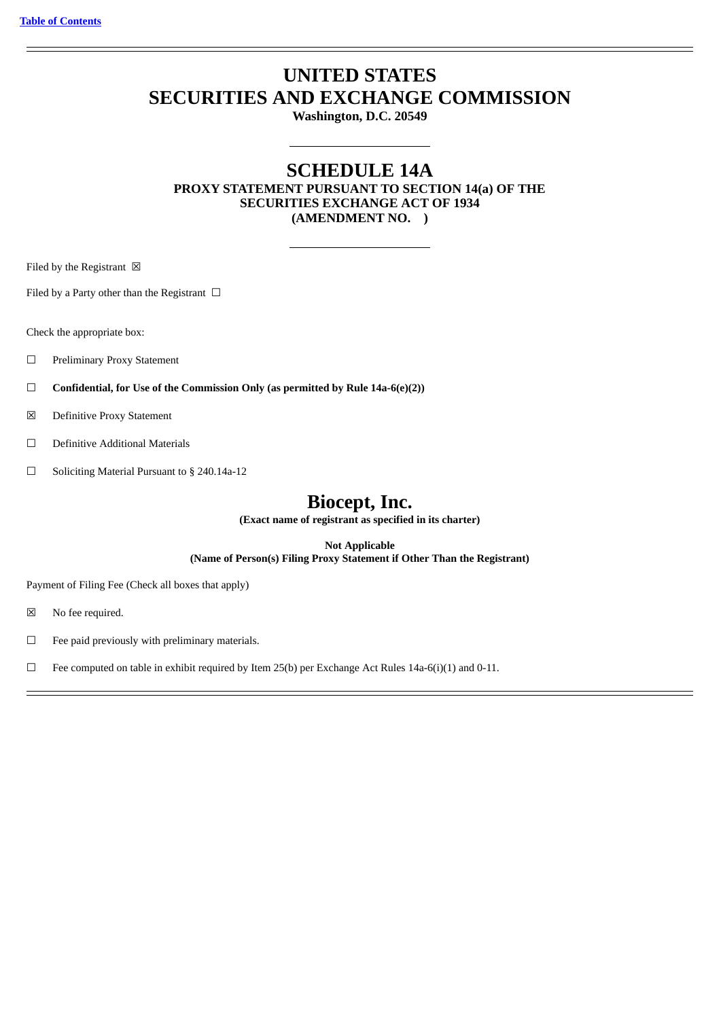# **UNITED STATES SECURITIES AND EXCHANGE COMMISSION**

**Washington, D.C. 20549**

# **SCHEDULE 14A**

**PROXY STATEMENT PURSUANT TO SECTION 14(a) OF THE SECURITIES EXCHANGE ACT OF 1934 (AMENDMENT NO. )**

Filed by the Registrant  $\boxtimes$ 

Filed by a Party other than the Registrant  $\Box$ 

Check the appropriate box:

- ☐ Preliminary Proxy Statement
- ☐ **Confidential, for Use of the Commission Only (as permitted by Rule 14a-6(e)(2))**
- ☒ Definitive Proxy Statement
- ☐ Definitive Additional Materials
- ☐ Soliciting Material Pursuant to § 240.14a-12

# **Biocept, Inc.**

**(Exact name of registrant as specified in its charter)**

**Not Applicable (Name of Person(s) Filing Proxy Statement if Other Than the Registrant)**

Payment of Filing Fee (Check all boxes that apply)

☒ No fee required.

 $\Box$  Fee paid previously with preliminary materials.

 $\Box$  Fee computed on table in exhibit required by Item 25(b) per Exchange Act Rules 14a-6(i)(1) and 0-11.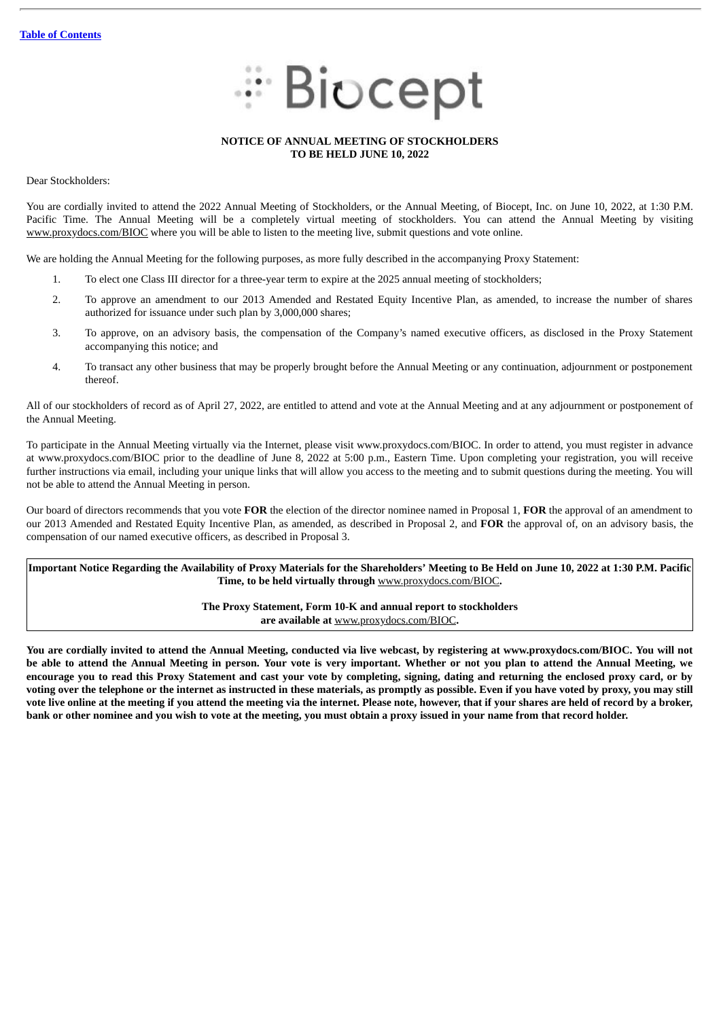

# **NOTICE OF ANNUAL MEETING OF STOCKHOLDERS TO BE HELD JUNE 10, 2022**

Dear Stockholders:

You are cordially invited to attend the 2022 Annual Meeting of Stockholders, or the Annual Meeting, of Biocept, Inc. on June 10, 2022, at 1:30 P.M. Pacific Time. The Annual Meeting will be a completely virtual meeting of stockholders. You can attend the Annual Meeting by visiting www.proxydocs.com/BIOC where you will be able to listen to the meeting live, submit questions and vote online.

We are holding the Annual Meeting for the following purposes, as more fully described in the accompanying Proxy Statement:

- 1. To elect one Class III director for a three-year term to expire at the 2025 annual meeting of stockholders;
- 2. To approve an amendment to our 2013 Amended and Restated Equity Incentive Plan, as amended, to increase the number of shares authorized for issuance under such plan by 3,000,000 shares;
- 3. To approve, on an advisory basis, the compensation of the Company's named executive officers, as disclosed in the Proxy Statement accompanying this notice; and
- 4. To transact any other business that may be properly brought before the Annual Meeting or any continuation, adjournment or postponement thereof.

All of our stockholders of record as of April 27, 2022, are entitled to attend and vote at the Annual Meeting and at any adjournment or postponement of the Annual Meeting.

To participate in the Annual Meeting virtually via the Internet, please visit www.proxydocs.com/BIOC. In order to attend, you must register in advance at www.proxydocs.com/BIOC prior to the deadline of June 8, 2022 at 5:00 p.m., Eastern Time. Upon completing your registration, you will receive further instructions via email, including your unique links that will allow you access to the meeting and to submit questions during the meeting. You will not be able to attend the Annual Meeting in person.

Our board of directors recommends that you vote **FOR** the election of the director nominee named in Proposal 1, **FOR** the approval of an amendment to our 2013 Amended and Restated Equity Incentive Plan, as amended, as described in Proposal 2, and **FOR** the approval of, on an advisory basis, the compensation of our named executive officers, as described in Proposal 3.

Important Notice Regarding the Availability of Proxy Materials for the Shareholders' Meeting to Be Held on June 10, 2022 at 1:30 P.M. Pacific **Time, to be held virtually through** www.proxydocs.com/BIOC**.**

> **The Proxy Statement, Form 10-K and annual report to stockholders are available at** www.proxydocs.com/BIOC**.**

You are cordially invited to attend the Annual Meeting, conducted via live webcast, by registering at www.proxydocs.com/BIOC. You will not be able to attend the Annual Meeting in person. Your vote is very important. Whether or not you plan to attend the Annual Meeting, we encourage you to read this Proxy Statement and cast your vote by completing, signing, dating and returning the enclosed proxy card, or by voting over the telephone or the internet as instructed in these materials, as promptly as possible. Even if you have voted by proxy, you may still vote live online at the meeting if you attend the meeting via the internet. Please note, however, that if your shares are held of record by a broker, bank or other nominee and you wish to vote at the meeting, you must obtain a proxy issued in your name from that record holder.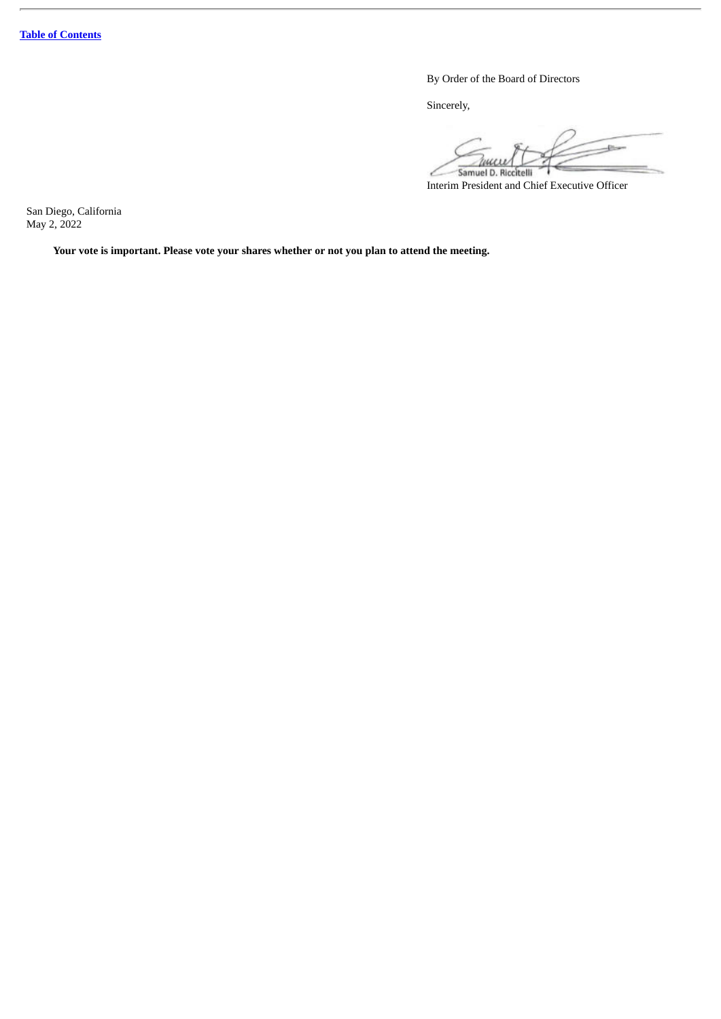By Order of the Board of Directors

Sincerely,

 $-1$ Zuccel Samuel D. Riccitelli

Interim President and Chief Executive Officer

San Diego, California May 2, 2022

**Your vote is important. Please vote your shares whether or not you plan to attend the meeting.**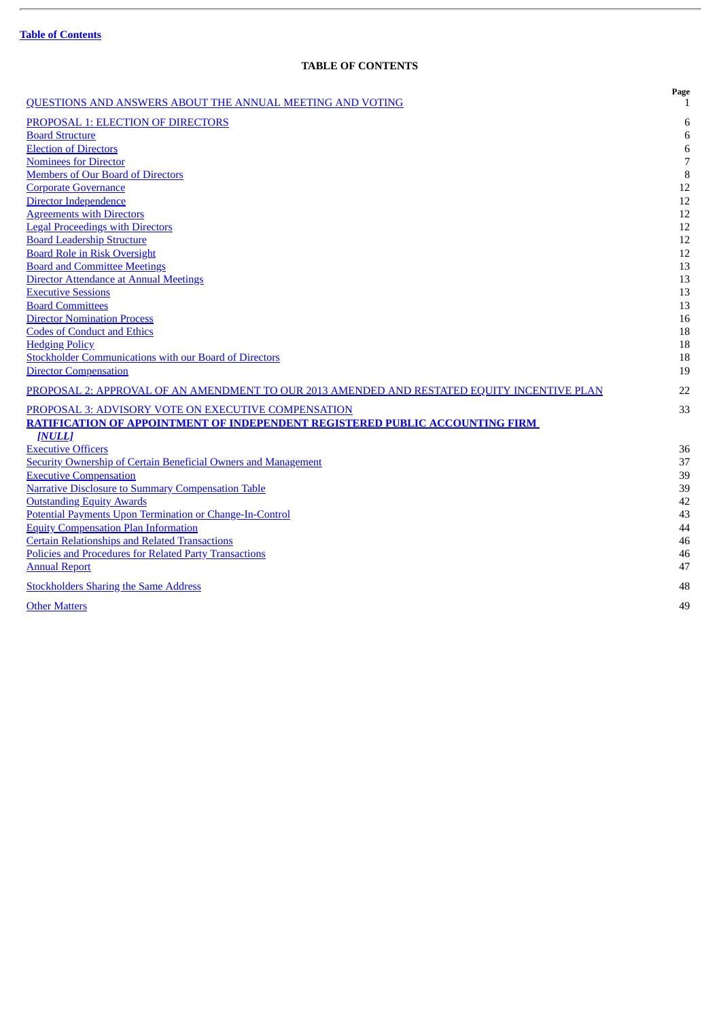ł.

# **TABLE OF CONTENTS**

<span id="page-3-0"></span>

| <b>OUESTIONS AND ANSWERS ABOUT THE ANNUAL MEETING AND VOTING</b>                            | Page<br>1 |
|---------------------------------------------------------------------------------------------|-----------|
| PROPOSAL 1: ELECTION OF DIRECTORS                                                           | 6         |
| <b>Board Structure</b>                                                                      | 6         |
| <b>Election of Directors</b>                                                                | 6         |
| <b>Nominees for Director</b>                                                                | 7         |
| <b>Members of Our Board of Directors</b>                                                    | 8         |
| <b>Corporate Governance</b>                                                                 | 12        |
| Director Independence                                                                       | 12        |
| <b>Agreements with Directors</b>                                                            | 12        |
| <b>Legal Proceedings with Directors</b>                                                     | 12        |
| <b>Board Leadership Structure</b>                                                           | 12        |
| <b>Board Role in Risk Oversight</b>                                                         | 12        |
| <b>Board and Committee Meetings</b>                                                         | 13        |
| Director Attendance at Annual Meetings                                                      | 13        |
| <b>Executive Sessions</b>                                                                   | 13        |
| <b>Board Committees</b>                                                                     | 13        |
| <b>Director Nomination Process</b>                                                          | 16        |
| <b>Codes of Conduct and Ethics</b>                                                          | 18        |
| <b>Hedging Policy</b>                                                                       | 18        |
| <b>Stockholder Communications with our Board of Directors</b>                               | 18        |
| <b>Director Compensation</b>                                                                | 19        |
| PROPOSAL 2: APPROVAL OF AN AMENDMENT TO OUR 2013 AMENDED AND RESTATED EQUITY INCENTIVE PLAN | 22        |
| PROPOSAL 3: ADVISORY VOTE ON EXECUTIVE COMPENSATION                                         | 33        |
| <b>RATIFICATION OF APPOINTMENT OF INDEPENDENT REGISTERED PUBLIC ACCOUNTING FIRM</b>         |           |
| [NULL]                                                                                      |           |
| <b>Executive Officers</b>                                                                   | 36        |
| <b>Security Ownership of Certain Beneficial Owners and Management</b>                       | 37        |
| <b>Executive Compensation</b>                                                               | 39        |
| <b>Narrative Disclosure to Summary Compensation Table</b>                                   | 39        |
| <b>Outstanding Equity Awards</b>                                                            | 42        |
| Potential Payments Upon Termination or Change-In-Control                                    | 43        |
| <b>Equity Compensation Plan Information</b>                                                 | 44        |
| <b>Certain Relationships and Related Transactions</b>                                       | 46        |
| <b>Policies and Procedures for Related Party Transactions</b>                               | 46        |
| <b>Annual Report</b>                                                                        | 47        |
| <b>Stockholders Sharing the Same Address</b>                                                | 48        |
| <b>Other Matters</b>                                                                        | 49        |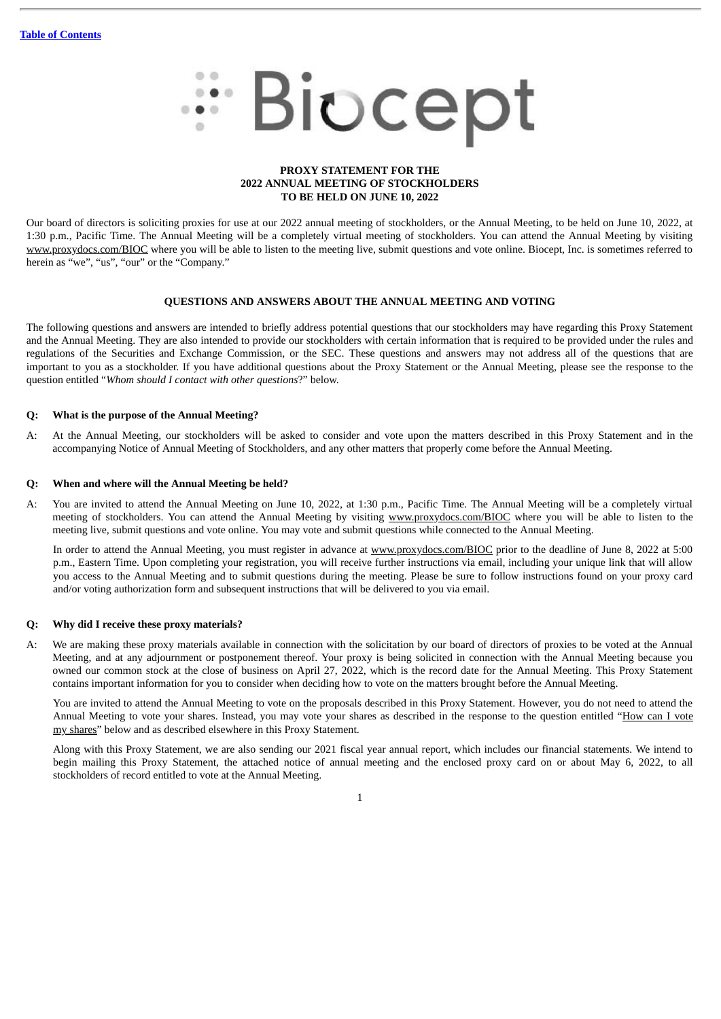# # Biocept

# **PROXY STATEMENT FOR THE 2022 ANNUAL MEETING OF STOCKHOLDERS TO BE HELD ON JUNE 10, 2022**

Our board of directors is soliciting proxies for use at our 2022 annual meeting of stockholders, or the Annual Meeting, to be held on June 10, 2022, at 1:30 p.m., Pacific Time. The Annual Meeting will be a completely virtual meeting of stockholders. You can attend the Annual Meeting by visiting www.proxydocs.com/BIOC where you will be able to listen to the meeting live, submit questions and vote online. Biocept, Inc. is sometimes referred to herein as "we", "us", "our" or the "Company."

# **QUESTIONS AND ANSWERS ABOUT THE ANNUAL MEETING AND VOTING**

<span id="page-4-0"></span>The following questions and answers are intended to briefly address potential questions that our stockholders may have regarding this Proxy Statement and the Annual Meeting. They are also intended to provide our stockholders with certain information that is required to be provided under the rules and regulations of the Securities and Exchange Commission, or the SEC. These questions and answers may not address all of the questions that are important to you as a stockholder. If you have additional questions about the Proxy Statement or the Annual Meeting, please see the response to the question entitled "*Whom should I contact with other questions*?" below.

# **Q: What is the purpose of the Annual Meeting?**

A: At the Annual Meeting, our stockholders will be asked to consider and vote upon the matters described in this Proxy Statement and in the accompanying Notice of Annual Meeting of Stockholders, and any other matters that properly come before the Annual Meeting.

# **Q: When and where will the Annual Meeting be held?**

A: You are invited to attend the Annual Meeting on June 10, 2022, at 1:30 p.m., Pacific Time. The Annual Meeting will be a completely virtual meeting of stockholders. You can attend the Annual Meeting by visiting www.proxydocs.com/BIOC where you will be able to listen to the meeting live, submit questions and vote online. You may vote and submit questions while connected to the Annual Meeting.

In order to attend the Annual Meeting, you must register in advance at www.proxydocs.com/BIOC prior to the deadline of June 8, 2022 at 5:00 p.m., Eastern Time. Upon completing your registration, you will receive further instructions via email, including your unique link that will allow you access to the Annual Meeting and to submit questions during the meeting. Please be sure to follow instructions found on your proxy card and/or voting authorization form and subsequent instructions that will be delivered to you via email.

# **Q: Why did I receive these proxy materials?**

A: We are making these proxy materials available in connection with the solicitation by our board of directors of proxies to be voted at the Annual Meeting, and at any adjournment or postponement thereof. Your proxy is being solicited in connection with the Annual Meeting because you owned our common stock at the close of business on April 27, 2022, which is the record date for the Annual Meeting. This Proxy Statement contains important information for you to consider when deciding how to vote on the matters brought before the Annual Meeting.

You are invited to attend the Annual Meeting to vote on the proposals described in this Proxy Statement. However, you do not need to attend the Annual Meeting to vote your shares. Instead, you may vote your shares as described in the response to the question entitled "How can I vote my shares" below and as described elsewhere in this Proxy Statement.

Along with this Proxy Statement, we are also sending our 2021 fiscal year annual report, which includes our financial statements. We intend to begin mailing this Proxy Statement, the attached notice of annual meeting and the enclosed proxy card on or about May 6, 2022, to all stockholders of record entitled to vote at the Annual Meeting.

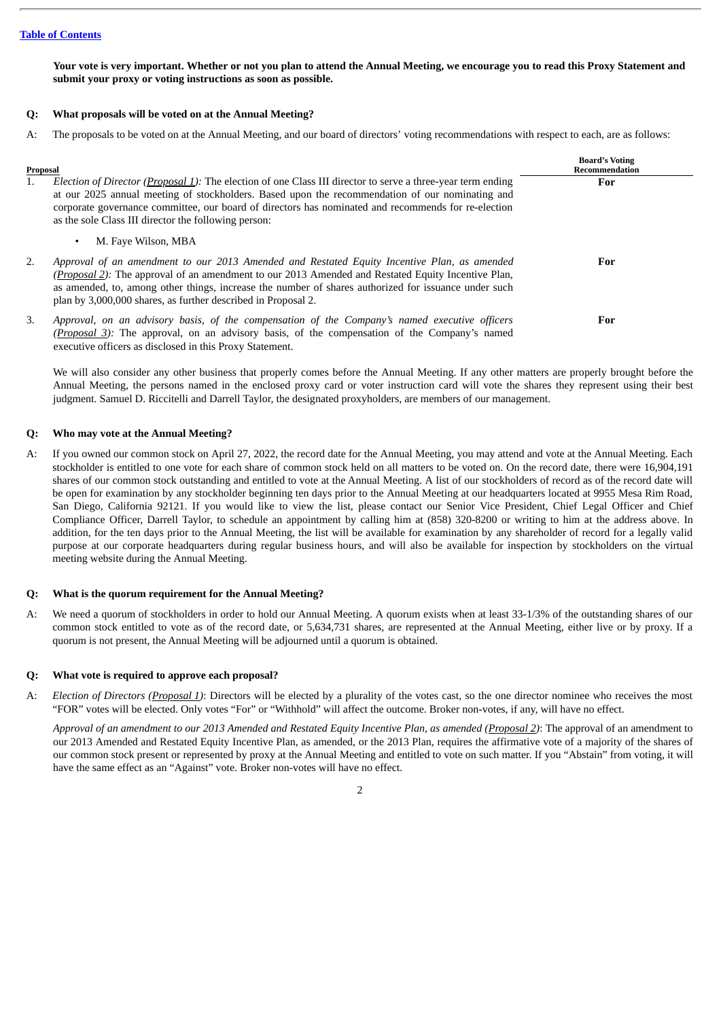Your vote is very important. Whether or not you plan to attend the Annual Meeting, we encourage you to read this Proxy Statement and **submit your proxy or voting instructions as soon as possible.**

# **Q: What proposals will be voted on at the Annual Meeting?**

A: The proposals to be voted on at the Annual Meeting, and our board of directors' voting recommendations with respect to each, are as follows:

| Proposal<br>1. | Election of Director (Proposal 1): The election of one Class III director to serve a three-year term ending<br>at our 2025 annual meeting of stockholders. Based upon the recommendation of our nominating and<br>corporate governance committee, our board of directors has nominated and recommends for re-election<br>as the sole Class III director the following person:     | <b>Board's Voting</b><br>Recommendation<br>For |
|----------------|-----------------------------------------------------------------------------------------------------------------------------------------------------------------------------------------------------------------------------------------------------------------------------------------------------------------------------------------------------------------------------------|------------------------------------------------|
|                | M. Fave Wilson, MBA                                                                                                                                                                                                                                                                                                                                                               |                                                |
| 2.             | Approval of an amendment to our 2013 Amended and Restated Equity Incentive Plan, as amended<br><i>(Proposal 2):</i> The approval of an amendment to our 2013 Amended and Restated Equity Incentive Plan,<br>as amended, to, among other things, increase the number of shares authorized for issuance under such<br>plan by 3,000,000 shares, as further described in Proposal 2. | For                                            |
| 3.             | Approval, on an advisory basis, of the compensation of the Company's named executive officers<br>(Proposal 3): The approval, on an advisory basis, of the compensation of the Company's named<br>executive officers as disclosed in this Proxy Statement.                                                                                                                         | For                                            |

We will also consider any other business that properly comes before the Annual Meeting. If any other matters are properly brought before the Annual Meeting, the persons named in the enclosed proxy card or voter instruction card will vote the shares they represent using their best judgment. Samuel D. Riccitelli and Darrell Taylor, the designated proxyholders, are members of our management.

# **Q: Who may vote at the Annual Meeting?**

A: If you owned our common stock on April 27, 2022, the record date for the Annual Meeting, you may attend and vote at the Annual Meeting. Each stockholder is entitled to one vote for each share of common stock held on all matters to be voted on. On the record date, there were 16,904,191 shares of our common stock outstanding and entitled to vote at the Annual Meeting. A list of our stockholders of record as of the record date will be open for examination by any stockholder beginning ten days prior to the Annual Meeting at our headquarters located at 9955 Mesa Rim Road, San Diego, California 92121. If you would like to view the list, please contact our Senior Vice President, Chief Legal Officer and Chief Compliance Officer, Darrell Taylor, to schedule an appointment by calling him at (858) 320-8200 or writing to him at the address above. In addition, for the ten days prior to the Annual Meeting, the list will be available for examination by any shareholder of record for a legally valid purpose at our corporate headquarters during regular business hours, and will also be available for inspection by stockholders on the virtual meeting website during the Annual Meeting.

# **Q: What is the quorum requirement for the Annual Meeting?**

A: We need a quorum of stockholders in order to hold our Annual Meeting. A quorum exists when at least 33-1/3% of the outstanding shares of our common stock entitled to vote as of the record date, or 5,634,731 shares, are represented at the Annual Meeting, either live or by proxy. If a quorum is not present, the Annual Meeting will be adjourned until a quorum is obtained.

# **Q: What vote is required to approve each proposal?**

A: *Election of Directors (Proposal 1)*: Directors will be elected by a plurality of the votes cast, so the one director nominee who receives the most "FOR" votes will be elected. Only votes "For" or "Withhold" will affect the outcome. Broker non-votes, if any, will have no effect.

Approval of an amendment to our 2013 Amended and Restated Equity Incentive Plan, as amended (Proposal 2): The approval of an amendment to our 2013 Amended and Restated Equity Incentive Plan, as amended, or the 2013 Plan, requires the affirmative vote of a majority of the shares of our common stock present or represented by proxy at the Annual Meeting and entitled to vote on such matter. If you "Abstain" from voting, it will have the same effect as an "Against" vote. Broker non-votes will have no effect.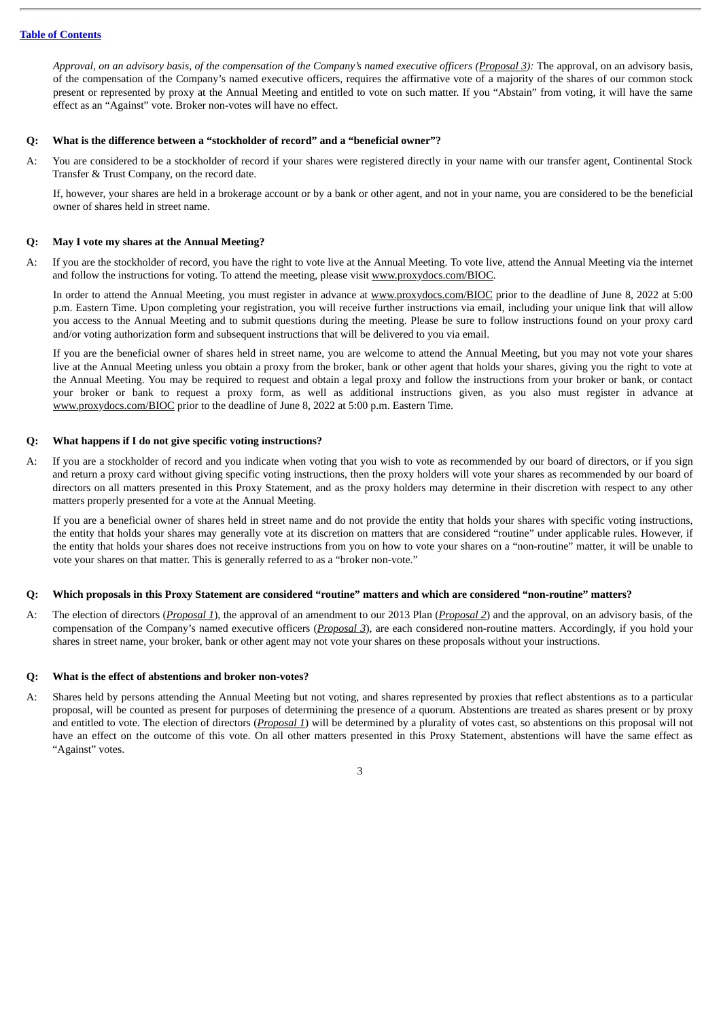Approval, on an advisory basis, of the compensation of the Company's named executive officers (Proposal 3): The approval, on an advisory basis, of the compensation of the Company's named executive officers, requires the affirmative vote of a majority of the shares of our common stock present or represented by proxy at the Annual Meeting and entitled to vote on such matter. If you "Abstain" from voting, it will have the same effect as an "Against" vote. Broker non-votes will have no effect.

# **Q: What is the difference between a "stockholder of record" and a "beneficial owner"?**

A: You are considered to be a stockholder of record if your shares were registered directly in your name with our transfer agent, Continental Stock Transfer & Trust Company, on the record date.

If, however, your shares are held in a brokerage account or by a bank or other agent, and not in your name, you are considered to be the beneficial owner of shares held in street name.

# **Q: May I vote my shares at the Annual Meeting?**

A: If you are the stockholder of record, you have the right to vote live at the Annual Meeting. To vote live, attend the Annual Meeting via the internet and follow the instructions for voting. To attend the meeting, please visit www.proxydocs.com/BIOC.

In order to attend the Annual Meeting, you must register in advance at www.proxydocs.com/BIOC prior to the deadline of June 8, 2022 at 5:00 p.m. Eastern Time. Upon completing your registration, you will receive further instructions via email, including your unique link that will allow you access to the Annual Meeting and to submit questions during the meeting. Please be sure to follow instructions found on your proxy card and/or voting authorization form and subsequent instructions that will be delivered to you via email.

If you are the beneficial owner of shares held in street name, you are welcome to attend the Annual Meeting, but you may not vote your shares live at the Annual Meeting unless you obtain a proxy from the broker, bank or other agent that holds your shares, giving you the right to vote at the Annual Meeting. You may be required to request and obtain a legal proxy and follow the instructions from your broker or bank, or contact your broker or bank to request a proxy form, as well as additional instructions given, as you also must register in advance at www.proxydocs.com/BIOC prior to the deadline of June 8, 2022 at 5:00 p.m. Eastern Time.

# **Q: What happens if I do not give specific voting instructions?**

A: If you are a stockholder of record and you indicate when voting that you wish to vote as recommended by our board of directors, or if you sign and return a proxy card without giving specific voting instructions, then the proxy holders will vote your shares as recommended by our board of directors on all matters presented in this Proxy Statement, and as the proxy holders may determine in their discretion with respect to any other matters properly presented for a vote at the Annual Meeting.

If you are a beneficial owner of shares held in street name and do not provide the entity that holds your shares with specific voting instructions, the entity that holds your shares may generally vote at its discretion on matters that are considered "routine" under applicable rules. However, if the entity that holds your shares does not receive instructions from you on how to vote your shares on a "non-routine" matter, it will be unable to vote your shares on that matter. This is generally referred to as a "broker non-vote."

# O: Which proposals in this Proxy Statement are considered "routine" matters and which are considered "non-routine" matters?

A: The election of directors (*Proposal 1*), the approval of an amendment to our 2013 Plan (*Proposal 2*) and the approval, on an advisory basis, of the compensation of the Company's named executive officers (*Proposal 3*), are each considered non-routine matters. Accordingly, if you hold your shares in street name, your broker, bank or other agent may not vote your shares on these proposals without your instructions.

# **Q: What is the effect of abstentions and broker non-votes?**

A: Shares held by persons attending the Annual Meeting but not voting, and shares represented by proxies that reflect abstentions as to a particular proposal, will be counted as present for purposes of determining the presence of a quorum. Abstentions are treated as shares present or by proxy and entitled to vote. The election of directors (*Proposal 1*) will be determined by a plurality of votes cast, so abstentions on this proposal will not have an effect on the outcome of this vote. On all other matters presented in this Proxy Statement, abstentions will have the same effect as "Against" votes.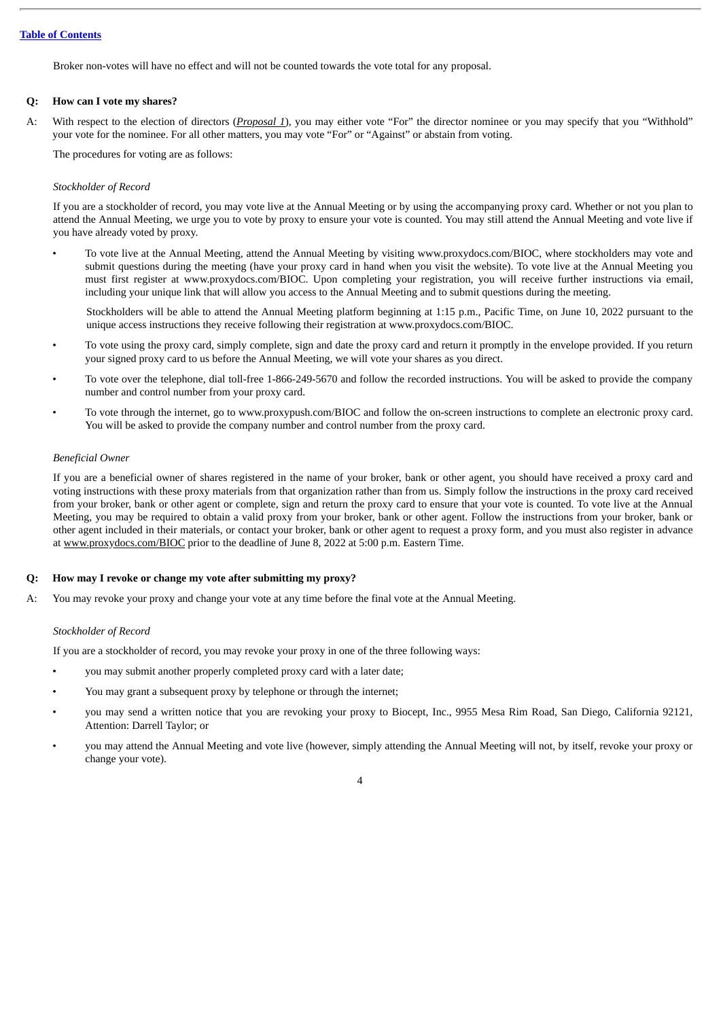Broker non-votes will have no effect and will not be counted towards the vote total for any proposal.

# **Q: How can I vote my shares?**

A: With respect to the election of directors (*Proposal 1*), you may either vote "For" the director nominee or you may specify that you "Withhold" your vote for the nominee. For all other matters, you may vote "For" or "Against" or abstain from voting.

The procedures for voting are as follows:

# *Stockholder of Record*

If you are a stockholder of record, you may vote live at the Annual Meeting or by using the accompanying proxy card. Whether or not you plan to attend the Annual Meeting, we urge you to vote by proxy to ensure your vote is counted. You may still attend the Annual Meeting and vote live if you have already voted by proxy.

• To vote live at the Annual Meeting, attend the Annual Meeting by visiting www.proxydocs.com/BIOC, where stockholders may vote and submit questions during the meeting (have your proxy card in hand when you visit the website). To vote live at the Annual Meeting you must first register at www.proxydocs.com/BIOC. Upon completing your registration, you will receive further instructions via email, including your unique link that will allow you access to the Annual Meeting and to submit questions during the meeting.

Stockholders will be able to attend the Annual Meeting platform beginning at 1:15 p.m., Pacific Time, on June 10, 2022 pursuant to the unique access instructions they receive following their registration at www.proxydocs.com/BIOC.

- To vote using the proxy card, simply complete, sign and date the proxy card and return it promptly in the envelope provided. If you return your signed proxy card to us before the Annual Meeting, we will vote your shares as you direct.
- To vote over the telephone, dial toll-free 1-866-249-5670 and follow the recorded instructions. You will be asked to provide the company number and control number from your proxy card.
- To vote through the internet, go to www.proxypush.com/BIOC and follow the on-screen instructions to complete an electronic proxy card. You will be asked to provide the company number and control number from the proxy card.

# *Beneficial Owner*

If you are a beneficial owner of shares registered in the name of your broker, bank or other agent, you should have received a proxy card and voting instructions with these proxy materials from that organization rather than from us. Simply follow the instructions in the proxy card received from your broker, bank or other agent or complete, sign and return the proxy card to ensure that your vote is counted. To vote live at the Annual Meeting, you may be required to obtain a valid proxy from your broker, bank or other agent. Follow the instructions from your broker, bank or other agent included in their materials, or contact your broker, bank or other agent to request a proxy form, and you must also register in advance at www.proxydocs.com/BIOC prior to the deadline of June 8, 2022 at 5:00 p.m. Eastern Time.

# **Q: How may I revoke or change my vote after submitting my proxy?**

A: You may revoke your proxy and change your vote at any time before the final vote at the Annual Meeting.

# *Stockholder of Record*

If you are a stockholder of record, you may revoke your proxy in one of the three following ways:

- you may submit another properly completed proxy card with a later date;
- You may grant a subsequent proxy by telephone or through the internet;
- you may send a written notice that you are revoking your proxy to Biocept, Inc., 9955 Mesa Rim Road, San Diego, California 92121, Attention: Darrell Taylor; or
- you may attend the Annual Meeting and vote live (however, simply attending the Annual Meeting will not, by itself, revoke your proxy or change your vote).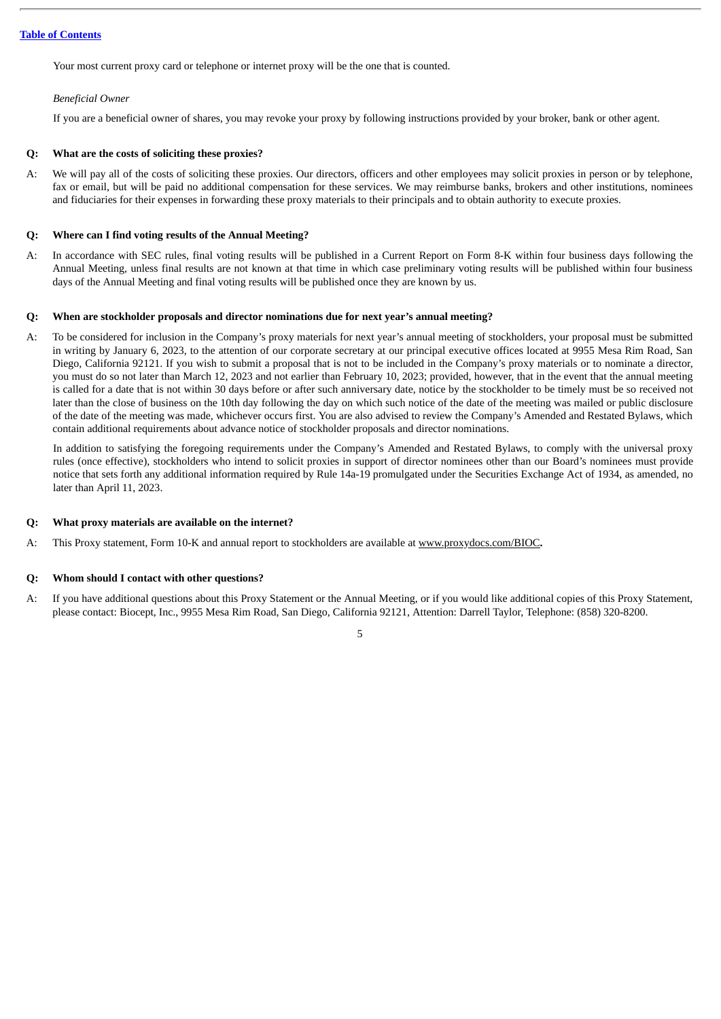Your most current proxy card or telephone or internet proxy will be the one that is counted.

# *Beneficial Owner*

If you are a beneficial owner of shares, you may revoke your proxy by following instructions provided by your broker, bank or other agent.

# **Q: What are the costs of soliciting these proxies?**

A: We will pay all of the costs of soliciting these proxies. Our directors, officers and other employees may solicit proxies in person or by telephone, fax or email, but will be paid no additional compensation for these services. We may reimburse banks, brokers and other institutions, nominees and fiduciaries for their expenses in forwarding these proxy materials to their principals and to obtain authority to execute proxies.

# **Q: Where can I find voting results of the Annual Meeting?**

A: In accordance with SEC rules, final voting results will be published in a Current Report on Form 8-K within four business days following the Annual Meeting, unless final results are not known at that time in which case preliminary voting results will be published within four business days of the Annual Meeting and final voting results will be published once they are known by us.

# **Q: When are stockholder proposals and director nominations due for next year's annual meeting?**

A: To be considered for inclusion in the Company's proxy materials for next year's annual meeting of stockholders, your proposal must be submitted in writing by January 6, 2023, to the attention of our corporate secretary at our principal executive offices located at 9955 Mesa Rim Road, San Diego, California 92121. If you wish to submit a proposal that is not to be included in the Company's proxy materials or to nominate a director, you must do so not later than March 12, 2023 and not earlier than February 10, 2023; provided, however, that in the event that the annual meeting is called for a date that is not within 30 days before or after such anniversary date, notice by the stockholder to be timely must be so received not later than the close of business on the 10th day following the day on which such notice of the date of the meeting was mailed or public disclosure of the date of the meeting was made, whichever occurs first. You are also advised to review the Company's Amended and Restated Bylaws, which contain additional requirements about advance notice of stockholder proposals and director nominations.

In addition to satisfying the foregoing requirements under the Company's Amended and Restated Bylaws, to comply with the universal proxy rules (once effective), stockholders who intend to solicit proxies in support of director nominees other than our Board's nominees must provide notice that sets forth any additional information required by Rule 14a-19 promulgated under the Securities Exchange Act of 1934, as amended, no later than April 11, 2023.

# **Q: What proxy materials are available on the internet?**

A: This Proxy statement, Form 10-K and annual report to stockholders are available at www.proxydocs.com/BIOC**.**

# **Q: Whom should I contact with other questions?**

- A: If you have additional questions about this Proxy Statement or the Annual Meeting, or if you would like additional copies of this Proxy Statement, please contact: Biocept, Inc., 9955 Mesa Rim Road, San Diego, California 92121, Attention: Darrell Taylor, Telephone: (858) 320-8200.
	- 5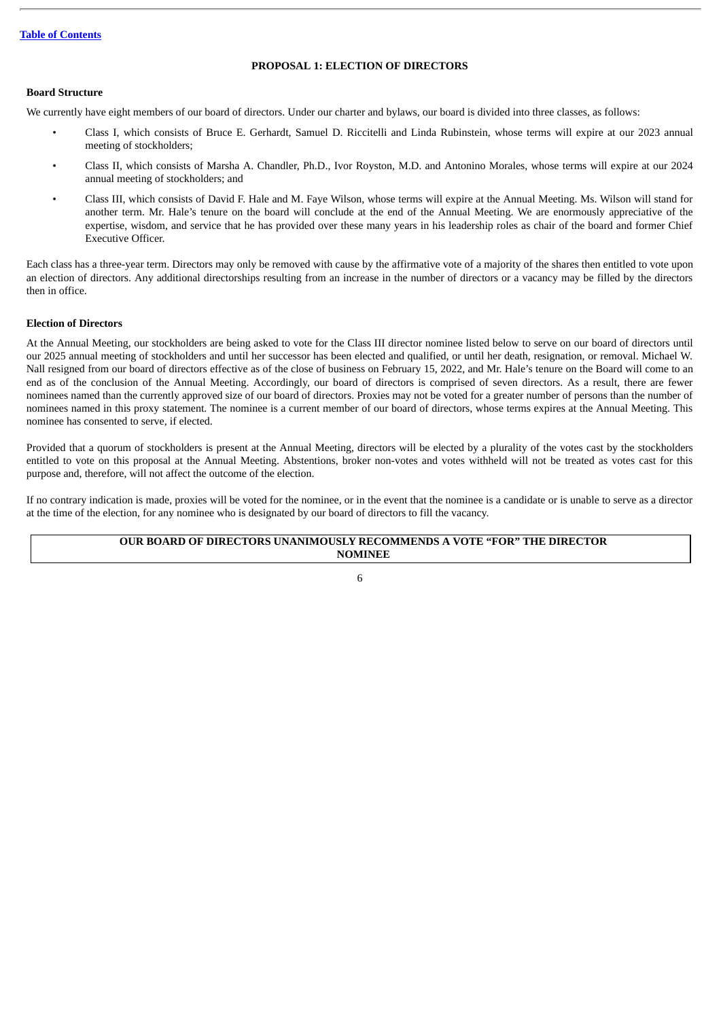# **PROPOSAL 1: ELECTION OF DIRECTORS**

# <span id="page-9-1"></span><span id="page-9-0"></span>**Board Structure**

We currently have eight members of our board of directors. Under our charter and bylaws, our board is divided into three classes, as follows:

- Class I, which consists of Bruce E. Gerhardt, Samuel D. Riccitelli and Linda Rubinstein, whose terms will expire at our 2023 annual meeting of stockholders;
- Class II, which consists of Marsha A. Chandler, Ph.D., Ivor Royston, M.D. and Antonino Morales, whose terms will expire at our 2024 annual meeting of stockholders; and
- Class III, which consists of David F. Hale and M. Faye Wilson, whose terms will expire at the Annual Meeting. Ms. Wilson will stand for another term. Mr. Hale's tenure on the board will conclude at the end of the Annual Meeting. We are enormously appreciative of the expertise, wisdom, and service that he has provided over these many years in his leadership roles as chair of the board and former Chief Executive Officer.

Each class has a three-year term. Directors may only be removed with cause by the affirmative vote of a majority of the shares then entitled to vote upon an election of directors. Any additional directorships resulting from an increase in the number of directors or a vacancy may be filled by the directors then in office.

# <span id="page-9-2"></span>**Election of Directors**

At the Annual Meeting, our stockholders are being asked to vote for the Class III director nominee listed below to serve on our board of directors until our 2025 annual meeting of stockholders and until her successor has been elected and qualified, or until her death, resignation, or removal. Michael W. Nall resigned from our board of directors effective as of the close of business on February 15, 2022, and Mr. Hale's tenure on the Board will come to an end as of the conclusion of the Annual Meeting. Accordingly, our board of directors is comprised of seven directors. As a result, there are fewer nominees named than the currently approved size of our board of directors. Proxies may not be voted for a greater number of persons than the number of nominees named in this proxy statement. The nominee is a current member of our board of directors, whose terms expires at the Annual Meeting. This nominee has consented to serve, if elected.

Provided that a quorum of stockholders is present at the Annual Meeting, directors will be elected by a plurality of the votes cast by the stockholders entitled to vote on this proposal at the Annual Meeting. Abstentions, broker non-votes and votes withheld will not be treated as votes cast for this purpose and, therefore, will not affect the outcome of the election.

If no contrary indication is made, proxies will be voted for the nominee, or in the event that the nominee is a candidate or is unable to serve as a director at the time of the election, for any nominee who is designated by our board of directors to fill the vacancy.

# **OUR BOARD OF DIRECTORS UNANIMOUSLY RECOMMENDS A VOTE "FOR" THE DIRECTOR NOMINEE**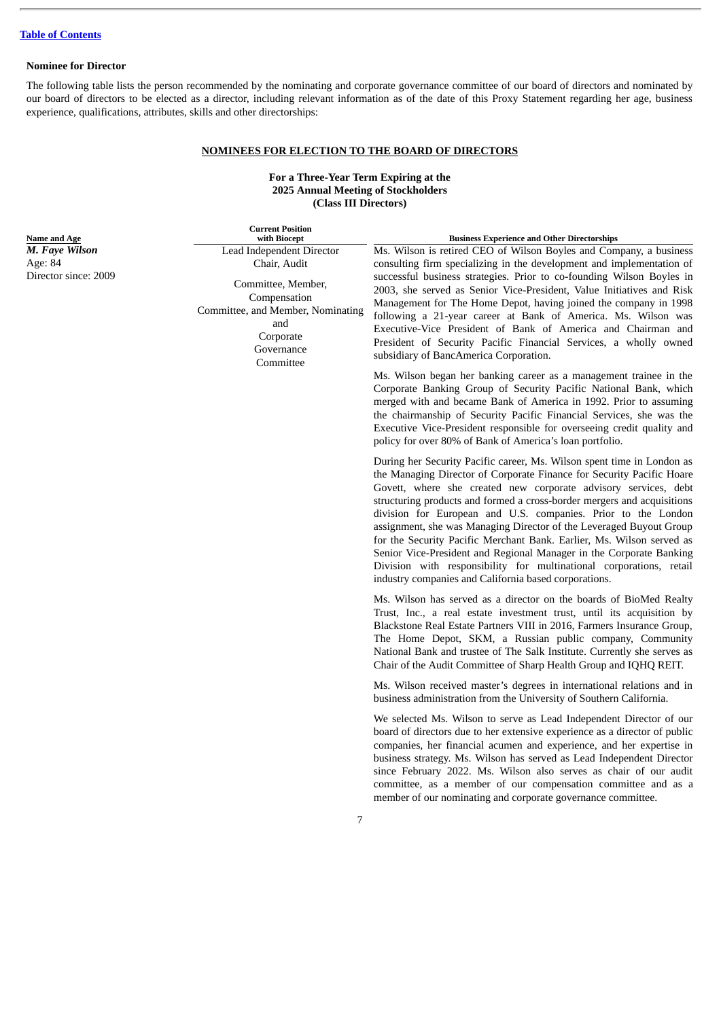# <span id="page-10-0"></span>**Nominee for Director**

The following table lists the person recommended by the nominating and corporate governance committee of our board of directors and nominated by our board of directors to be elected as a director, including relevant information as of the date of this Proxy Statement regarding her age, business experience, qualifications, attributes, skills and other directorships:

# **NOMINEES FOR ELECTION TO THE BOARD OF DIRECTORS**

# **For a Three-Year Term Expiring at the 2025 Annual Meeting of Stockholders (Class III Directors)**

| <b>Current Position</b><br>with Biocept                                                                                                                             | <b>Business Experience and Other Directorships</b>                                                                                                                                                                                                                                                                                                                                                                                                                                                                                                                                                                                                                                                                                                                                                                                                                                                                                                                                                                                            |
|---------------------------------------------------------------------------------------------------------------------------------------------------------------------|-----------------------------------------------------------------------------------------------------------------------------------------------------------------------------------------------------------------------------------------------------------------------------------------------------------------------------------------------------------------------------------------------------------------------------------------------------------------------------------------------------------------------------------------------------------------------------------------------------------------------------------------------------------------------------------------------------------------------------------------------------------------------------------------------------------------------------------------------------------------------------------------------------------------------------------------------------------------------------------------------------------------------------------------------|
| Lead Independent Director<br>Chair, Audit<br>Committee, Member,<br>Compensation<br>Committee, and Member, Nominating<br>and<br>Corporate<br>Governance<br>Committee | Ms. Wilson is retired CEO of Wilson Boyles and Company, a business<br>consulting firm specializing in the development and implementation of<br>successful business strategies. Prior to co-founding Wilson Boyles in<br>2003, she served as Senior Vice-President, Value Initiatives and Risk<br>Management for The Home Depot, having joined the company in 1998<br>following a 21-year career at Bank of America. Ms. Wilson was<br>Executive-Vice President of Bank of America and Chairman and<br>President of Security Pacific Financial Services, a wholly owned<br>subsidiary of BancAmerica Corporation.<br>Ms. Wilson began her banking career as a management trainee in the<br>Corporate Banking Group of Security Pacific National Bank, which<br>merged with and became Bank of America in 1992. Prior to assuming<br>the chairmanship of Security Pacific Financial Services, she was the<br>Executive Vice-President responsible for overseeing credit quality and<br>policy for over 80% of Bank of America's loan portfolio. |
|                                                                                                                                                                     | During her Security Pacific career, Ms. Wilson spent time in London as<br>the Managing Director of Corporate Finance for Security Pacific Hoare<br>Govett, where she created new corporate advisory services, debt<br>structuring products and formed a cross-border mergers and acquisitions<br>division for European and U.S. companies. Prior to the London<br>assignment, she was Managing Director of the Leveraged Buyout Group<br>for the Security Pacific Merchant Bank. Earlier, Ms. Wilson served as<br>Senior Vice-President and Regional Manager in the Corporate Banking<br>Division with responsibility for multinational corporations, retail<br>industry companies and California based corporations.                                                                                                                                                                                                                                                                                                                         |
|                                                                                                                                                                     | Ms. Wilson has served as a director on the boards of BioMed Realty<br>Trust, Inc., a real estate investment trust, until its acquisition by<br>Blackstone Real Estate Partners VIII in 2016, Farmers Insurance Group,<br>The Home Depot, SKM, a Russian public company, Community<br>National Bank and trustee of The Salk Institute. Currently she serves as<br>Chair of the Audit Committee of Sharp Health Group and IQHQ REIT.                                                                                                                                                                                                                                                                                                                                                                                                                                                                                                                                                                                                            |
|                                                                                                                                                                     | Ms. Wilson received master's degrees in international relations and in<br>business administration from the University of Southern California.                                                                                                                                                                                                                                                                                                                                                                                                                                                                                                                                                                                                                                                                                                                                                                                                                                                                                                 |
|                                                                                                                                                                     | We selected Ms. Wilson to serve as Lead Independent Director of our<br>board of directors due to her extensive experience as a director of public<br>companies, her financial acumen and experience, and her expertise in<br>business strategy. Ms. Wilson has served as Lead Independent Director<br>since February 2022. Ms. Wilson also serves as chair of our audit<br>committee, as a member of our compensation committee and as a<br>member of our nominating and corporate governance committee.                                                                                                                                                                                                                                                                                                                                                                                                                                                                                                                                      |

**Name and Age** *M. Faye Wilson* Age: 84 Director since: 2009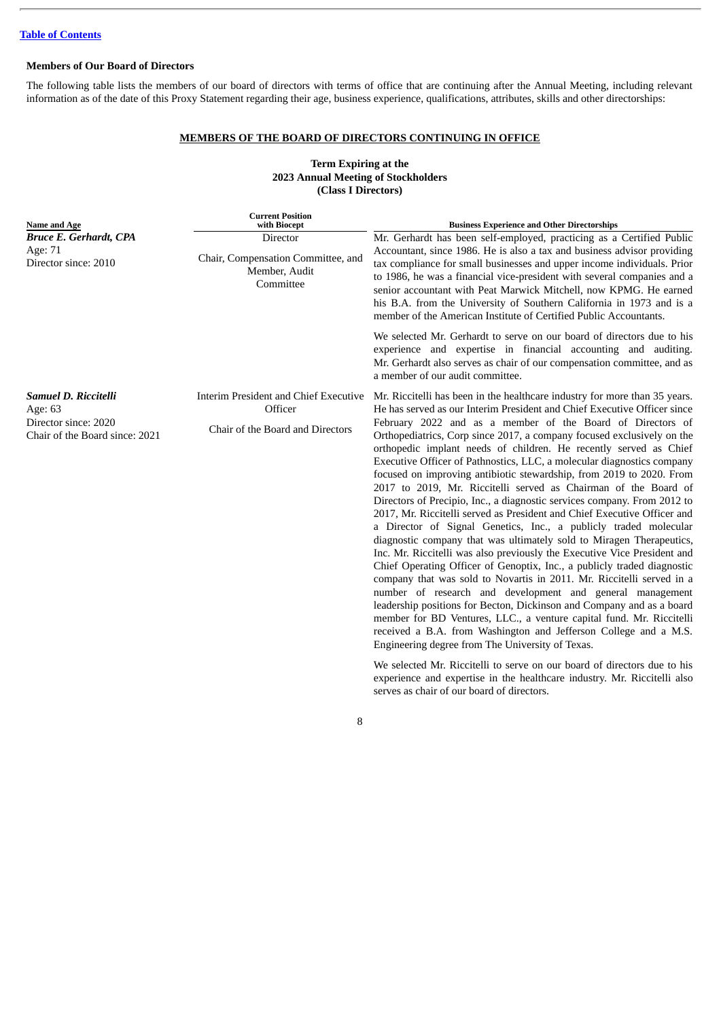# <span id="page-11-0"></span>**Members of Our Board of Directors**

The following table lists the members of our board of directors with terms of office that are continuing after the Annual Meeting, including relevant information as of the date of this Proxy Statement regarding their age, business experience, qualifications, attributes, skills and other directorships:

# **MEMBERS OF THE BOARD OF DIRECTORS CONTINUING IN OFFICE**

# **Term Expiring at the 2023 Annual Meeting of Stockholders (Class I Directors)**

| <b>Current Position</b><br>with Biocept                                              | <b>Business Experience and Other Directorships</b>                                                                                                                                                                                                                                                                                                                                                                                                                                                                                                                                                                                                                                                                                                                                                                                                                                                                                                                                                                                                                                                                                                                                                                                                                                                                                                                                                                                                                     |
|--------------------------------------------------------------------------------------|------------------------------------------------------------------------------------------------------------------------------------------------------------------------------------------------------------------------------------------------------------------------------------------------------------------------------------------------------------------------------------------------------------------------------------------------------------------------------------------------------------------------------------------------------------------------------------------------------------------------------------------------------------------------------------------------------------------------------------------------------------------------------------------------------------------------------------------------------------------------------------------------------------------------------------------------------------------------------------------------------------------------------------------------------------------------------------------------------------------------------------------------------------------------------------------------------------------------------------------------------------------------------------------------------------------------------------------------------------------------------------------------------------------------------------------------------------------------|
| Director<br>Chair, Compensation Committee, and<br>Member, Audit<br>Committee         | Mr. Gerhardt has been self-employed, practicing as a Certified Public<br>Accountant, since 1986. He is also a tax and business advisor providing<br>tax compliance for small businesses and upper income individuals. Prior<br>to 1986, he was a financial vice-president with several companies and a<br>senior accountant with Peat Marwick Mitchell, now KPMG. He earned<br>his B.A. from the University of Southern California in 1973 and is a<br>member of the American Institute of Certified Public Accountants.                                                                                                                                                                                                                                                                                                                                                                                                                                                                                                                                                                                                                                                                                                                                                                                                                                                                                                                                               |
|                                                                                      | We selected Mr. Gerhardt to serve on our board of directors due to his<br>experience and expertise in financial accounting and auditing.<br>Mr. Gerhardt also serves as chair of our compensation committee, and as<br>a member of our audit committee.                                                                                                                                                                                                                                                                                                                                                                                                                                                                                                                                                                                                                                                                                                                                                                                                                                                                                                                                                                                                                                                                                                                                                                                                                |
| Interim President and Chief Executive<br>Officer<br>Chair of the Board and Directors | Mr. Riccitelli has been in the healthcare industry for more than 35 years.<br>He has served as our Interim President and Chief Executive Officer since<br>February 2022 and as a member of the Board of Directors of<br>Orthopediatrics, Corp since 2017, a company focused exclusively on the<br>orthopedic implant needs of children. He recently served as Chief<br>Executive Officer of Pathnostics, LLC, a molecular diagnostics company<br>focused on improving antibiotic stewardship, from 2019 to 2020. From<br>2017 to 2019, Mr. Riccitelli served as Chairman of the Board of<br>Directors of Precipio, Inc., a diagnostic services company. From 2012 to<br>2017, Mr. Riccitelli served as President and Chief Executive Officer and<br>a Director of Signal Genetics, Inc., a publicly traded molecular<br>diagnostic company that was ultimately sold to Miragen Therapeutics,<br>Inc. Mr. Riccitelli was also previously the Executive Vice President and<br>Chief Operating Officer of Genoptix, Inc., a publicly traded diagnostic<br>company that was sold to Novartis in 2011. Mr. Riccitelli served in a<br>number of research and development and general management<br>leadership positions for Becton, Dickinson and Company and as a board<br>member for BD Ventures, LLC., a venture capital fund. Mr. Riccitelli<br>received a B.A. from Washington and Jefferson College and a M.S.<br>Engineering degree from The University of Texas.<br> |
|                                                                                      |                                                                                                                                                                                                                                                                                                                                                                                                                                                                                                                                                                                                                                                                                                                                                                                                                                                                                                                                                                                                                                                                                                                                                                                                                                                                                                                                                                                                                                                                        |

We selected Mr. Riccitelli to serve on our board of directors due to his experience and expertise in the healthcare industry. Mr. Riccitelli also serves as chair of our board of directors.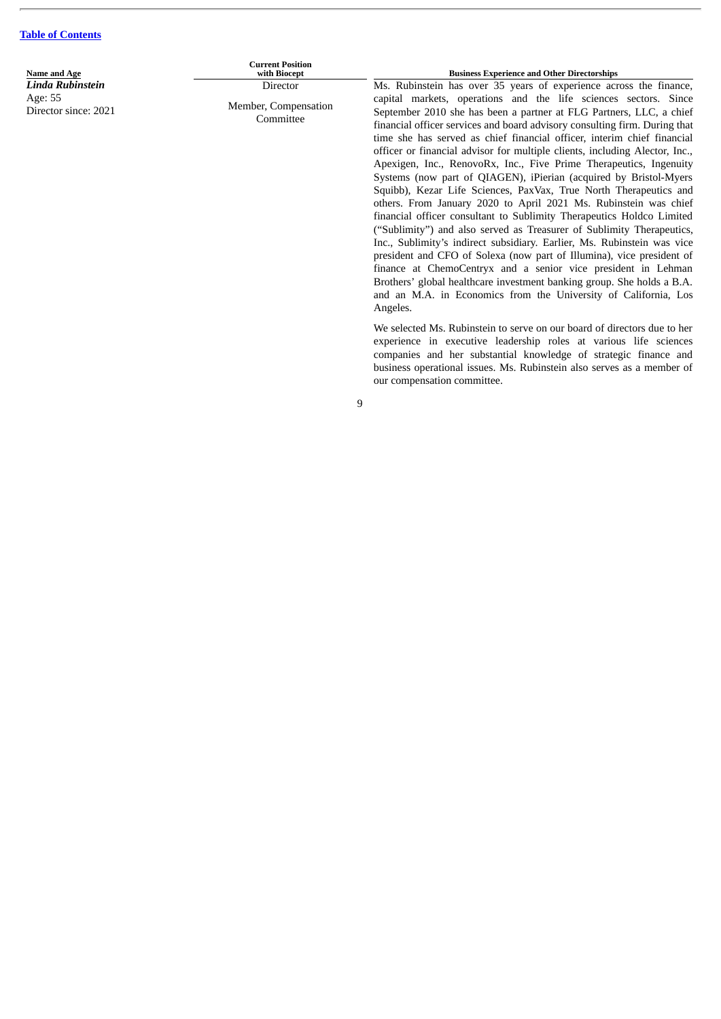**Name and Age** *Linda Rubinstein* Age: 55 Director since: 2021

**Current Position Director** Member, Compensation

**Committee** 

**Business Experience and Other Directorships** 

Ms. Rubinstein has over 35 years of experience across the finance, capital markets, operations and the life sciences sectors. Since September 2010 she has been a partner at FLG Partners, LLC, a chief financial officer services and board advisory consulting firm. During that time she has served as chief financial officer, interim chief financial officer or financial advisor for multiple clients, including Alector, Inc., Apexigen, Inc., RenovoRx, Inc., Five Prime Therapeutics, Ingenuity Systems (now part of QIAGEN), iPierian (acquired by Bristol-Myers Squibb), Kezar Life Sciences, PaxVax, True North Therapeutics and others. From January 2020 to April 2021 Ms. Rubinstein was chief financial officer consultant to Sublimity Therapeutics Holdco Limited ("Sublimity") and also served as Treasurer of Sublimity Therapeutics, Inc., Sublimity's indirect subsidiary. Earlier, Ms. Rubinstein was vice president and CFO of Solexa (now part of Illumina), vice president of finance at ChemoCentryx and a senior vice president in Lehman Brothers' global healthcare investment banking group. She holds a B.A. and an M.A. in Economics from the University of California, Los Angeles.

We selected Ms. Rubinstein to serve on our board of directors due to her experience in executive leadership roles at various life sciences companies and her substantial knowledge of strategic finance and business operational issues. Ms. Rubinstein also serves as a member of our compensation committee.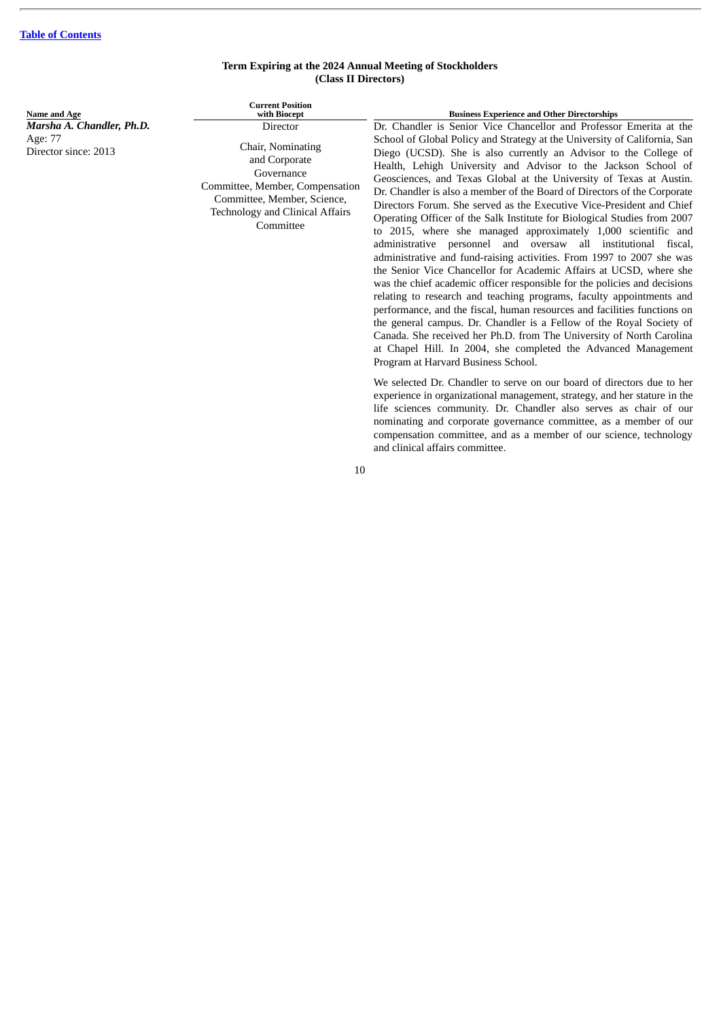# **Term Expiring at the 2024 Annual Meeting of Stockholders (Class II Directors)**

| Name and Age                                                 | <b>Current Position</b><br>with Biocept                                                                                                                                               | <b>Business Experience and Other Directorships</b>                                                                                                                                                                                                                                                                                                                                                                                                                                                                                                                                                                                                                                                                                                                                                                                                                                                                                                                                                                                                                                                                                                                                        |
|--------------------------------------------------------------|---------------------------------------------------------------------------------------------------------------------------------------------------------------------------------------|-------------------------------------------------------------------------------------------------------------------------------------------------------------------------------------------------------------------------------------------------------------------------------------------------------------------------------------------------------------------------------------------------------------------------------------------------------------------------------------------------------------------------------------------------------------------------------------------------------------------------------------------------------------------------------------------------------------------------------------------------------------------------------------------------------------------------------------------------------------------------------------------------------------------------------------------------------------------------------------------------------------------------------------------------------------------------------------------------------------------------------------------------------------------------------------------|
| Marsha A. Chandler, Ph.D.<br>Age: 77<br>Director since: 2013 | Director<br>Chair, Nominating<br>and Corporate<br>Governance<br>Committee, Member, Compensation<br>Committee, Member, Science,<br><b>Technology and Clinical Affairs</b><br>Committee | Dr. Chandler is Senior Vice Chancellor and Professor Emerita at the<br>School of Global Policy and Strategy at the University of California, San<br>Diego (UCSD). She is also currently an Advisor to the College of<br>Health, Lehigh University and Advisor to the Jackson School of<br>Geosciences, and Texas Global at the University of Texas at Austin.<br>Dr. Chandler is also a member of the Board of Directors of the Corporate<br>Directors Forum. She served as the Executive Vice-President and Chief<br>Operating Officer of the Salk Institute for Biological Studies from 2007<br>to 2015, where she managed approximately 1,000 scientific and<br>administrative personnel and oversaw all institutional fiscal,<br>administrative and fund-raising activities. From 1997 to 2007 she was<br>the Senior Vice Chancellor for Academic Affairs at UCSD, where she<br>was the chief academic officer responsible for the policies and decisions<br>relating to research and teaching programs, faculty appointments and<br>performance, and the fiscal, human resources and facilities functions on<br>the general campus. Dr. Chandler is a Fellow of the Royal Society of |

Canada. She received her Ph.D. from The University of North Carolina at Chapel Hill. In 2004, she completed the Advanced Management Program at Harvard Business School. We selected Dr. Chandler to serve on our board of directors due to her

experience in organizational management, strategy, and her stature in the life sciences community. Dr. Chandler also serves as chair of our nominating and corporate governance committee, as a member of our compensation committee, and as a member of our science, technology and clinical affairs committee.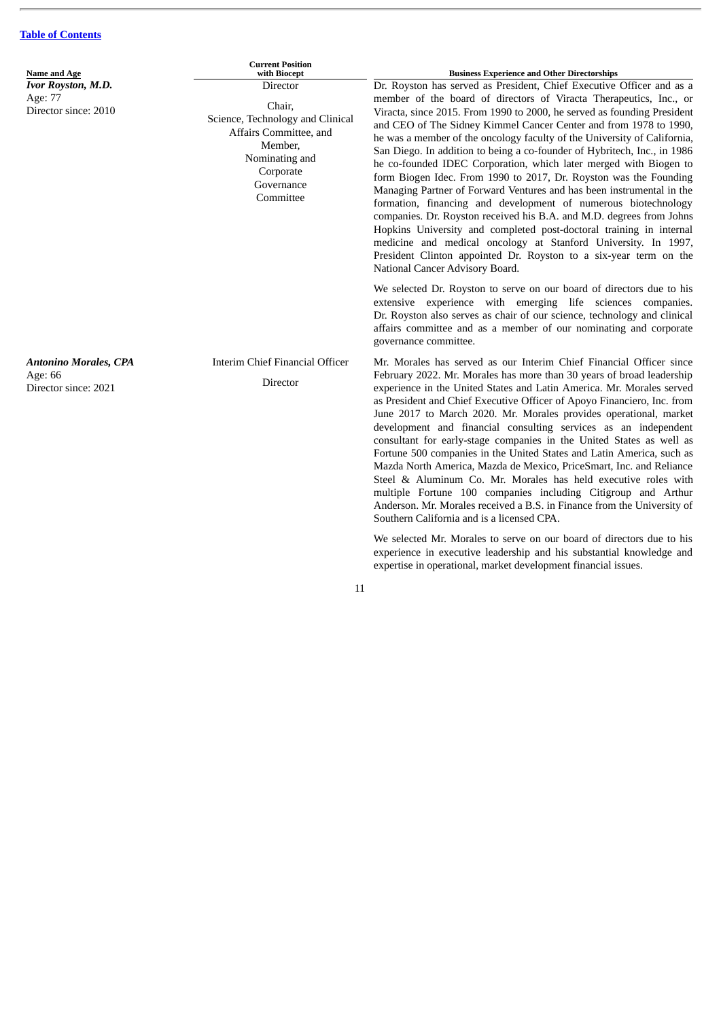| <b>Current Position</b><br>with Biocept                                                                                                                                                                                               | <b>Business Experience and Other Directorships</b>                                                                                                                                                                                                                                                                                                                                                                                                                                                                                                                                                                                                                                                                                                                                                                                                                                                                                                                                                                             |
|---------------------------------------------------------------------------------------------------------------------------------------------------------------------------------------------------------------------------------------|--------------------------------------------------------------------------------------------------------------------------------------------------------------------------------------------------------------------------------------------------------------------------------------------------------------------------------------------------------------------------------------------------------------------------------------------------------------------------------------------------------------------------------------------------------------------------------------------------------------------------------------------------------------------------------------------------------------------------------------------------------------------------------------------------------------------------------------------------------------------------------------------------------------------------------------------------------------------------------------------------------------------------------|
| Name and Age<br><b>Ivor Royston, M.D.</b><br>Director<br>Age: 77<br>Chair,<br>Director since: 2010<br>Science, Technology and Clinical<br>Affairs Committee, and<br>Member,<br>Nominating and<br>Corporate<br>Governance<br>Committee | Dr. Royston has served as President, Chief Executive Officer and as a<br>member of the board of directors of Viracta Therapeutics, Inc., or<br>Viracta, since 2015. From 1990 to 2000, he served as founding President<br>and CEO of The Sidney Kimmel Cancer Center and from 1978 to 1990,<br>he was a member of the oncology faculty of the University of California,<br>San Diego. In addition to being a co-founder of Hybritech, Inc., in 1986<br>he co-founded IDEC Corporation, which later merged with Biogen to<br>form Biogen Idec. From 1990 to 2017, Dr. Royston was the Founding<br>Managing Partner of Forward Ventures and has been instrumental in the<br>formation, financing and development of numerous biotechnology<br>companies. Dr. Royston received his B.A. and M.D. degrees from Johns<br>Hopkins University and completed post-doctoral training in internal<br>medicine and medical oncology at Stanford University. In 1997,<br>President Clinton appointed Dr. Royston to a six-year term on the |
|                                                                                                                                                                                                                                       | National Cancer Advisory Board.<br>We selected Dr. Royston to serve on our board of directors due to his<br>extensive experience with emerging life sciences companies.<br>Dr. Royston also serves as chair of our science, technology and clinical<br>affairs committee and as a member of our nominating and corporate<br>governance committee.                                                                                                                                                                                                                                                                                                                                                                                                                                                                                                                                                                                                                                                                              |
| Interim Chief Financial Officer<br>Director                                                                                                                                                                                           | Mr. Morales has served as our Interim Chief Financial Officer since<br>February 2022. Mr. Morales has more than 30 years of broad leadership<br>experience in the United States and Latin America. Mr. Morales served<br>as President and Chief Executive Officer of Apoyo Financiero, Inc. from<br>June 2017 to March 2020. Mr. Morales provides operational, market<br>development and financial consulting services as an independent<br>consultant for early-stage companies in the United States as well as<br>Fortune 500 companies in the United States and Latin America, such as<br>Mazda North America, Mazda de Mexico, PriceSmart, Inc. and Reliance<br>Steel & Aluminum Co. Mr. Morales has held executive roles with<br>multiple Fortune 100 companies including Citigroup and Arthur<br>Anderson. Mr. Morales received a B.S. in Finance from the University of<br>Southern California and is a licensed CPA.<br>We selected Mr. Morales to serve on our board of directors due to his                          |
|                                                                                                                                                                                                                                       |                                                                                                                                                                                                                                                                                                                                                                                                                                                                                                                                                                                                                                                                                                                                                                                                                                                                                                                                                                                                                                |

experience in executive leadership and his substantial knowledge and expertise in operational, market development financial issues.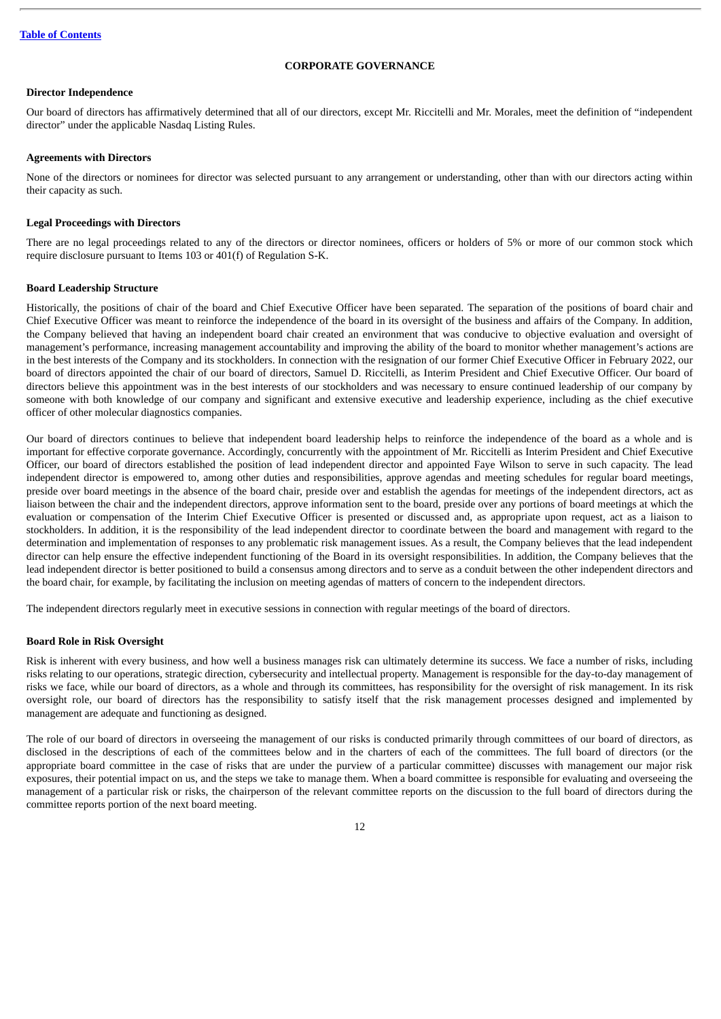# **CORPORATE GOVERNANCE**

# <span id="page-15-1"></span><span id="page-15-0"></span>**Director Independence**

Our board of directors has affirmatively determined that all of our directors, except Mr. Riccitelli and Mr. Morales, meet the definition of "independent director" under the applicable Nasdaq Listing Rules.

# <span id="page-15-2"></span>**Agreements with Directors**

None of the directors or nominees for director was selected pursuant to any arrangement or understanding, other than with our directors acting within their capacity as such.

# <span id="page-15-3"></span>**Legal Proceedings with Directors**

There are no legal proceedings related to any of the directors or director nominees, officers or holders of 5% or more of our common stock which require disclosure pursuant to Items 103 or 401(f) of Regulation S-K.

# <span id="page-15-4"></span>**Board Leadership Structure**

Historically, the positions of chair of the board and Chief Executive Officer have been separated. The separation of the positions of board chair and Chief Executive Officer was meant to reinforce the independence of the board in its oversight of the business and affairs of the Company. In addition, the Company believed that having an independent board chair created an environment that was conducive to objective evaluation and oversight of management's performance, increasing management accountability and improving the ability of the board to monitor whether management's actions are in the best interests of the Company and its stockholders. In connection with the resignation of our former Chief Executive Officer in February 2022, our board of directors appointed the chair of our board of directors, Samuel D. Riccitelli, as Interim President and Chief Executive Officer. Our board of directors believe this appointment was in the best interests of our stockholders and was necessary to ensure continued leadership of our company by someone with both knowledge of our company and significant and extensive executive and leadership experience, including as the chief executive officer of other molecular diagnostics companies.

Our board of directors continues to believe that independent board leadership helps to reinforce the independence of the board as a whole and is important for effective corporate governance. Accordingly, concurrently with the appointment of Mr. Riccitelli as Interim President and Chief Executive Officer, our board of directors established the position of lead independent director and appointed Faye Wilson to serve in such capacity. The lead independent director is empowered to, among other duties and responsibilities, approve agendas and meeting schedules for regular board meetings, preside over board meetings in the absence of the board chair, preside over and establish the agendas for meetings of the independent directors, act as liaison between the chair and the independent directors, approve information sent to the board, preside over any portions of board meetings at which the evaluation or compensation of the Interim Chief Executive Officer is presented or discussed and, as appropriate upon request, act as a liaison to stockholders. In addition, it is the responsibility of the lead independent director to coordinate between the board and management with regard to the determination and implementation of responses to any problematic risk management issues. As a result, the Company believes that the lead independent director can help ensure the effective independent functioning of the Board in its oversight responsibilities. In addition, the Company believes that the lead independent director is better positioned to build a consensus among directors and to serve as a conduit between the other independent directors and the board chair, for example, by facilitating the inclusion on meeting agendas of matters of concern to the independent directors.

The independent directors regularly meet in executive sessions in connection with regular meetings of the board of directors.

# <span id="page-15-5"></span>**Board Role in Risk Oversight**

Risk is inherent with every business, and how well a business manages risk can ultimately determine its success. We face a number of risks, including risks relating to our operations, strategic direction, cybersecurity and intellectual property. Management is responsible for the day-to-day management of risks we face, while our board of directors, as a whole and through its committees, has responsibility for the oversight of risk management. In its risk oversight role, our board of directors has the responsibility to satisfy itself that the risk management processes designed and implemented by management are adequate and functioning as designed.

The role of our board of directors in overseeing the management of our risks is conducted primarily through committees of our board of directors, as disclosed in the descriptions of each of the committees below and in the charters of each of the committees. The full board of directors (or the appropriate board committee in the case of risks that are under the purview of a particular committee) discusses with management our major risk exposures, their potential impact on us, and the steps we take to manage them. When a board committee is responsible for evaluating and overseeing the management of a particular risk or risks, the chairperson of the relevant committee reports on the discussion to the full board of directors during the committee reports portion of the next board meeting.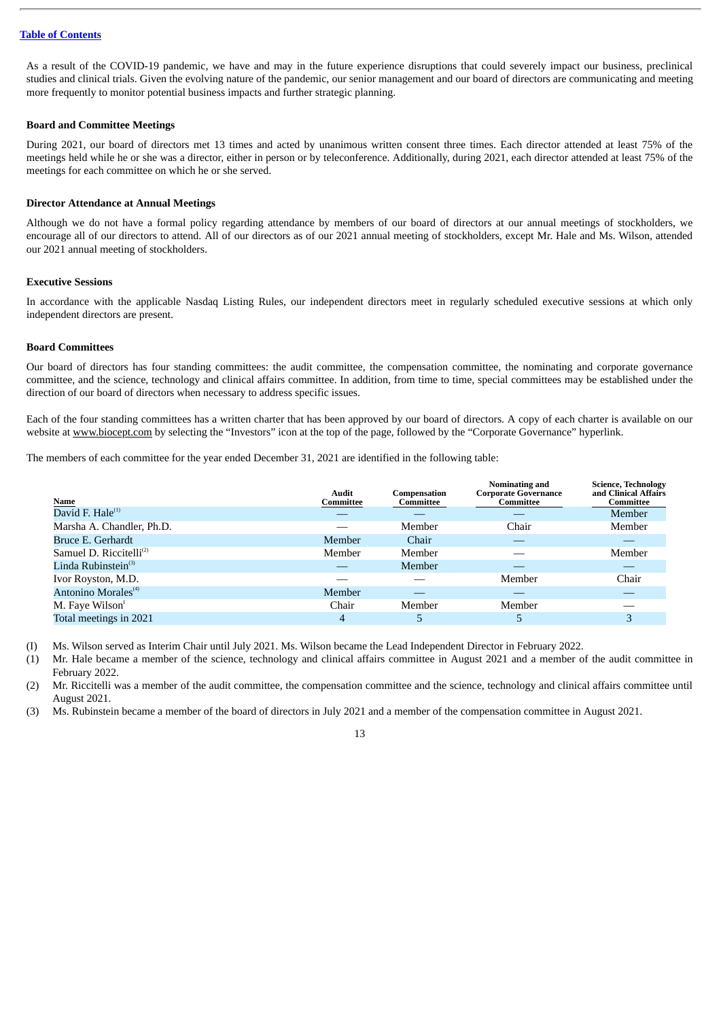As a result of the COVID-19 pandemic, we have and may in the future experience disruptions that could severely impact our business, preclinical studies and clinical trials. Given the evolving nature of the pandemic, our senior management and our board of directors are communicating and meeting more frequently to monitor potential business impacts and further strategic planning.

# <span id="page-16-0"></span>**Board and Committee Meetings**

During 2021, our board of directors met 13 times and acted by unanimous written consent three times. Each director attended at least 75% of the meetings held while he or she was a director, either in person or by teleconference. Additionally, during 2021, each director attended at least 75% of the meetings for each committee on which he or she served.

# <span id="page-16-1"></span>**Director Attendance at Annual Meetings**

Although we do not have a formal policy regarding attendance by members of our board of directors at our annual meetings of stockholders, we encourage all of our directors to attend. All of our directors as of our 2021 annual meeting of stockholders, except Mr. Hale and Ms. Wilson, attended our 2021 annual meeting of stockholders.

# <span id="page-16-2"></span>**Executive Sessions**

In accordance with the applicable Nasdaq Listing Rules, our independent directors meet in regularly scheduled executive sessions at which only independent directors are present.

# <span id="page-16-3"></span>**Board Committees**

Our board of directors has four standing committees: the audit committee, the compensation committee, the nominating and corporate governance committee, and the science, technology and clinical affairs committee. In addition, from time to time, special committees may be established under the direction of our board of directors when necessary to address specific issues.

Each of the four standing committees has a written charter that has been approved by our board of directors. A copy of each charter is available on our website at www.biocept.com by selecting the "Investors" icon at the top of the page, followed by the "Corporate Governance" hyperlink.

The members of each committee for the year ended December 31, 2021 are identified in the following table:

| Name                            | <b>Audit</b><br>Committee | Compensation<br>Committee | Nominating and<br><b>Corporate Governance</b><br>Committee | <b>Science, Technology</b><br>and Clinical Affairs<br>Committee |
|---------------------------------|---------------------------|---------------------------|------------------------------------------------------------|-----------------------------------------------------------------|
| David F. Hale <sup>(1)</sup>    |                           |                           |                                                            | Member                                                          |
| Marsha A. Chandler, Ph.D.       |                           | Member                    | Chair                                                      | Member                                                          |
| Bruce E. Gerhardt               | Member                    | Chair                     |                                                            |                                                                 |
| Samuel D. Riccitelli $^{(2)}$   | Member                    | Member                    |                                                            | Member                                                          |
| Linda Rubinstein $^{(3)}$       |                           | Member                    |                                                            |                                                                 |
| Ivor Royston, M.D.              |                           |                           | Member                                                     | Chair                                                           |
| Antonino Morales <sup>(4)</sup> | Member                    |                           |                                                            |                                                                 |
| M. Faye Wilson <sup>1</sup>     | Chair                     | Member                    | Member                                                     |                                                                 |
| Total meetings in 2021          | 4                         | 5                         | 5                                                          | 3                                                               |

(I) Ms. Wilson served as Interim Chair until July 2021. Ms. Wilson became the Lead Independent Director in February 2022.

(1) Mr. Hale became a member of the science, technology and clinical affairs committee in August 2021 and a member of the audit committee in February 2022.

(2) Mr. Riccitelli was a member of the audit committee, the compensation committee and the science, technology and clinical affairs committee until August 2021.

(3) Ms. Rubinstein became a member of the board of directors in July 2021 and a member of the compensation committee in August 2021.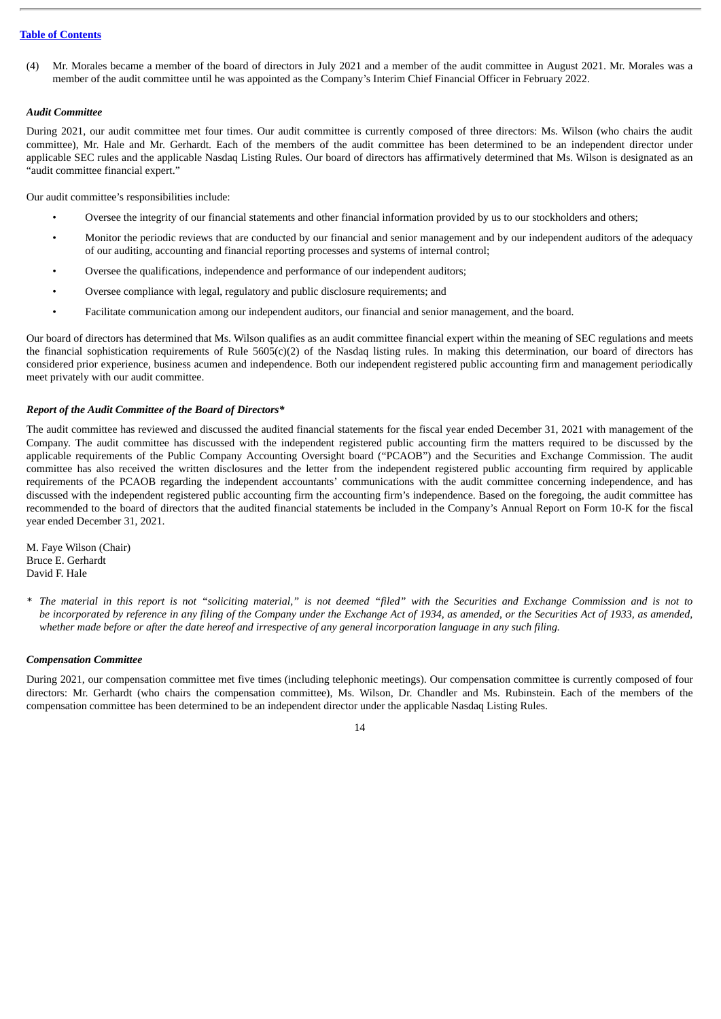(4) Mr. Morales became a member of the board of directors in July 2021 and a member of the audit committee in August 2021. Mr. Morales was a member of the audit committee until he was appointed as the Company's Interim Chief Financial Officer in February 2022.

# *Audit Committee*

During 2021, our audit committee met four times. Our audit committee is currently composed of three directors: Ms. Wilson (who chairs the audit committee), Mr. Hale and Mr. Gerhardt. Each of the members of the audit committee has been determined to be an independent director under applicable SEC rules and the applicable Nasdaq Listing Rules. Our board of directors has affirmatively determined that Ms. Wilson is designated as an "audit committee financial expert."

Our audit committee's responsibilities include:

- Oversee the integrity of our financial statements and other financial information provided by us to our stockholders and others;
- Monitor the periodic reviews that are conducted by our financial and senior management and by our independent auditors of the adequacy of our auditing, accounting and financial reporting processes and systems of internal control;
- Oversee the qualifications, independence and performance of our independent auditors;
- Oversee compliance with legal, regulatory and public disclosure requirements; and
- Facilitate communication among our independent auditors, our financial and senior management, and the board.

Our board of directors has determined that Ms. Wilson qualifies as an audit committee financial expert within the meaning of SEC regulations and meets the financial sophistication requirements of Rule 5605(c)(2) of the Nasdaq listing rules. In making this determination, our board of directors has considered prior experience, business acumen and independence. Both our independent registered public accounting firm and management periodically meet privately with our audit committee.

# *Report of the Audit Committee of the Board of Directors\**

The audit committee has reviewed and discussed the audited financial statements for the fiscal year ended December 31, 2021 with management of the Company. The audit committee has discussed with the independent registered public accounting firm the matters required to be discussed by the applicable requirements of the Public Company Accounting Oversight board ("PCAOB") and the Securities and Exchange Commission. The audit committee has also received the written disclosures and the letter from the independent registered public accounting firm required by applicable requirements of the PCAOB regarding the independent accountants' communications with the audit committee concerning independence, and has discussed with the independent registered public accounting firm the accounting firm's independence. Based on the foregoing, the audit committee has recommended to the board of directors that the audited financial statements be included in the Company's Annual Report on Form 10-K for the fiscal year ended December 31, 2021.

M. Faye Wilson (Chair) Bruce E. Gerhardt David F. Hale

\* The material in this report is not "soliciting material," is not deemed "filed" with the Securities and Exchange Commission and is not to be incorporated by reference in any filing of the Company under the Exchange Act of 1934, as amended, or the Securities Act of 1933, as amended, whether made before or after the date hereof and irrespective of any general incorporation language in any such filing.

# *Compensation Committee*

During 2021, our compensation committee met five times (including telephonic meetings). Our compensation committee is currently composed of four directors: Mr. Gerhardt (who chairs the compensation committee), Ms. Wilson, Dr. Chandler and Ms. Rubinstein. Each of the members of the compensation committee has been determined to be an independent director under the applicable Nasdaq Listing Rules.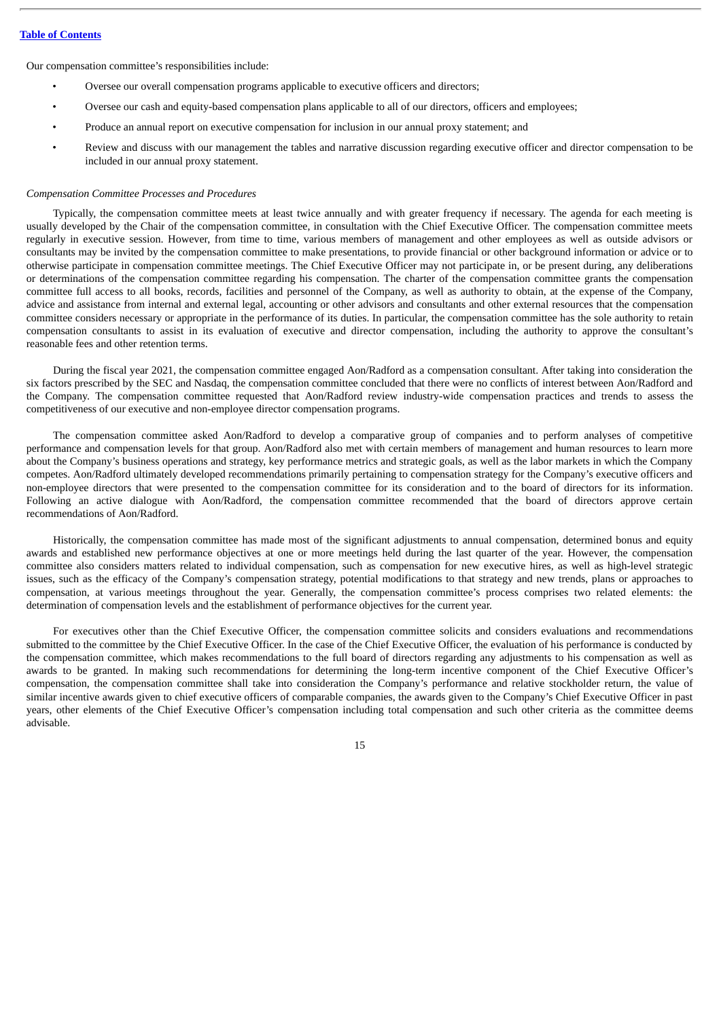Our compensation committee's responsibilities include:

- Oversee our overall compensation programs applicable to executive officers and directors;
- Oversee our cash and equity-based compensation plans applicable to all of our directors, officers and employees;
- Produce an annual report on executive compensation for inclusion in our annual proxy statement; and
- Review and discuss with our management the tables and narrative discussion regarding executive officer and director compensation to be included in our annual proxy statement.

# *Compensation Committee Processes and Procedures*

Typically, the compensation committee meets at least twice annually and with greater frequency if necessary. The agenda for each meeting is usually developed by the Chair of the compensation committee, in consultation with the Chief Executive Officer. The compensation committee meets regularly in executive session. However, from time to time, various members of management and other employees as well as outside advisors or consultants may be invited by the compensation committee to make presentations, to provide financial or other background information or advice or to otherwise participate in compensation committee meetings. The Chief Executive Officer may not participate in, or be present during, any deliberations or determinations of the compensation committee regarding his compensation. The charter of the compensation committee grants the compensation committee full access to all books, records, facilities and personnel of the Company, as well as authority to obtain, at the expense of the Company, advice and assistance from internal and external legal, accounting or other advisors and consultants and other external resources that the compensation committee considers necessary or appropriate in the performance of its duties. In particular, the compensation committee has the sole authority to retain compensation consultants to assist in its evaluation of executive and director compensation, including the authority to approve the consultant's reasonable fees and other retention terms.

During the fiscal year 2021, the compensation committee engaged Aon/Radford as a compensation consultant. After taking into consideration the six factors prescribed by the SEC and Nasdaq, the compensation committee concluded that there were no conflicts of interest between Aon/Radford and the Company. The compensation committee requested that Aon/Radford review industry-wide compensation practices and trends to assess the competitiveness of our executive and non-employee director compensation programs.

The compensation committee asked Aon/Radford to develop a comparative group of companies and to perform analyses of competitive performance and compensation levels for that group. Aon/Radford also met with certain members of management and human resources to learn more about the Company's business operations and strategy, key performance metrics and strategic goals, as well as the labor markets in which the Company competes. Aon/Radford ultimately developed recommendations primarily pertaining to compensation strategy for the Company's executive officers and non-employee directors that were presented to the compensation committee for its consideration and to the board of directors for its information. Following an active dialogue with Aon/Radford, the compensation committee recommended that the board of directors approve certain recommendations of Aon/Radford.

Historically, the compensation committee has made most of the significant adjustments to annual compensation, determined bonus and equity awards and established new performance objectives at one or more meetings held during the last quarter of the year. However, the compensation committee also considers matters related to individual compensation, such as compensation for new executive hires, as well as high-level strategic issues, such as the efficacy of the Company's compensation strategy, potential modifications to that strategy and new trends, plans or approaches to compensation, at various meetings throughout the year. Generally, the compensation committee's process comprises two related elements: the determination of compensation levels and the establishment of performance objectives for the current year.

For executives other than the Chief Executive Officer, the compensation committee solicits and considers evaluations and recommendations submitted to the committee by the Chief Executive Officer. In the case of the Chief Executive Officer, the evaluation of his performance is conducted by the compensation committee, which makes recommendations to the full board of directors regarding any adjustments to his compensation as well as awards to be granted. In making such recommendations for determining the long-term incentive component of the Chief Executive Officer's compensation, the compensation committee shall take into consideration the Company's performance and relative stockholder return, the value of similar incentive awards given to chief executive officers of comparable companies, the awards given to the Company's Chief Executive Officer in past years, other elements of the Chief Executive Officer's compensation including total compensation and such other criteria as the committee deems advisable.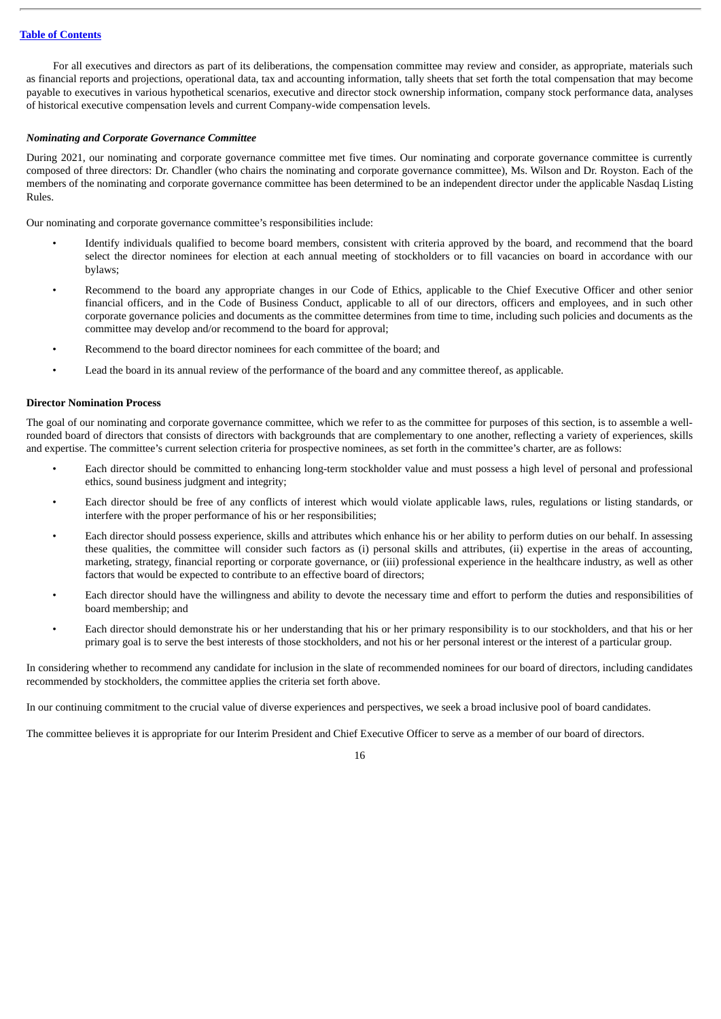For all executives and directors as part of its deliberations, the compensation committee may review and consider, as appropriate, materials such as financial reports and projections, operational data, tax and accounting information, tally sheets that set forth the total compensation that may become payable to executives in various hypothetical scenarios, executive and director stock ownership information, company stock performance data, analyses of historical executive compensation levels and current Company-wide compensation levels.

# *Nominating and Corporate Governance Committee*

During 2021, our nominating and corporate governance committee met five times. Our nominating and corporate governance committee is currently composed of three directors: Dr. Chandler (who chairs the nominating and corporate governance committee), Ms. Wilson and Dr. Royston. Each of the members of the nominating and corporate governance committee has been determined to be an independent director under the applicable Nasdaq Listing Rules.

Our nominating and corporate governance committee's responsibilities include:

- Identify individuals qualified to become board members, consistent with criteria approved by the board, and recommend that the board select the director nominees for election at each annual meeting of stockholders or to fill vacancies on board in accordance with our bylaws;
- Recommend to the board any appropriate changes in our Code of Ethics, applicable to the Chief Executive Officer and other senior financial officers, and in the Code of Business Conduct, applicable to all of our directors, officers and employees, and in such other corporate governance policies and documents as the committee determines from time to time, including such policies and documents as the committee may develop and/or recommend to the board for approval;
- Recommend to the board director nominees for each committee of the board; and
- Lead the board in its annual review of the performance of the board and any committee thereof, as applicable.

# <span id="page-19-0"></span>**Director Nomination Process**

The goal of our nominating and corporate governance committee, which we refer to as the committee for purposes of this section, is to assemble a wellrounded board of directors that consists of directors with backgrounds that are complementary to one another, reflecting a variety of experiences, skills and expertise. The committee's current selection criteria for prospective nominees, as set forth in the committee's charter, are as follows:

- Each director should be committed to enhancing long-term stockholder value and must possess a high level of personal and professional ethics, sound business judgment and integrity;
- Each director should be free of any conflicts of interest which would violate applicable laws, rules, regulations or listing standards, or interfere with the proper performance of his or her responsibilities;
- Each director should possess experience, skills and attributes which enhance his or her ability to perform duties on our behalf. In assessing these qualities, the committee will consider such factors as (i) personal skills and attributes, (ii) expertise in the areas of accounting, marketing, strategy, financial reporting or corporate governance, or (iii) professional experience in the healthcare industry, as well as other factors that would be expected to contribute to an effective board of directors;
- Each director should have the willingness and ability to devote the necessary time and effort to perform the duties and responsibilities of board membership; and
- Each director should demonstrate his or her understanding that his or her primary responsibility is to our stockholders, and that his or her primary goal is to serve the best interests of those stockholders, and not his or her personal interest or the interest of a particular group.

In considering whether to recommend any candidate for inclusion in the slate of recommended nominees for our board of directors, including candidates recommended by stockholders, the committee applies the criteria set forth above.

In our continuing commitment to the crucial value of diverse experiences and perspectives, we seek a broad inclusive pool of board candidates.

The committee believes it is appropriate for our Interim President and Chief Executive Officer to serve as a member of our board of directors.

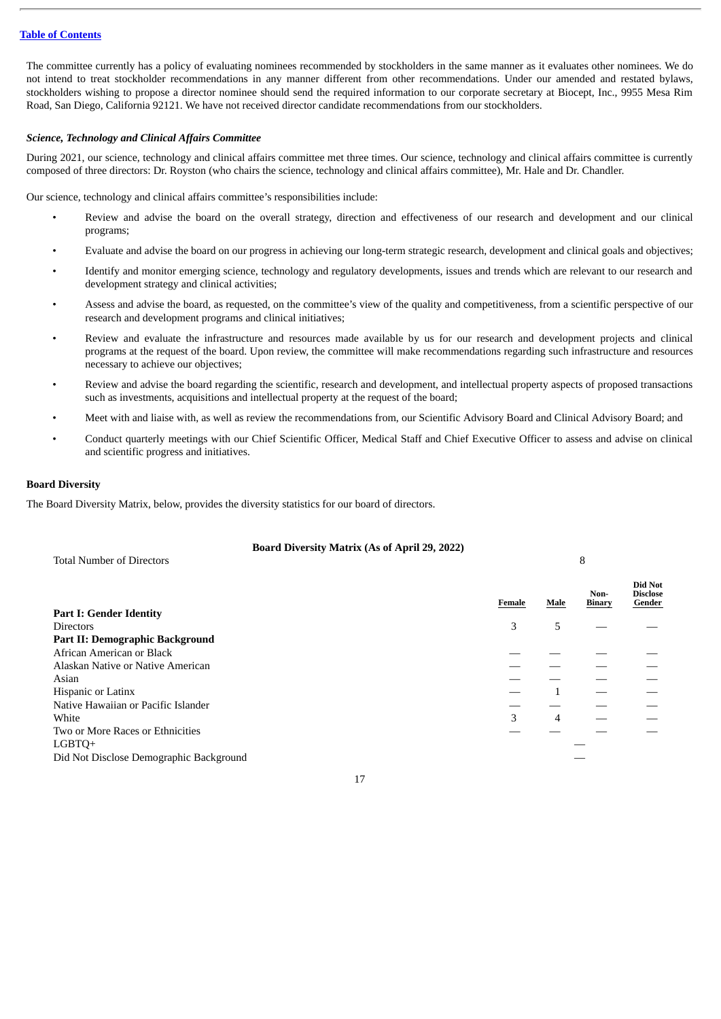The committee currently has a policy of evaluating nominees recommended by stockholders in the same manner as it evaluates other nominees. We do not intend to treat stockholder recommendations in any manner different from other recommendations. Under our amended and restated bylaws, stockholders wishing to propose a director nominee should send the required information to our corporate secretary at Biocept, Inc., 9955 Mesa Rim Road, San Diego, California 92121. We have not received director candidate recommendations from our stockholders.

# *Science, Technology and Clinical Affairs Committee*

During 2021, our science, technology and clinical affairs committee met three times. Our science, technology and clinical affairs committee is currently composed of three directors: Dr. Royston (who chairs the science, technology and clinical affairs committee), Mr. Hale and Dr. Chandler.

Our science, technology and clinical affairs committee's responsibilities include:

- Review and advise the board on the overall strategy, direction and effectiveness of our research and development and our clinical programs;
- Evaluate and advise the board on our progress in achieving our long-term strategic research, development and clinical goals and objectives;
- Identify and monitor emerging science, technology and regulatory developments, issues and trends which are relevant to our research and development strategy and clinical activities;
- Assess and advise the board, as requested, on the committee's view of the quality and competitiveness, from a scientific perspective of our research and development programs and clinical initiatives;
- Review and evaluate the infrastructure and resources made available by us for our research and development projects and clinical programs at the request of the board. Upon review, the committee will make recommendations regarding such infrastructure and resources necessary to achieve our objectives;
- Review and advise the board regarding the scientific, research and development, and intellectual property aspects of proposed transactions such as investments, acquisitions and intellectual property at the request of the board;
- Meet with and liaise with, as well as review the recommendations from, our Scientific Advisory Board and Clinical Advisory Board; and
- Conduct quarterly meetings with our Chief Scientific Officer, Medical Staff and Chief Executive Officer to assess and advise on clinical and scientific progress and initiatives.

# **Board Diversity**

The Board Diversity Matrix, below, provides the diversity statistics for our board of directors.

# **Board Diversity Matrix (As of April 29, 2022)** Total Number of Directors 8

|                                         |        |                | Non-          | Did Not<br><b>Disclose</b> |
|-----------------------------------------|--------|----------------|---------------|----------------------------|
| <b>Part I: Gender Identity</b>          | Female | Male           | <b>Binary</b> | Gender                     |
| <b>Directors</b>                        | 3      | 5              |               |                            |
| Part II: Demographic Background         |        |                |               |                            |
| African American or Black               |        |                |               |                            |
| Alaskan Native or Native American       |        |                |               |                            |
| Asian                                   |        |                |               |                            |
| <b>Hispanic or Latinx</b>               |        |                |               |                            |
| Native Hawaiian or Pacific Islander     |        |                |               |                            |
| White                                   | 3      | $\overline{4}$ |               |                            |
| Two or More Races or Ethnicities        |        |                |               |                            |
| LGBTQ+                                  |        |                |               |                            |
| Did Not Disclose Demographic Background |        |                |               |                            |
|                                         |        |                |               |                            |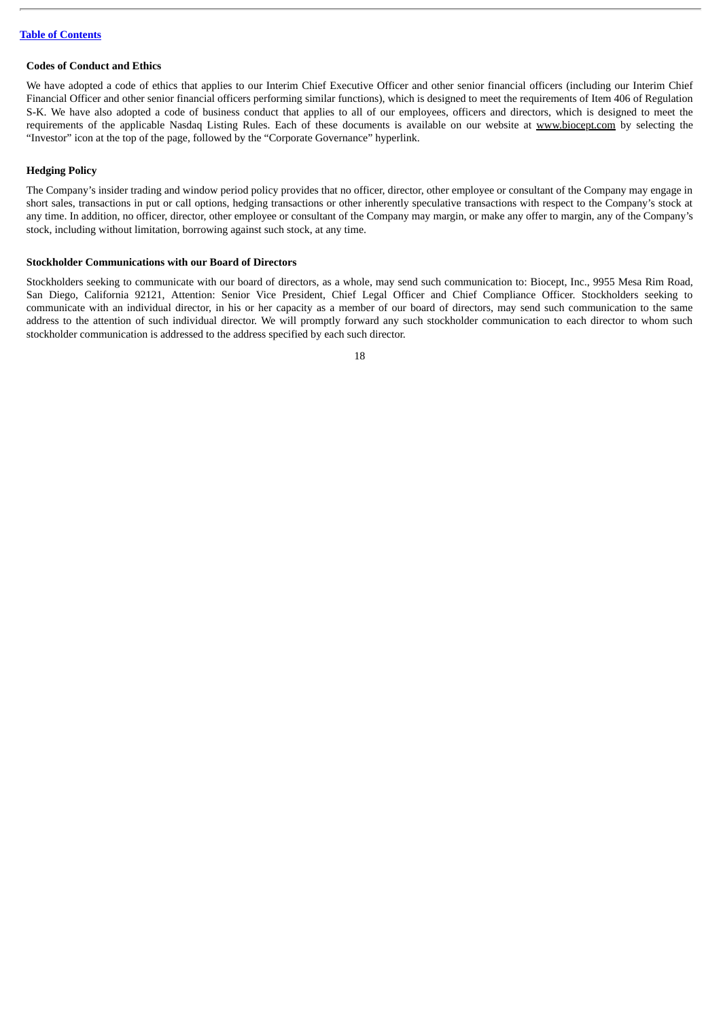# <span id="page-21-0"></span>**Codes of Conduct and Ethics**

We have adopted a code of ethics that applies to our Interim Chief Executive Officer and other senior financial officers (including our Interim Chief Financial Officer and other senior financial officers performing similar functions), which is designed to meet the requirements of Item 406 of Regulation S-K. We have also adopted a code of business conduct that applies to all of our employees, officers and directors, which is designed to meet the requirements of the applicable Nasdaq Listing Rules. Each of these documents is available on our website at www.biocept.com by selecting the "Investor" icon at the top of the page, followed by the "Corporate Governance" hyperlink.

# <span id="page-21-1"></span>**Hedging Policy**

The Company's insider trading and window period policy provides that no officer, director, other employee or consultant of the Company may engage in short sales, transactions in put or call options, hedging transactions or other inherently speculative transactions with respect to the Company's stock at any time. In addition, no officer, director, other employee or consultant of the Company may margin, or make any offer to margin, any of the Company's stock, including without limitation, borrowing against such stock, at any time.

# <span id="page-21-2"></span>**Stockholder Communications with our Board of Directors**

Stockholders seeking to communicate with our board of directors, as a whole, may send such communication to: Biocept, Inc., 9955 Mesa Rim Road, San Diego, California 92121, Attention: Senior Vice President, Chief Legal Officer and Chief Compliance Officer. Stockholders seeking to communicate with an individual director, in his or her capacity as a member of our board of directors, may send such communication to the same address to the attention of such individual director. We will promptly forward any such stockholder communication to each director to whom such stockholder communication is addressed to the address specified by each such director.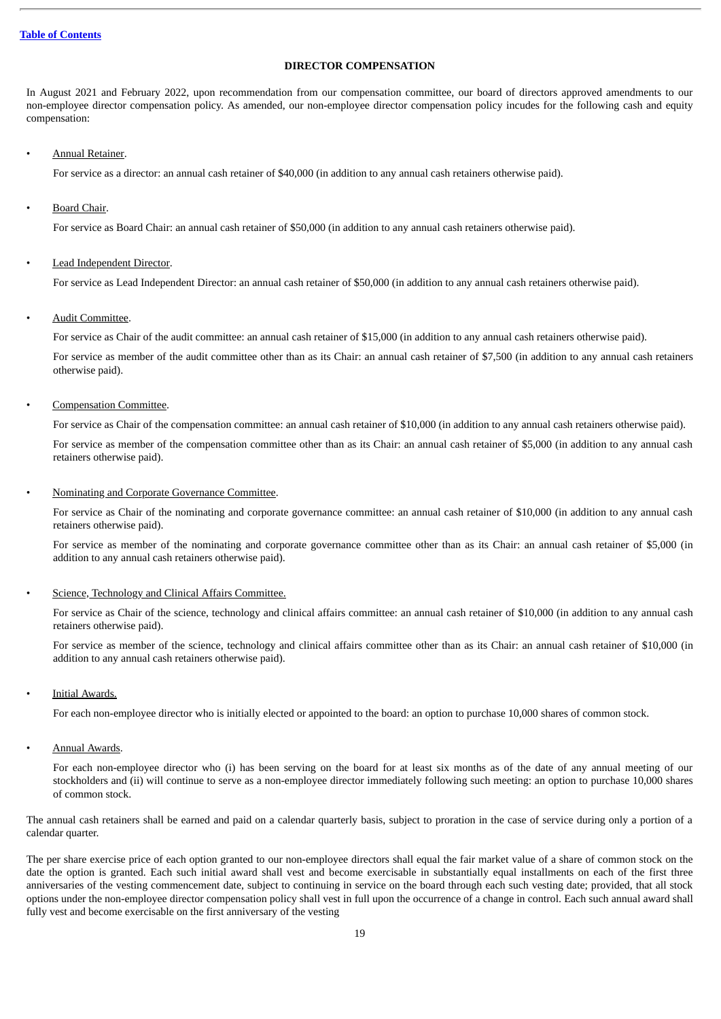# **DIRECTOR COMPENSATION**

<span id="page-22-0"></span>In August 2021 and February 2022, upon recommendation from our compensation committee, our board of directors approved amendments to our non-employee director compensation policy. As amended, our non-employee director compensation policy incudes for the following cash and equity compensation:

# • Annual Retainer.

For service as a director: an annual cash retainer of \$40,000 (in addition to any annual cash retainers otherwise paid).

Board Chair.

For service as Board Chair: an annual cash retainer of \$50,000 (in addition to any annual cash retainers otherwise paid).

# Lead Independent Director.

For service as Lead Independent Director: an annual cash retainer of \$50,000 (in addition to any annual cash retainers otherwise paid).

# • Audit Committee.

For service as Chair of the audit committee: an annual cash retainer of \$15,000 (in addition to any annual cash retainers otherwise paid).

For service as member of the audit committee other than as its Chair: an annual cash retainer of \$7,500 (in addition to any annual cash retainers otherwise paid).

• Compensation Committee.

For service as Chair of the compensation committee: an annual cash retainer of \$10,000 (in addition to any annual cash retainers otherwise paid).

For service as member of the compensation committee other than as its Chair: an annual cash retainer of \$5,000 (in addition to any annual cash retainers otherwise paid).

• Nominating and Corporate Governance Committee.

For service as Chair of the nominating and corporate governance committee: an annual cash retainer of \$10,000 (in addition to any annual cash retainers otherwise paid).

For service as member of the nominating and corporate governance committee other than as its Chair: an annual cash retainer of \$5,000 (in addition to any annual cash retainers otherwise paid).

# Science, Technology and Clinical Affairs Committee.

For service as Chair of the science, technology and clinical affairs committee: an annual cash retainer of \$10,000 (in addition to any annual cash retainers otherwise paid).

For service as member of the science, technology and clinical affairs committee other than as its Chair: an annual cash retainer of \$10,000 (in addition to any annual cash retainers otherwise paid).

Initial Awards.

For each non-employee director who is initially elected or appointed to the board: an option to purchase 10,000 shares of common stock.

**Annual Awards.** 

For each non-employee director who (i) has been serving on the board for at least six months as of the date of any annual meeting of our stockholders and (ii) will continue to serve as a non-employee director immediately following such meeting: an option to purchase 10,000 shares of common stock.

The annual cash retainers shall be earned and paid on a calendar quarterly basis, subject to proration in the case of service during only a portion of a calendar quarter.

The per share exercise price of each option granted to our non-employee directors shall equal the fair market value of a share of common stock on the date the option is granted. Each such initial award shall vest and become exercisable in substantially equal installments on each of the first three anniversaries of the vesting commencement date, subject to continuing in service on the board through each such vesting date; provided, that all stock options under the non-employee director compensation policy shall vest in full upon the occurrence of a change in control. Each such annual award shall fully vest and become exercisable on the first anniversary of the vesting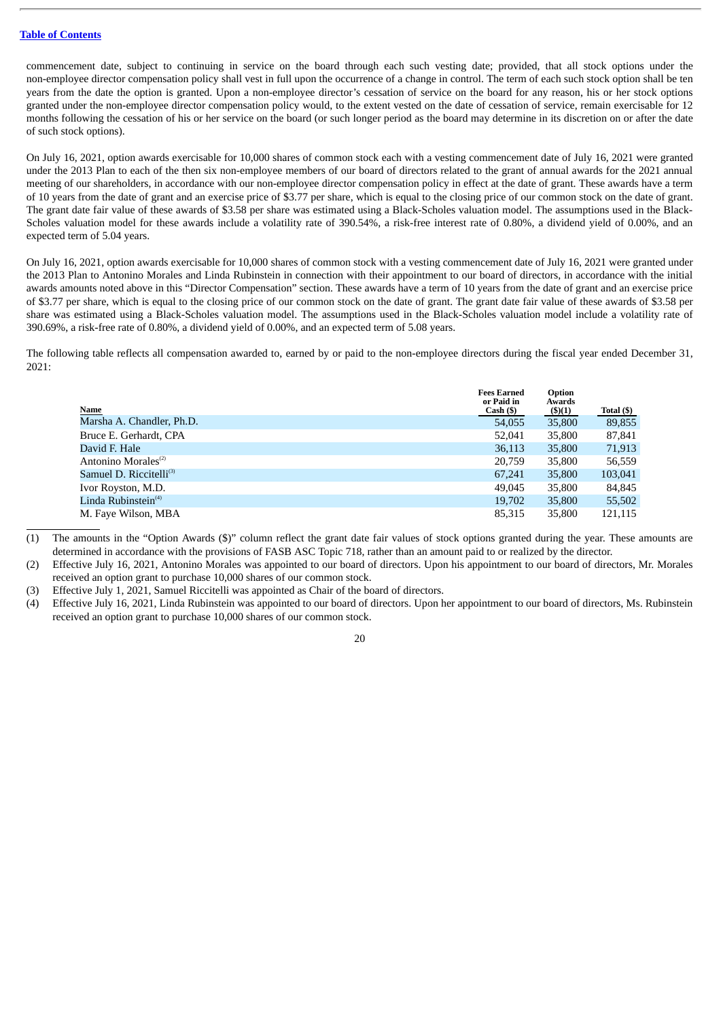commencement date, subject to continuing in service on the board through each such vesting date; provided, that all stock options under the non-employee director compensation policy shall vest in full upon the occurrence of a change in control. The term of each such stock option shall be ten years from the date the option is granted. Upon a non-employee director's cessation of service on the board for any reason, his or her stock options granted under the non-employee director compensation policy would, to the extent vested on the date of cessation of service, remain exercisable for 12 months following the cessation of his or her service on the board (or such longer period as the board may determine in its discretion on or after the date of such stock options).

On July 16, 2021, option awards exercisable for 10,000 shares of common stock each with a vesting commencement date of July 16, 2021 were granted under the 2013 Plan to each of the then six non-employee members of our board of directors related to the grant of annual awards for the 2021 annual meeting of our shareholders, in accordance with our non-employee director compensation policy in effect at the date of grant. These awards have a term of 10 years from the date of grant and an exercise price of \$3.77 per share, which is equal to the closing price of our common stock on the date of grant. The grant date fair value of these awards of \$3.58 per share was estimated using a Black-Scholes valuation model. The assumptions used in the Black-Scholes valuation model for these awards include a volatility rate of 390.54%, a risk-free interest rate of 0.80%, a dividend yield of 0.00%, and an expected term of 5.04 years.

On July 16, 2021, option awards exercisable for 10,000 shares of common stock with a vesting commencement date of July 16, 2021 were granted under the 2013 Plan to Antonino Morales and Linda Rubinstein in connection with their appointment to our board of directors, in accordance with the initial awards amounts noted above in this "Director Compensation" section. These awards have a term of 10 years from the date of grant and an exercise price of \$3.77 per share, which is equal to the closing price of our common stock on the date of grant. The grant date fair value of these awards of \$3.58 per share was estimated using a Black-Scholes valuation model. The assumptions used in the Black-Scholes valuation model include a volatility rate of 390.69%, a risk-free rate of 0.80%, a dividend yield of 0.00%, and an expected term of 5.08 years.

The following table reflects all compensation awarded to, earned by or paid to the non-employee directors during the fiscal year ended December 31, 2021:

|                                     | <b>Fees Earned</b><br>or Paid in | Option<br>Awards |            |
|-------------------------------------|----------------------------------|------------------|------------|
| Name                                | Cash (\$)                        | (\$)(1)          | Total (\$) |
| Marsha A. Chandler, Ph.D.           | 54,055                           | 35,800           | 89,855     |
| Bruce E. Gerhardt, CPA              | 52,041                           | 35,800           | 87,841     |
| David F. Hale                       | 36,113                           | 35,800           | 71,913     |
| Antonino Morales <sup>(2)</sup>     | 20,759                           | 35,800           | 56,559     |
| Samuel D. Riccitelli <sup>(3)</sup> | 67,241                           | 35,800           | 103,041    |
| Ivor Royston, M.D.                  | 49,045                           | 35,800           | 84,845     |
| Linda Rubinstein <sup>(4)</sup>     | 19,702                           | 35,800           | 55,502     |
| M. Faye Wilson, MBA                 | 85,315                           | 35,800           | 121,115    |

(1) The amounts in the "Option Awards (\$)" column reflect the grant date fair values of stock options granted during the year. These amounts are determined in accordance with the provisions of FASB ASC Topic 718, rather than an amount paid to or realized by the director.

(2) Effective July 16, 2021, Antonino Morales was appointed to our board of directors. Upon his appointment to our board of directors, Mr. Morales received an option grant to purchase 10,000 shares of our common stock.

- (3) Effective July 1, 2021, Samuel Riccitelli was appointed as Chair of the board of directors.
- (4) Effective July 16, 2021, Linda Rubinstein was appointed to our board of directors. Upon her appointment to our board of directors, Ms. Rubinstein received an option grant to purchase 10,000 shares of our common stock.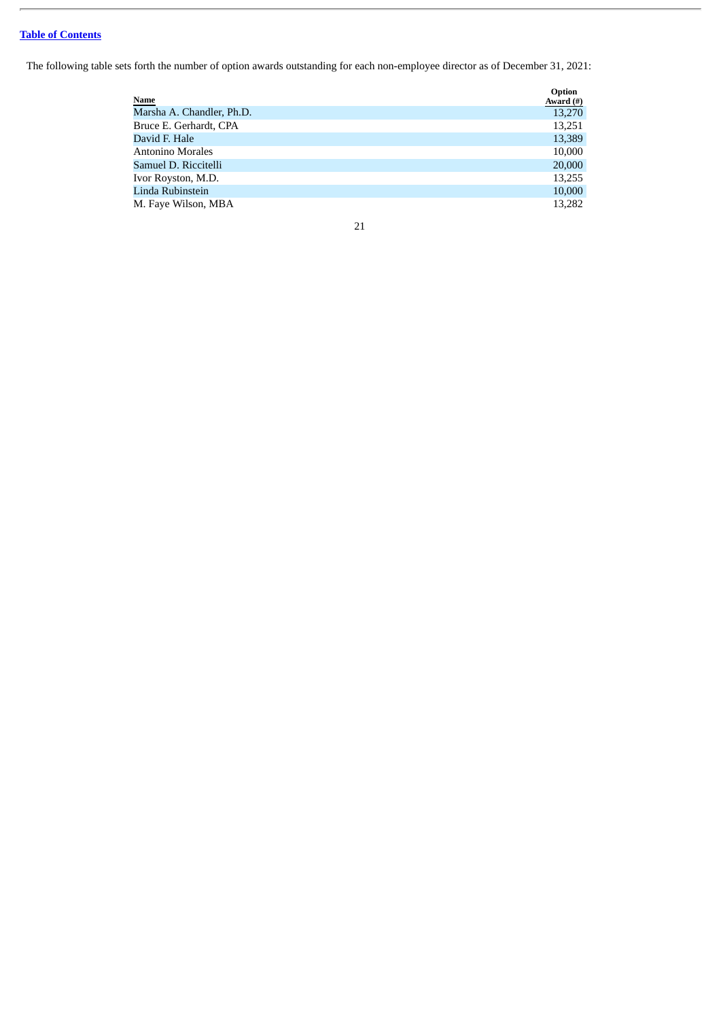The following table sets forth the number of option awards outstanding for each non-employee director as of December 31, 2021:

| <b>Name</b>               | Option<br>Award $(\#)$ |
|---------------------------|------------------------|
| Marsha A. Chandler, Ph.D. | 13,270                 |
| Bruce E. Gerhardt, CPA    | 13,251                 |
| David F. Hale             | 13,389                 |
| <b>Antonino Morales</b>   | 10,000                 |
| Samuel D. Riccitelli      | 20,000                 |
| Ivor Royston, M.D.        | 13,255                 |
| Linda Rubinstein          | 10,000                 |
| M. Faye Wilson, MBA       | 13,282                 |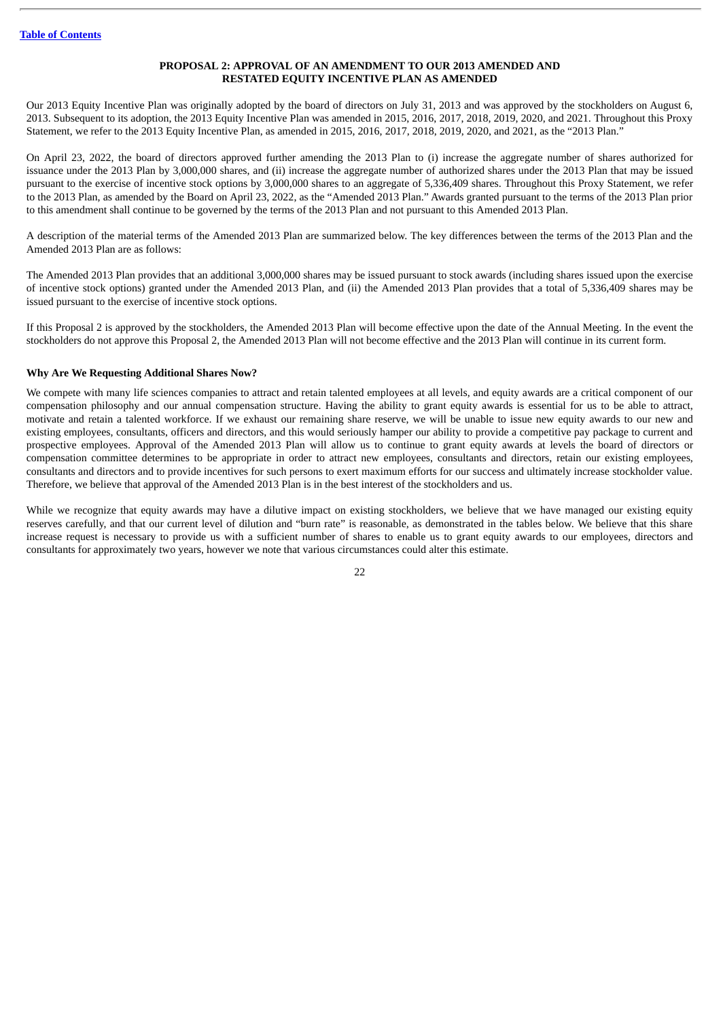# **PROPOSAL 2: APPROVAL OF AN AMENDMENT TO OUR 2013 AMENDED AND RESTATED EQUITY INCENTIVE PLAN AS AMENDED**

<span id="page-25-0"></span>Our 2013 Equity Incentive Plan was originally adopted by the board of directors on July 31, 2013 and was approved by the stockholders on August 6, 2013. Subsequent to its adoption, the 2013 Equity Incentive Plan was amended in 2015, 2016, 2017, 2018, 2019, 2020, and 2021. Throughout this Proxy Statement, we refer to the 2013 Equity Incentive Plan, as amended in 2015, 2016, 2017, 2018, 2019, 2020, and 2021, as the "2013 Plan."

On April 23, 2022, the board of directors approved further amending the 2013 Plan to (i) increase the aggregate number of shares authorized for issuance under the 2013 Plan by 3,000,000 shares, and (ii) increase the aggregate number of authorized shares under the 2013 Plan that may be issued pursuant to the exercise of incentive stock options by 3,000,000 shares to an aggregate of 5,336,409 shares. Throughout this Proxy Statement, we refer to the 2013 Plan, as amended by the Board on April 23, 2022, as the "Amended 2013 Plan." Awards granted pursuant to the terms of the 2013 Plan prior to this amendment shall continue to be governed by the terms of the 2013 Plan and not pursuant to this Amended 2013 Plan.

A description of the material terms of the Amended 2013 Plan are summarized below. The key differences between the terms of the 2013 Plan and the Amended 2013 Plan are as follows:

The Amended 2013 Plan provides that an additional 3,000,000 shares may be issued pursuant to stock awards (including shares issued upon the exercise of incentive stock options) granted under the Amended 2013 Plan, and (ii) the Amended 2013 Plan provides that a total of 5,336,409 shares may be issued pursuant to the exercise of incentive stock options.

If this Proposal 2 is approved by the stockholders, the Amended 2013 Plan will become effective upon the date of the Annual Meeting. In the event the stockholders do not approve this Proposal 2, the Amended 2013 Plan will not become effective and the 2013 Plan will continue in its current form.

# **Why Are We Requesting Additional Shares Now?**

We compete with many life sciences companies to attract and retain talented employees at all levels, and equity awards are a critical component of our compensation philosophy and our annual compensation structure. Having the ability to grant equity awards is essential for us to be able to attract, motivate and retain a talented workforce. If we exhaust our remaining share reserve, we will be unable to issue new equity awards to our new and existing employees, consultants, officers and directors, and this would seriously hamper our ability to provide a competitive pay package to current and prospective employees. Approval of the Amended 2013 Plan will allow us to continue to grant equity awards at levels the board of directors or compensation committee determines to be appropriate in order to attract new employees, consultants and directors, retain our existing employees, consultants and directors and to provide incentives for such persons to exert maximum efforts for our success and ultimately increase stockholder value. Therefore, we believe that approval of the Amended 2013 Plan is in the best interest of the stockholders and us.

While we recognize that equity awards may have a dilutive impact on existing stockholders, we believe that we have managed our existing equity reserves carefully, and that our current level of dilution and "burn rate" is reasonable, as demonstrated in the tables below. We believe that this share increase request is necessary to provide us with a sufficient number of shares to enable us to grant equity awards to our employees, directors and consultants for approximately two years, however we note that various circumstances could alter this estimate.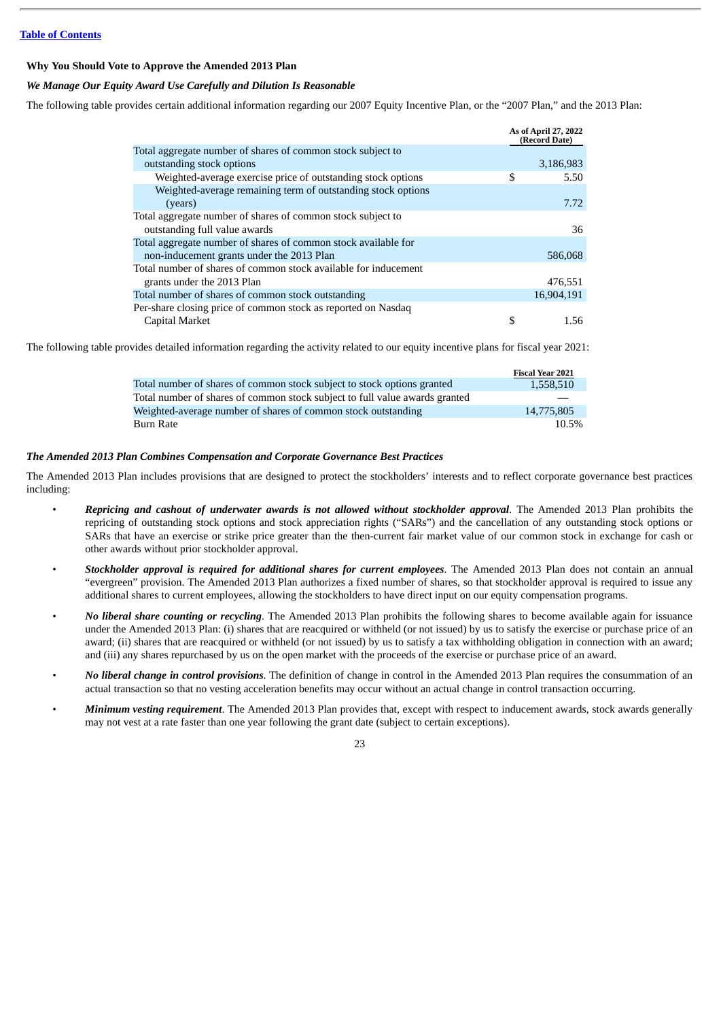# **Why You Should Vote to Approve the Amended 2013 Plan**

# *We Manage Our Equity Award Use Carefully and Dilution Is Reasonable*

The following table provides certain additional information regarding our 2007 Equity Incentive Plan, or the "2007 Plan," and the 2013 Plan:

|                                                                 | As of April 27, 2022<br>(Record Date) |
|-----------------------------------------------------------------|---------------------------------------|
| Total aggregate number of shares of common stock subject to     |                                       |
| outstanding stock options                                       | 3,186,983                             |
| Weighted-average exercise price of outstanding stock options    | \$<br>5.50                            |
| Weighted-average remaining term of outstanding stock options    |                                       |
| (years)                                                         | 7.72                                  |
| Total aggregate number of shares of common stock subject to     |                                       |
| outstanding full value awards                                   | 36                                    |
| Total aggregate number of shares of common stock available for  |                                       |
| non-inducement grants under the 2013 Plan                       | 586,068                               |
| Total number of shares of common stock available for inducement |                                       |
| grants under the 2013 Plan                                      | 476,551                               |
| Total number of shares of common stock outstanding              | 16,904,191                            |
| Per-share closing price of common stock as reported on Nasdag   |                                       |
| Capital Market                                                  | 1.56                                  |

The following table provides detailed information regarding the activity related to our equity incentive plans for fiscal year 2021:

|                                                                             | <b>Fiscal Year 2021</b> |
|-----------------------------------------------------------------------------|-------------------------|
| Total number of shares of common stock subject to stock options granted     | 1,558,510               |
| Total number of shares of common stock subject to full value awards granted |                         |
| Weighted-average number of shares of common stock outstanding               | 14,775,805              |
| <b>Burn Rate</b>                                                            | $10.5\%$                |

# *The Amended 2013 Plan Combines Compensation and Corporate Governance Best Practices*

The Amended 2013 Plan includes provisions that are designed to protect the stockholders' interests and to reflect corporate governance best practices including:

- *Repricing and cashout of underwater awards is not allowed without stockholder approval*. The Amended 2013 Plan prohibits the repricing of outstanding stock options and stock appreciation rights ("SARs") and the cancellation of any outstanding stock options or SARs that have an exercise or strike price greater than the then-current fair market value of our common stock in exchange for cash or other awards without prior stockholder approval.
- *Stockholder approval is required for additional shares for current employees*. The Amended 2013 Plan does not contain an annual "evergreen" provision. The Amended 2013 Plan authorizes a fixed number of shares, so that stockholder approval is required to issue any additional shares to current employees, allowing the stockholders to have direct input on our equity compensation programs.
- *No liberal share counting or recycling*. The Amended 2013 Plan prohibits the following shares to become available again for issuance under the Amended 2013 Plan: (i) shares that are reacquired or withheld (or not issued) by us to satisfy the exercise or purchase price of an award; (ii) shares that are reacquired or withheld (or not issued) by us to satisfy a tax withholding obligation in connection with an award; and (iii) any shares repurchased by us on the open market with the proceeds of the exercise or purchase price of an award.
- *No liberal change in control provisions*. The definition of change in control in the Amended 2013 Plan requires the consummation of an actual transaction so that no vesting acceleration benefits may occur without an actual change in control transaction occurring.
- *Minimum vesting requirement*. The Amended 2013 Plan provides that, except with respect to inducement awards, stock awards generally may not vest at a rate faster than one year following the grant date (subject to certain exceptions).

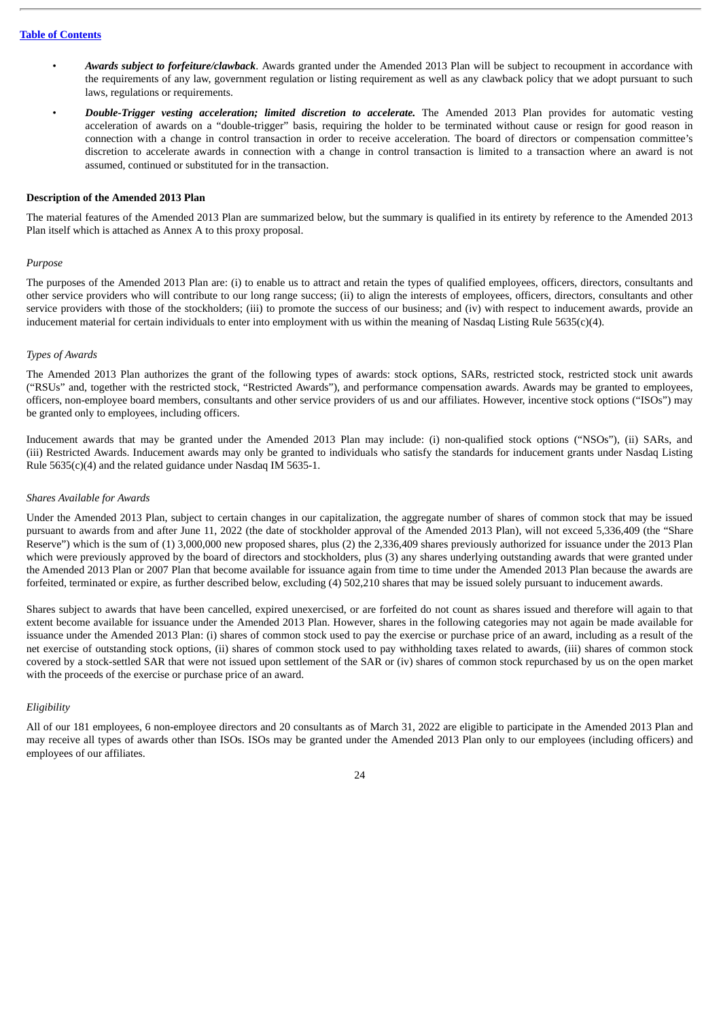- *Awards subject to forfeiture/clawback*. Awards granted under the Amended 2013 Plan will be subject to recoupment in accordance with the requirements of any law, government regulation or listing requirement as well as any clawback policy that we adopt pursuant to such laws, regulations or requirements.
- *Double-Trigger vesting acceleration; limited discretion to accelerate.* The Amended 2013 Plan provides for automatic vesting acceleration of awards on a "double-trigger" basis, requiring the holder to be terminated without cause or resign for good reason in connection with a change in control transaction in order to receive acceleration. The board of directors or compensation committee's discretion to accelerate awards in connection with a change in control transaction is limited to a transaction where an award is not assumed, continued or substituted for in the transaction.

# **Description of the Amended 2013 Plan**

The material features of the Amended 2013 Plan are summarized below, but the summary is qualified in its entirety by reference to the Amended 2013 Plan itself which is attached as Annex A to this proxy proposal.

# *Purpose*

The purposes of the Amended 2013 Plan are: (i) to enable us to attract and retain the types of qualified employees, officers, directors, consultants and other service providers who will contribute to our long range success; (ii) to align the interests of employees, officers, directors, consultants and other service providers with those of the stockholders; (iii) to promote the success of our business; and (iv) with respect to inducement awards, provide an inducement material for certain individuals to enter into employment with us within the meaning of Nasdaq Listing Rule 5635(c)(4).

# *Types of Awards*

The Amended 2013 Plan authorizes the grant of the following types of awards: stock options, SARs, restricted stock, restricted stock unit awards ("RSUs" and, together with the restricted stock, "Restricted Awards"), and performance compensation awards. Awards may be granted to employees, officers, non-employee board members, consultants and other service providers of us and our affiliates. However, incentive stock options ("ISOs") may be granted only to employees, including officers.

Inducement awards that may be granted under the Amended 2013 Plan may include: (i) non-qualified stock options ("NSOs"), (ii) SARs, and (iii) Restricted Awards. Inducement awards may only be granted to individuals who satisfy the standards for inducement grants under Nasdaq Listing Rule 5635(c)(4) and the related guidance under Nasdaq IM 5635-1.

# *Shares Available for Awards*

Under the Amended 2013 Plan, subject to certain changes in our capitalization, the aggregate number of shares of common stock that may be issued pursuant to awards from and after June 11, 2022 (the date of stockholder approval of the Amended 2013 Plan), will not exceed 5,336,409 (the "Share Reserve") which is the sum of (1) 3,000,000 new proposed shares, plus (2) the 2,336,409 shares previously authorized for issuance under the 2013 Plan which were previously approved by the board of directors and stockholders, plus (3) any shares underlying outstanding awards that were granted under the Amended 2013 Plan or 2007 Plan that become available for issuance again from time to time under the Amended 2013 Plan because the awards are forfeited, terminated or expire, as further described below, excluding (4) 502,210 shares that may be issued solely pursuant to inducement awards.

Shares subject to awards that have been cancelled, expired unexercised, or are forfeited do not count as shares issued and therefore will again to that extent become available for issuance under the Amended 2013 Plan. However, shares in the following categories may not again be made available for issuance under the Amended 2013 Plan: (i) shares of common stock used to pay the exercise or purchase price of an award, including as a result of the net exercise of outstanding stock options, (ii) shares of common stock used to pay withholding taxes related to awards, (iii) shares of common stock covered by a stock-settled SAR that were not issued upon settlement of the SAR or (iv) shares of common stock repurchased by us on the open market with the proceeds of the exercise or purchase price of an award.

# *Eligibility*

All of our 181 employees, 6 non-employee directors and 20 consultants as of March 31, 2022 are eligible to participate in the Amended 2013 Plan and may receive all types of awards other than ISOs. ISOs may be granted under the Amended 2013 Plan only to our employees (including officers) and employees of our affiliates.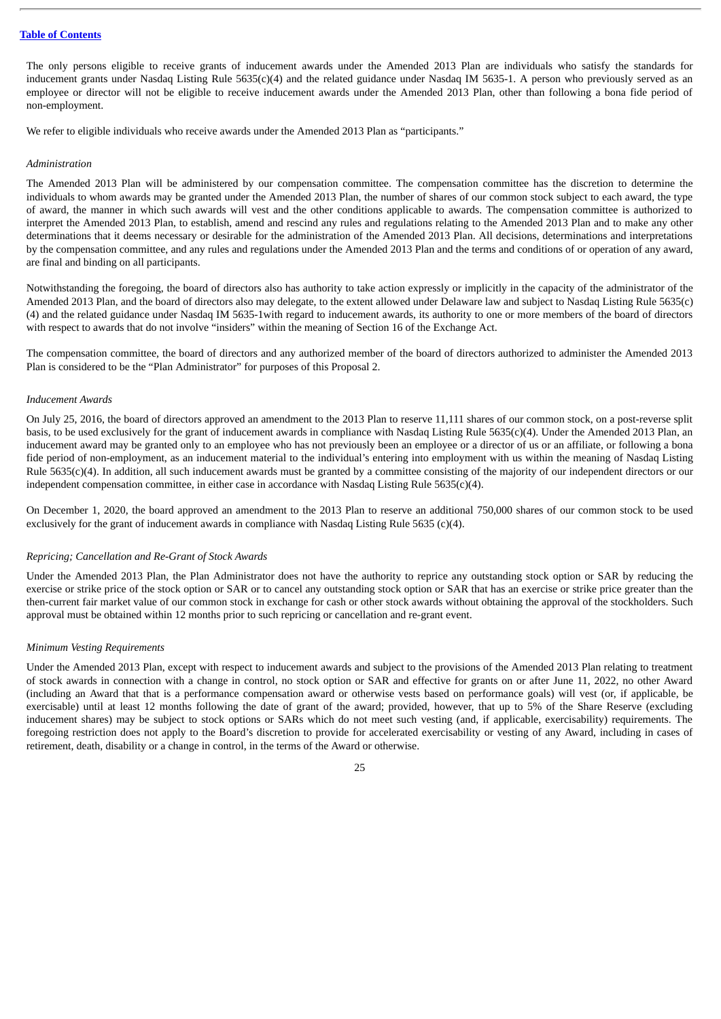The only persons eligible to receive grants of inducement awards under the Amended 2013 Plan are individuals who satisfy the standards for inducement grants under Nasdaq Listing Rule 5635(c)(4) and the related guidance under Nasdaq IM 5635-1. A person who previously served as an employee or director will not be eligible to receive inducement awards under the Amended 2013 Plan, other than following a bona fide period of non-employment.

We refer to eligible individuals who receive awards under the Amended 2013 Plan as "participants."

# *Administration*

The Amended 2013 Plan will be administered by our compensation committee. The compensation committee has the discretion to determine the individuals to whom awards may be granted under the Amended 2013 Plan, the number of shares of our common stock subject to each award, the type of award, the manner in which such awards will vest and the other conditions applicable to awards. The compensation committee is authorized to interpret the Amended 2013 Plan, to establish, amend and rescind any rules and regulations relating to the Amended 2013 Plan and to make any other determinations that it deems necessary or desirable for the administration of the Amended 2013 Plan. All decisions, determinations and interpretations by the compensation committee, and any rules and regulations under the Amended 2013 Plan and the terms and conditions of or operation of any award, are final and binding on all participants.

Notwithstanding the foregoing, the board of directors also has authority to take action expressly or implicitly in the capacity of the administrator of the Amended 2013 Plan, and the board of directors also may delegate, to the extent allowed under Delaware law and subject to Nasdaq Listing Rule 5635(c) (4) and the related guidance under Nasdaq IM 5635-1with regard to inducement awards, its authority to one or more members of the board of directors with respect to awards that do not involve "insiders" within the meaning of Section 16 of the Exchange Act.

The compensation committee, the board of directors and any authorized member of the board of directors authorized to administer the Amended 2013 Plan is considered to be the "Plan Administrator" for purposes of this Proposal 2.

# *Inducement Awards*

On July 25, 2016, the board of directors approved an amendment to the 2013 Plan to reserve 11,111 shares of our common stock, on a post-reverse split basis, to be used exclusively for the grant of inducement awards in compliance with Nasdaq Listing Rule 5635(c)(4). Under the Amended 2013 Plan, an inducement award may be granted only to an employee who has not previously been an employee or a director of us or an affiliate, or following a bona fide period of non-employment, as an inducement material to the individual's entering into employment with us within the meaning of Nasdaq Listing Rule 5635(c)(4). In addition, all such inducement awards must be granted by a committee consisting of the majority of our independent directors or our independent compensation committee, in either case in accordance with Nasdaq Listing Rule 5635(c)(4).

On December 1, 2020, the board approved an amendment to the 2013 Plan to reserve an additional 750,000 shares of our common stock to be used exclusively for the grant of inducement awards in compliance with Nasdaq Listing Rule 5635 (c)(4).

# *Repricing; Cancellation and Re-Grant of Stock Awards*

Under the Amended 2013 Plan, the Plan Administrator does not have the authority to reprice any outstanding stock option or SAR by reducing the exercise or strike price of the stock option or SAR or to cancel any outstanding stock option or SAR that has an exercise or strike price greater than the then-current fair market value of our common stock in exchange for cash or other stock awards without obtaining the approval of the stockholders. Such approval must be obtained within 12 months prior to such repricing or cancellation and re-grant event.

# *Minimum Vesting Requirements*

Under the Amended 2013 Plan, except with respect to inducement awards and subject to the provisions of the Amended 2013 Plan relating to treatment of stock awards in connection with a change in control, no stock option or SAR and effective for grants on or after June 11, 2022, no other Award (including an Award that that is a performance compensation award or otherwise vests based on performance goals) will vest (or, if applicable, be exercisable) until at least 12 months following the date of grant of the award; provided, however, that up to 5% of the Share Reserve (excluding inducement shares) may be subject to stock options or SARs which do not meet such vesting (and, if applicable, exercisability) requirements. The foregoing restriction does not apply to the Board's discretion to provide for accelerated exercisability or vesting of any Award, including in cases of retirement, death, disability or a change in control, in the terms of the Award or otherwise.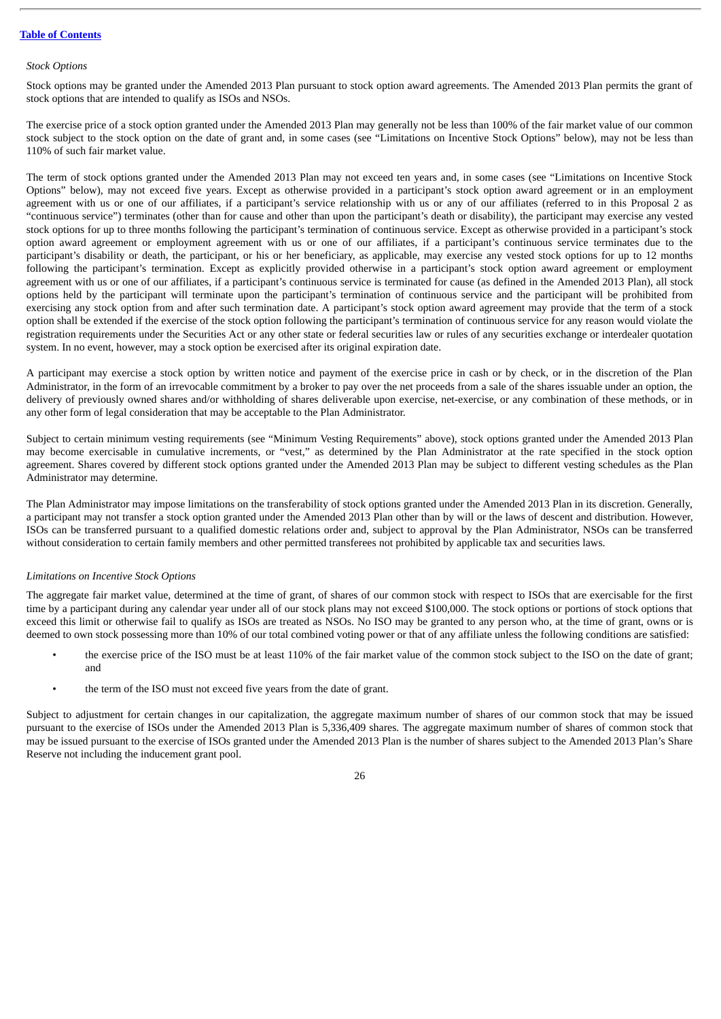# *Stock Options*

Stock options may be granted under the Amended 2013 Plan pursuant to stock option award agreements. The Amended 2013 Plan permits the grant of stock options that are intended to qualify as ISOs and NSOs.

The exercise price of a stock option granted under the Amended 2013 Plan may generally not be less than 100% of the fair market value of our common stock subject to the stock option on the date of grant and, in some cases (see "Limitations on Incentive Stock Options" below), may not be less than 110% of such fair market value.

The term of stock options granted under the Amended 2013 Plan may not exceed ten years and, in some cases (see "Limitations on Incentive Stock Options" below), may not exceed five years. Except as otherwise provided in a participant's stock option award agreement or in an employment agreement with us or one of our affiliates, if a participant's service relationship with us or any of our affiliates (referred to in this Proposal 2 as "continuous service") terminates (other than for cause and other than upon the participant's death or disability), the participant may exercise any vested stock options for up to three months following the participant's termination of continuous service. Except as otherwise provided in a participant's stock option award agreement or employment agreement with us or one of our affiliates, if a participant's continuous service terminates due to the participant's disability or death, the participant, or his or her beneficiary, as applicable, may exercise any vested stock options for up to 12 months following the participant's termination. Except as explicitly provided otherwise in a participant's stock option award agreement or employment agreement with us or one of our affiliates, if a participant's continuous service is terminated for cause (as defined in the Amended 2013 Plan), all stock options held by the participant will terminate upon the participant's termination of continuous service and the participant will be prohibited from exercising any stock option from and after such termination date. A participant's stock option award agreement may provide that the term of a stock option shall be extended if the exercise of the stock option following the participant's termination of continuous service for any reason would violate the registration requirements under the Securities Act or any other state or federal securities law or rules of any securities exchange or interdealer quotation system. In no event, however, may a stock option be exercised after its original expiration date.

A participant may exercise a stock option by written notice and payment of the exercise price in cash or by check, or in the discretion of the Plan Administrator, in the form of an irrevocable commitment by a broker to pay over the net proceeds from a sale of the shares issuable under an option, the delivery of previously owned shares and/or withholding of shares deliverable upon exercise, net-exercise, or any combination of these methods, or in any other form of legal consideration that may be acceptable to the Plan Administrator.

Subject to certain minimum vesting requirements (see "Minimum Vesting Requirements" above), stock options granted under the Amended 2013 Plan may become exercisable in cumulative increments, or "vest," as determined by the Plan Administrator at the rate specified in the stock option agreement. Shares covered by different stock options granted under the Amended 2013 Plan may be subject to different vesting schedules as the Plan Administrator may determine.

The Plan Administrator may impose limitations on the transferability of stock options granted under the Amended 2013 Plan in its discretion. Generally, a participant may not transfer a stock option granted under the Amended 2013 Plan other than by will or the laws of descent and distribution. However, ISOs can be transferred pursuant to a qualified domestic relations order and, subject to approval by the Plan Administrator, NSOs can be transferred without consideration to certain family members and other permitted transferees not prohibited by applicable tax and securities laws.

# *Limitations on Incentive Stock Options*

The aggregate fair market value, determined at the time of grant, of shares of our common stock with respect to ISOs that are exercisable for the first time by a participant during any calendar year under all of our stock plans may not exceed \$100,000. The stock options or portions of stock options that exceed this limit or otherwise fail to qualify as ISOs are treated as NSOs. No ISO may be granted to any person who, at the time of grant, owns or is deemed to own stock possessing more than 10% of our total combined voting power or that of any affiliate unless the following conditions are satisfied:

- the exercise price of the ISO must be at least 110% of the fair market value of the common stock subject to the ISO on the date of grant; and
- the term of the ISO must not exceed five years from the date of grant.

Subject to adjustment for certain changes in our capitalization, the aggregate maximum number of shares of our common stock that may be issued pursuant to the exercise of ISOs under the Amended 2013 Plan is 5,336,409 shares. The aggregate maximum number of shares of common stock that may be issued pursuant to the exercise of ISOs granted under the Amended 2013 Plan is the number of shares subject to the Amended 2013 Plan's Share Reserve not including the inducement grant pool.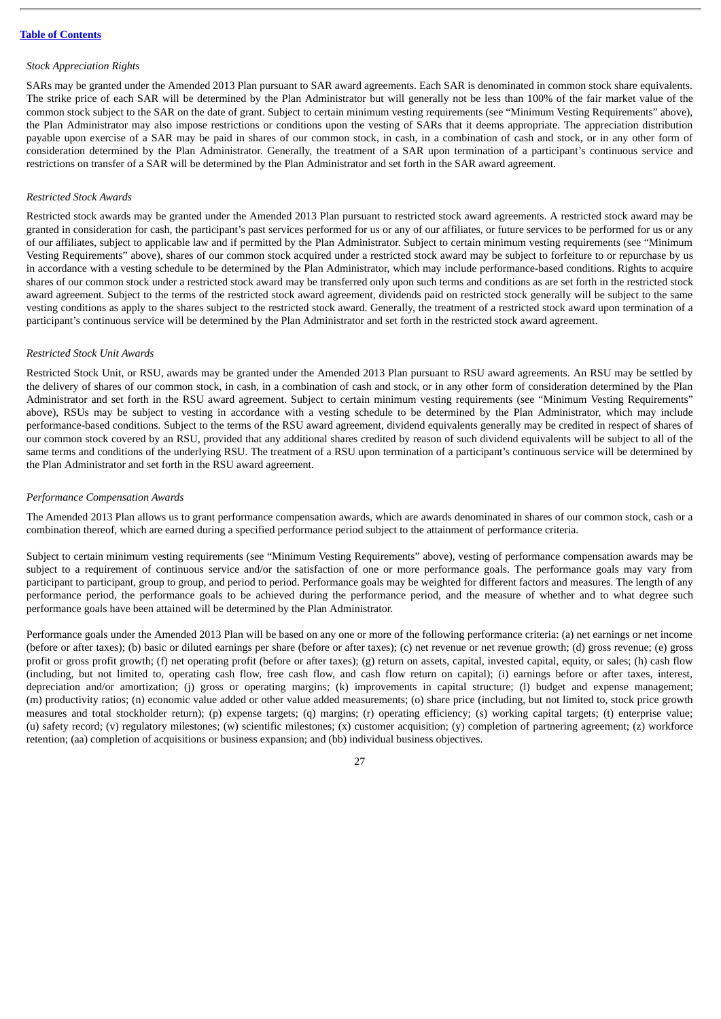# *Stock Appreciation Rights*

SARs may be granted under the Amended 2013 Plan pursuant to SAR award agreements. Each SAR is denominated in common stock share equivalents. The strike price of each SAR will be determined by the Plan Administrator but will generally not be less than 100% of the fair market value of the common stock subject to the SAR on the date of grant. Subject to certain minimum vesting requirements (see "Minimum Vesting Requirements" above), the Plan Administrator may also impose restrictions or conditions upon the vesting of SARs that it deems appropriate. The appreciation distribution payable upon exercise of a SAR may be paid in shares of our common stock, in cash, in a combination of cash and stock, or in any other form of consideration determined by the Plan Administrator. Generally, the treatment of a SAR upon termination of a participant's continuous service and restrictions on transfer of a SAR will be determined by the Plan Administrator and set forth in the SAR award agreement.

# *Restricted Stock Awards*

Restricted stock awards may be granted under the Amended 2013 Plan pursuant to restricted stock award agreements. A restricted stock award may be granted in consideration for cash, the participant's past services performed for us or any of our affiliates, or future services to be performed for us or any of our affiliates, subject to applicable law and if permitted by the Plan Administrator. Subject to certain minimum vesting requirements (see "Minimum Vesting Requirements" above), shares of our common stock acquired under a restricted stock award may be subject to forfeiture to or repurchase by us in accordance with a vesting schedule to be determined by the Plan Administrator, which may include performance-based conditions. Rights to acquire shares of our common stock under a restricted stock award may be transferred only upon such terms and conditions as are set forth in the restricted stock award agreement. Subject to the terms of the restricted stock award agreement, dividends paid on restricted stock generally will be subject to the same vesting conditions as apply to the shares subject to the restricted stock award. Generally, the treatment of a restricted stock award upon termination of a participant's continuous service will be determined by the Plan Administrator and set forth in the restricted stock award agreement.

# *Restricted Stock Unit Awards*

Restricted Stock Unit, or RSU, awards may be granted under the Amended 2013 Plan pursuant to RSU award agreements. An RSU may be settled by the delivery of shares of our common stock, in cash, in a combination of cash and stock, or in any other form of consideration determined by the Plan Administrator and set forth in the RSU award agreement. Subject to certain minimum vesting requirements (see "Minimum Vesting Requirements" above), RSUs may be subject to vesting in accordance with a vesting schedule to be determined by the Plan Administrator, which may include performance-based conditions. Subject to the terms of the RSU award agreement, dividend equivalents generally may be credited in respect of shares of our common stock covered by an RSU, provided that any additional shares credited by reason of such dividend equivalents will be subject to all of the same terms and conditions of the underlying RSU. The treatment of a RSU upon termination of a participant's continuous service will be determined by the Plan Administrator and set forth in the RSU award agreement.

# *Performance Compensation Awards*

The Amended 2013 Plan allows us to grant performance compensation awards, which are awards denominated in shares of our common stock, cash or a combination thereof, which are earned during a specified performance period subject to the attainment of performance criteria.

Subject to certain minimum vesting requirements (see "Minimum Vesting Requirements" above), vesting of performance compensation awards may be subject to a requirement of continuous service and/or the satisfaction of one or more performance goals. The performance goals may vary from participant to participant, group to group, and period to period. Performance goals may be weighted for different factors and measures. The length of any performance period, the performance goals to be achieved during the performance period, and the measure of whether and to what degree such performance goals have been attained will be determined by the Plan Administrator.

Performance goals under the Amended 2013 Plan will be based on any one or more of the following performance criteria: (a) net earnings or net income (before or after taxes); (b) basic or diluted earnings per share (before or after taxes); (c) net revenue or net revenue growth; (d) gross revenue; (e) gross profit or gross profit growth; (f) net operating profit (before or after taxes); (g) return on assets, capital, invested capital, equity, or sales; (h) cash flow (including, but not limited to, operating cash flow, free cash flow, and cash flow return on capital); (i) earnings before or after taxes, interest, depreciation and/or amortization; (j) gross or operating margins; (k) improvements in capital structure; (l) budget and expense management; (m) productivity ratios; (n) economic value added or other value added measurements; (o) share price (including, but not limited to, stock price growth measures and total stockholder return); (p) expense targets; (q) margins; (r) operating efficiency; (s) working capital targets; (t) enterprise value; (u) safety record; (v) regulatory milestones; (w) scientific milestones; (x) customer acquisition; (y) completion of partnering agreement; (z) workforce retention; (aa) completion of acquisitions or business expansion; and (bb) individual business objectives.

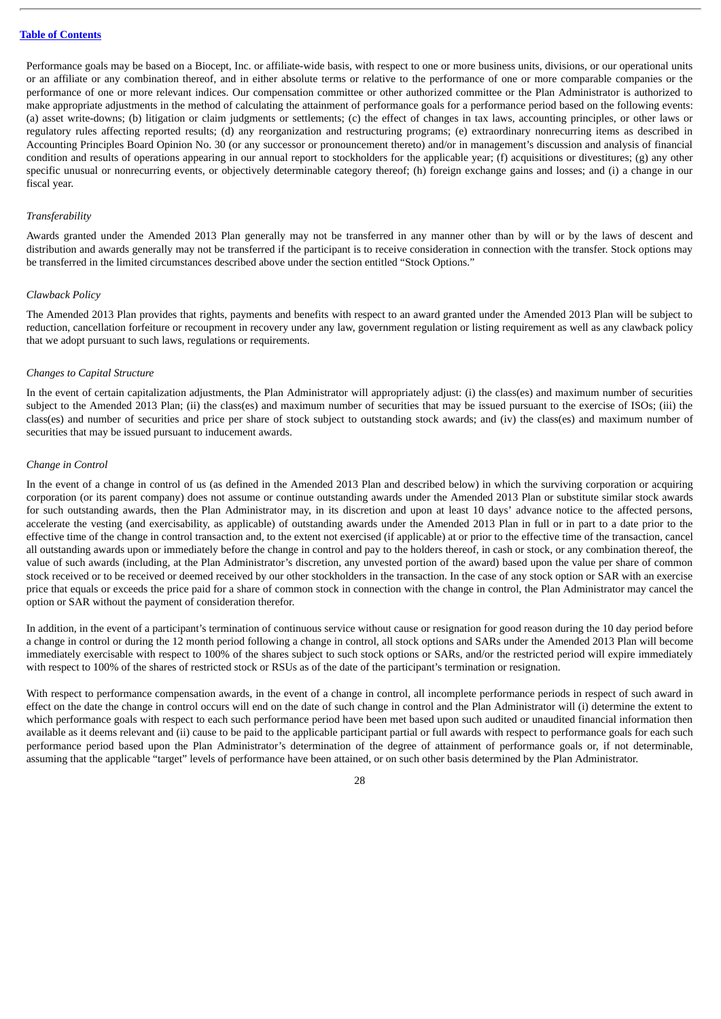Performance goals may be based on a Biocept, Inc. or affiliate-wide basis, with respect to one or more business units, divisions, or our operational units or an affiliate or any combination thereof, and in either absolute terms or relative to the performance of one or more comparable companies or the performance of one or more relevant indices. Our compensation committee or other authorized committee or the Plan Administrator is authorized to make appropriate adjustments in the method of calculating the attainment of performance goals for a performance period based on the following events: (a) asset write-downs; (b) litigation or claim judgments or settlements; (c) the effect of changes in tax laws, accounting principles, or other laws or regulatory rules affecting reported results; (d) any reorganization and restructuring programs; (e) extraordinary nonrecurring items as described in Accounting Principles Board Opinion No. 30 (or any successor or pronouncement thereto) and/or in management's discussion and analysis of financial condition and results of operations appearing in our annual report to stockholders for the applicable year; (f) acquisitions or divestitures; (g) any other specific unusual or nonrecurring events, or objectively determinable category thereof; (h) foreign exchange gains and losses; and (i) a change in our fiscal year.

#### *Transferability*

Awards granted under the Amended 2013 Plan generally may not be transferred in any manner other than by will or by the laws of descent and distribution and awards generally may not be transferred if the participant is to receive consideration in connection with the transfer. Stock options may be transferred in the limited circumstances described above under the section entitled "Stock Options."

#### *Clawback Policy*

The Amended 2013 Plan provides that rights, payments and benefits with respect to an award granted under the Amended 2013 Plan will be subject to reduction, cancellation forfeiture or recoupment in recovery under any law, government regulation or listing requirement as well as any clawback policy that we adopt pursuant to such laws, regulations or requirements.

#### *Changes to Capital Structure*

In the event of certain capitalization adjustments, the Plan Administrator will appropriately adjust: (i) the class(es) and maximum number of securities subject to the Amended 2013 Plan; (ii) the class(es) and maximum number of securities that may be issued pursuant to the exercise of ISOs; (iii) the class(es) and number of securities and price per share of stock subject to outstanding stock awards; and (iv) the class(es) and maximum number of securities that may be issued pursuant to inducement awards.

#### *Change in Control*

In the event of a change in control of us (as defined in the Amended 2013 Plan and described below) in which the surviving corporation or acquiring corporation (or its parent company) does not assume or continue outstanding awards under the Amended 2013 Plan or substitute similar stock awards for such outstanding awards, then the Plan Administrator may, in its discretion and upon at least 10 days' advance notice to the affected persons, accelerate the vesting (and exercisability, as applicable) of outstanding awards under the Amended 2013 Plan in full or in part to a date prior to the effective time of the change in control transaction and, to the extent not exercised (if applicable) at or prior to the effective time of the transaction, cancel all outstanding awards upon or immediately before the change in control and pay to the holders thereof, in cash or stock, or any combination thereof, the value of such awards (including, at the Plan Administrator's discretion, any unvested portion of the award) based upon the value per share of common stock received or to be received or deemed received by our other stockholders in the transaction. In the case of any stock option or SAR with an exercise price that equals or exceeds the price paid for a share of common stock in connection with the change in control, the Plan Administrator may cancel the option or SAR without the payment of consideration therefor.

In addition, in the event of a participant's termination of continuous service without cause or resignation for good reason during the 10 day period before a change in control or during the 12 month period following a change in control, all stock options and SARs under the Amended 2013 Plan will become immediately exercisable with respect to 100% of the shares subject to such stock options or SARs, and/or the restricted period will expire immediately with respect to 100% of the shares of restricted stock or RSUs as of the date of the participant's termination or resignation.

With respect to performance compensation awards, in the event of a change in control, all incomplete performance periods in respect of such award in effect on the date the change in control occurs will end on the date of such change in control and the Plan Administrator will (i) determine the extent to which performance goals with respect to each such performance period have been met based upon such audited or unaudited financial information then available as it deems relevant and (ii) cause to be paid to the applicable participant partial or full awards with respect to performance goals for each such performance period based upon the Plan Administrator's determination of the degree of attainment of performance goals or, if not determinable, assuming that the applicable "target" levels of performance have been attained, or on such other basis determined by the Plan Administrator.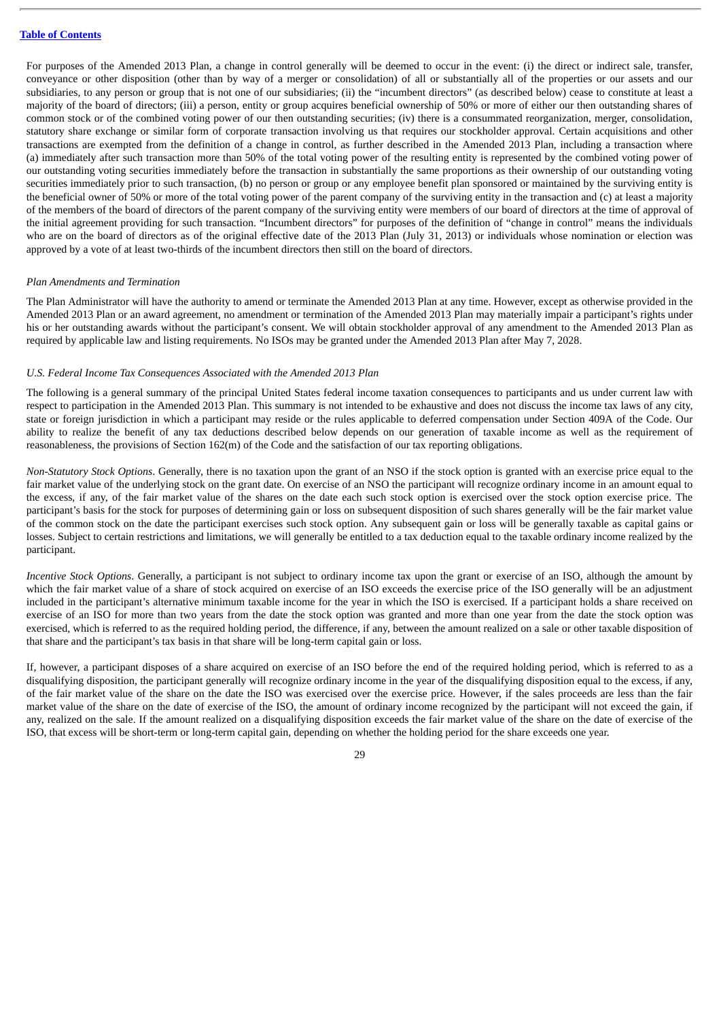For purposes of the Amended 2013 Plan, a change in control generally will be deemed to occur in the event: (i) the direct or indirect sale, transfer, conveyance or other disposition (other than by way of a merger or consolidation) of all or substantially all of the properties or our assets and our subsidiaries, to any person or group that is not one of our subsidiaries; (ii) the "incumbent directors" (as described below) cease to constitute at least a majority of the board of directors; (iii) a person, entity or group acquires beneficial ownership of 50% or more of either our then outstanding shares of common stock or of the combined voting power of our then outstanding securities; (iv) there is a consummated reorganization, merger, consolidation, statutory share exchange or similar form of corporate transaction involving us that requires our stockholder approval. Certain acquisitions and other transactions are exempted from the definition of a change in control, as further described in the Amended 2013 Plan, including a transaction where (a) immediately after such transaction more than 50% of the total voting power of the resulting entity is represented by the combined voting power of our outstanding voting securities immediately before the transaction in substantially the same proportions as their ownership of our outstanding voting securities immediately prior to such transaction, (b) no person or group or any employee benefit plan sponsored or maintained by the surviving entity is the beneficial owner of 50% or more of the total voting power of the parent company of the surviving entity in the transaction and (c) at least a majority of the members of the board of directors of the parent company of the surviving entity were members of our board of directors at the time of approval of the initial agreement providing for such transaction. "Incumbent directors" for purposes of the definition of "change in control" means the individuals who are on the board of directors as of the original effective date of the 2013 Plan (July 31, 2013) or individuals whose nomination or election was approved by a vote of at least two-thirds of the incumbent directors then still on the board of directors.

#### *Plan Amendments and Termination*

The Plan Administrator will have the authority to amend or terminate the Amended 2013 Plan at any time. However, except as otherwise provided in the Amended 2013 Plan or an award agreement, no amendment or termination of the Amended 2013 Plan may materially impair a participant's rights under his or her outstanding awards without the participant's consent. We will obtain stockholder approval of any amendment to the Amended 2013 Plan as required by applicable law and listing requirements. No ISOs may be granted under the Amended 2013 Plan after May 7, 2028.

#### *U.S. Federal Income Tax Consequences Associated with the Amended 2013 Plan*

The following is a general summary of the principal United States federal income taxation consequences to participants and us under current law with respect to participation in the Amended 2013 Plan. This summary is not intended to be exhaustive and does not discuss the income tax laws of any city, state or foreign jurisdiction in which a participant may reside or the rules applicable to deferred compensation under Section 409A of the Code. Our ability to realize the benefit of any tax deductions described below depends on our generation of taxable income as well as the requirement of reasonableness, the provisions of Section 162(m) of the Code and the satisfaction of our tax reporting obligations.

*Non-Statutory Stock Options*. Generally, there is no taxation upon the grant of an NSO if the stock option is granted with an exercise price equal to the fair market value of the underlying stock on the grant date. On exercise of an NSO the participant will recognize ordinary income in an amount equal to the excess, if any, of the fair market value of the shares on the date each such stock option is exercised over the stock option exercise price. The participant's basis for the stock for purposes of determining gain or loss on subsequent disposition of such shares generally will be the fair market value of the common stock on the date the participant exercises such stock option. Any subsequent gain or loss will be generally taxable as capital gains or losses. Subject to certain restrictions and limitations, we will generally be entitled to a tax deduction equal to the taxable ordinary income realized by the participant.

*Incentive Stock Options*. Generally, a participant is not subject to ordinary income tax upon the grant or exercise of an ISO, although the amount by which the fair market value of a share of stock acquired on exercise of an ISO exceeds the exercise price of the ISO generally will be an adjustment included in the participant's alternative minimum taxable income for the year in which the ISO is exercised. If a participant holds a share received on exercise of an ISO for more than two years from the date the stock option was granted and more than one year from the date the stock option was exercised, which is referred to as the required holding period, the difference, if any, between the amount realized on a sale or other taxable disposition of that share and the participant's tax basis in that share will be long-term capital gain or loss.

If, however, a participant disposes of a share acquired on exercise of an ISO before the end of the required holding period, which is referred to as a disqualifying disposition, the participant generally will recognize ordinary income in the year of the disqualifying disposition equal to the excess, if any, of the fair market value of the share on the date the ISO was exercised over the exercise price. However, if the sales proceeds are less than the fair market value of the share on the date of exercise of the ISO, the amount of ordinary income recognized by the participant will not exceed the gain, if any, realized on the sale. If the amount realized on a disqualifying disposition exceeds the fair market value of the share on the date of exercise of the ISO, that excess will be short-term or long-term capital gain, depending on whether the holding period for the share exceeds one year.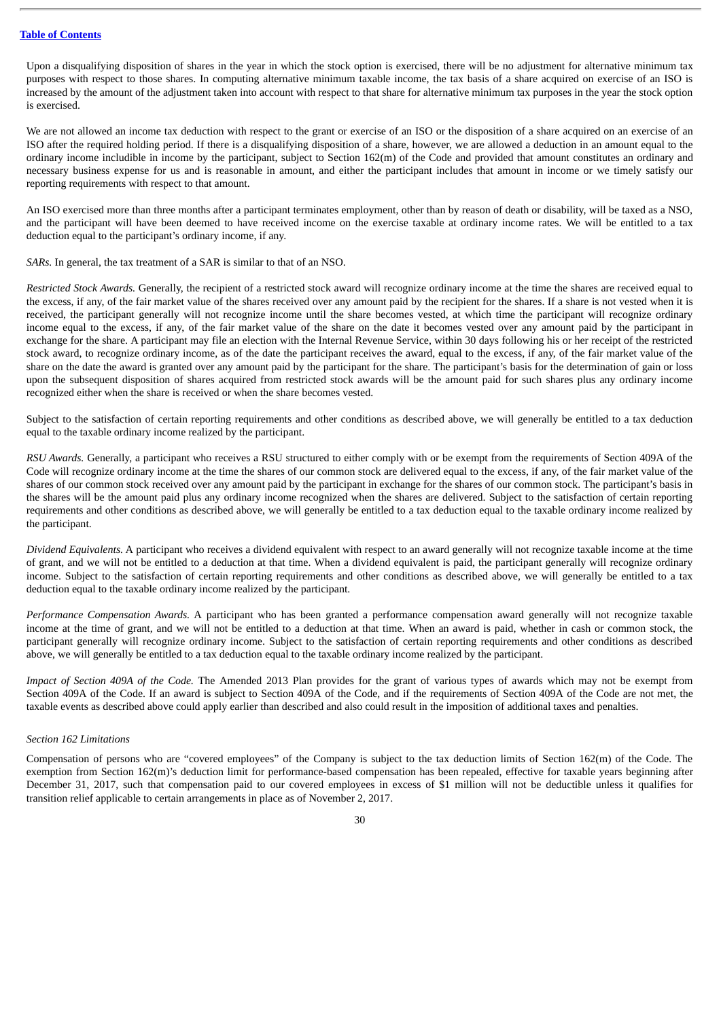Upon a disqualifying disposition of shares in the year in which the stock option is exercised, there will be no adjustment for alternative minimum tax purposes with respect to those shares. In computing alternative minimum taxable income, the tax basis of a share acquired on exercise of an ISO is increased by the amount of the adjustment taken into account with respect to that share for alternative minimum tax purposes in the year the stock option is exercised.

We are not allowed an income tax deduction with respect to the grant or exercise of an ISO or the disposition of a share acquired on an exercise of an ISO after the required holding period. If there is a disqualifying disposition of a share, however, we are allowed a deduction in an amount equal to the ordinary income includible in income by the participant, subject to Section 162(m) of the Code and provided that amount constitutes an ordinary and necessary business expense for us and is reasonable in amount, and either the participant includes that amount in income or we timely satisfy our reporting requirements with respect to that amount.

An ISO exercised more than three months after a participant terminates employment, other than by reason of death or disability, will be taxed as a NSO, and the participant will have been deemed to have received income on the exercise taxable at ordinary income rates. We will be entitled to a tax deduction equal to the participant's ordinary income, if any.

*SARs.* In general, the tax treatment of a SAR is similar to that of an NSO.

*Restricted Stock Awards.* Generally, the recipient of a restricted stock award will recognize ordinary income at the time the shares are received equal to the excess, if any, of the fair market value of the shares received over any amount paid by the recipient for the shares. If a share is not vested when it is received, the participant generally will not recognize income until the share becomes vested, at which time the participant will recognize ordinary income equal to the excess, if any, of the fair market value of the share on the date it becomes vested over any amount paid by the participant in exchange for the share. A participant may file an election with the Internal Revenue Service, within 30 days following his or her receipt of the restricted stock award, to recognize ordinary income, as of the date the participant receives the award, equal to the excess, if any, of the fair market value of the share on the date the award is granted over any amount paid by the participant for the share. The participant's basis for the determination of gain or loss upon the subsequent disposition of shares acquired from restricted stock awards will be the amount paid for such shares plus any ordinary income recognized either when the share is received or when the share becomes vested.

Subject to the satisfaction of certain reporting requirements and other conditions as described above, we will generally be entitled to a tax deduction equal to the taxable ordinary income realized by the participant.

*RSU Awards.* Generally, a participant who receives a RSU structured to either comply with or be exempt from the requirements of Section 409A of the Code will recognize ordinary income at the time the shares of our common stock are delivered equal to the excess, if any, of the fair market value of the shares of our common stock received over any amount paid by the participant in exchange for the shares of our common stock. The participant's basis in the shares will be the amount paid plus any ordinary income recognized when the shares are delivered. Subject to the satisfaction of certain reporting requirements and other conditions as described above, we will generally be entitled to a tax deduction equal to the taxable ordinary income realized by the participant.

*Dividend Equivalents.* A participant who receives a dividend equivalent with respect to an award generally will not recognize taxable income at the time of grant, and we will not be entitled to a deduction at that time. When a dividend equivalent is paid, the participant generally will recognize ordinary income. Subject to the satisfaction of certain reporting requirements and other conditions as described above, we will generally be entitled to a tax deduction equal to the taxable ordinary income realized by the participant.

*Performance Compensation Awards.* A participant who has been granted a performance compensation award generally will not recognize taxable income at the time of grant, and we will not be entitled to a deduction at that time. When an award is paid, whether in cash or common stock, the participant generally will recognize ordinary income. Subject to the satisfaction of certain reporting requirements and other conditions as described above, we will generally be entitled to a tax deduction equal to the taxable ordinary income realized by the participant.

*Impact of Section 409A of the Code.* The Amended 2013 Plan provides for the grant of various types of awards which may not be exempt from Section 409A of the Code. If an award is subject to Section 409A of the Code, and if the requirements of Section 409A of the Code are not met, the taxable events as described above could apply earlier than described and also could result in the imposition of additional taxes and penalties.

# *Section 162 Limitations*

Compensation of persons who are "covered employees" of the Company is subject to the tax deduction limits of Section 162(m) of the Code. The exemption from Section 162(m)'s deduction limit for performance-based compensation has been repealed, effective for taxable years beginning after December 31, 2017, such that compensation paid to our covered employees in excess of \$1 million will not be deductible unless it qualifies for transition relief applicable to certain arrangements in place as of November 2, 2017.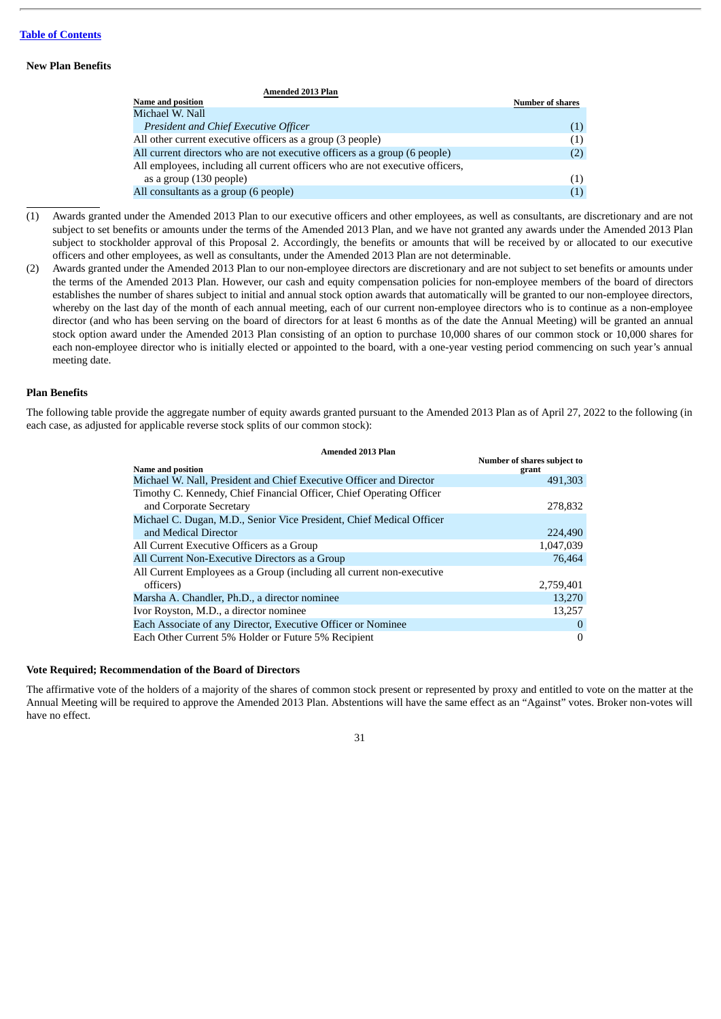# **New Plan Benefits**

| <b>Amended 2013 Plan</b>                                                      |                         |
|-------------------------------------------------------------------------------|-------------------------|
| <b>Name and position</b>                                                      | <b>Number of shares</b> |
| Michael W. Nall                                                               |                         |
| President and Chief Executive Officer                                         | (1)                     |
| All other current executive officers as a group (3 people)                    | (1)                     |
| All current directors who are not executive officers as a group (6 people)    | (2)                     |
| All employees, including all current officers who are not executive officers, |                         |
| as a group (130 people)                                                       | (1)                     |
| All consultants as a group (6 people)                                         | (1)                     |
|                                                                               |                         |

- (1) Awards granted under the Amended 2013 Plan to our executive officers and other employees, as well as consultants, are discretionary and are not subject to set benefits or amounts under the terms of the Amended 2013 Plan, and we have not granted any awards under the Amended 2013 Plan subject to stockholder approval of this Proposal 2. Accordingly, the benefits or amounts that will be received by or allocated to our executive officers and other employees, as well as consultants, under the Amended 2013 Plan are not determinable.
- (2) Awards granted under the Amended 2013 Plan to our non-employee directors are discretionary and are not subject to set benefits or amounts under the terms of the Amended 2013 Plan. However, our cash and equity compensation policies for non-employee members of the board of directors establishes the number of shares subject to initial and annual stock option awards that automatically will be granted to our non-employee directors, whereby on the last day of the month of each annual meeting, each of our current non-employee directors who is to continue as a non-employee director (and who has been serving on the board of directors for at least 6 months as of the date the Annual Meeting) will be granted an annual stock option award under the Amended 2013 Plan consisting of an option to purchase 10,000 shares of our common stock or 10,000 shares for each non-employee director who is initially elected or appointed to the board, with a one-year vesting period commencing on such year's annual meeting date.

# **Plan Benefits**

The following table provide the aggregate number of equity awards granted pursuant to the Amended 2013 Plan as of April 27, 2022 to the following (in each case, as adjusted for applicable reverse stock splits of our common stock):

| <b>Amended 2013 Plan</b>                                              |                                      |
|-----------------------------------------------------------------------|--------------------------------------|
| <b>Name and position</b>                                              | Number of shares subject to<br>grant |
| Michael W. Nall, President and Chief Executive Officer and Director   | 491,303                              |
| Timothy C. Kennedy, Chief Financial Officer, Chief Operating Officer  |                                      |
| and Corporate Secretary                                               | 278,832                              |
| Michael C. Dugan, M.D., Senior Vice President, Chief Medical Officer  |                                      |
| and Medical Director                                                  | 224,490                              |
| All Current Executive Officers as a Group                             | 1,047,039                            |
| All Current Non-Executive Directors as a Group                        | 76,464                               |
| All Current Employees as a Group (including all current non-executive |                                      |
| officers)                                                             | 2,759,401                            |
| Marsha A. Chandler, Ph.D., a director nominee                         | 13,270                               |
| Ivor Royston, M.D., a director nominee                                | 13,257                               |
| Each Associate of any Director, Executive Officer or Nominee          | $\Omega$                             |
| Each Other Current 5% Holder or Future 5% Recipient                   | $\boldsymbol{0}$                     |

# **Vote Required; Recommendation of the Board of Directors**

The affirmative vote of the holders of a majority of the shares of common stock present or represented by proxy and entitled to vote on the matter at the Annual Meeting will be required to approve the Amended 2013 Plan. Abstentions will have the same effect as an "Against" votes. Broker non-votes will have no effect.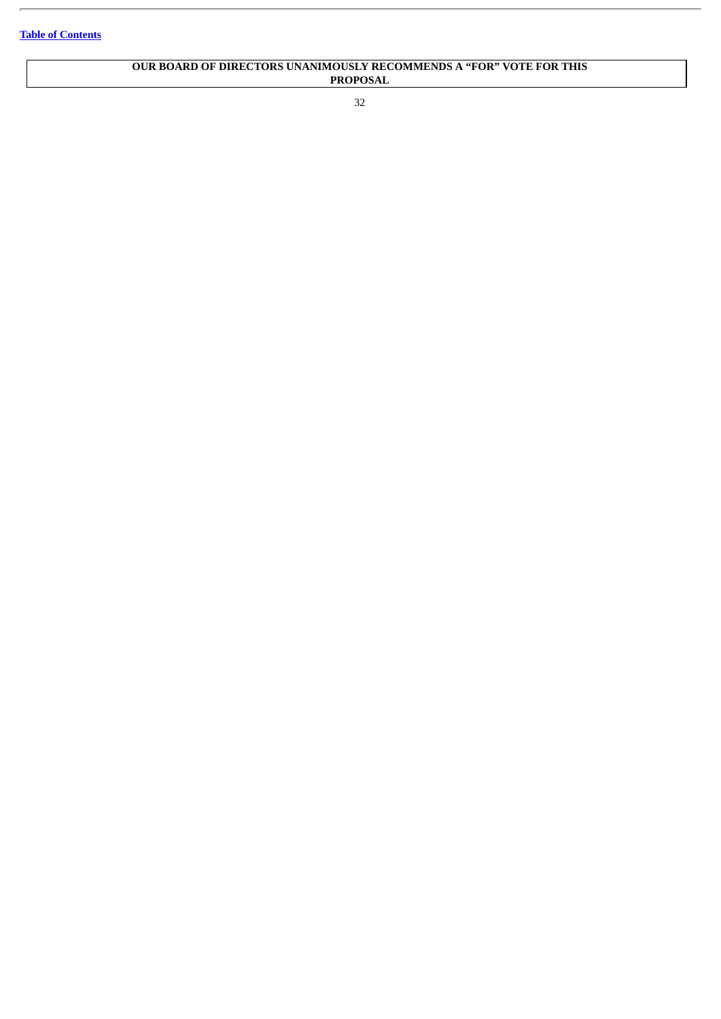# **OUR BOARD OF DIRECTORS UNANIMOUSLY RECOMMENDS A "FOR" VOTE FOR THIS PROPOSAL**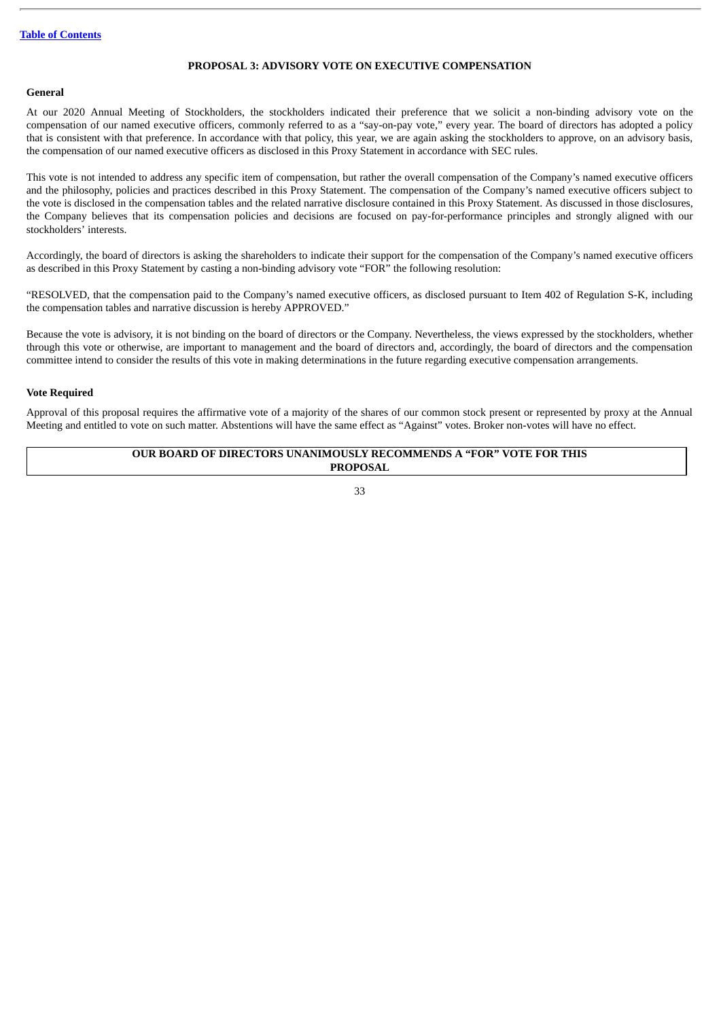## **PROPOSAL 3: ADVISORY VOTE ON EXECUTIVE COMPENSATION**

### **General**

At our 2020 Annual Meeting of Stockholders, the stockholders indicated their preference that we solicit a non-binding advisory vote on the compensation of our named executive officers, commonly referred to as a "say-on-pay vote," every year. The board of directors has adopted a policy that is consistent with that preference. In accordance with that policy, this year, we are again asking the stockholders to approve, on an advisory basis, the compensation of our named executive officers as disclosed in this Proxy Statement in accordance with SEC rules.

This vote is not intended to address any specific item of compensation, but rather the overall compensation of the Company's named executive officers and the philosophy, policies and practices described in this Proxy Statement. The compensation of the Company's named executive officers subject to the vote is disclosed in the compensation tables and the related narrative disclosure contained in this Proxy Statement. As discussed in those disclosures, the Company believes that its compensation policies and decisions are focused on pay-for-performance principles and strongly aligned with our stockholders' interests.

Accordingly, the board of directors is asking the shareholders to indicate their support for the compensation of the Company's named executive officers as described in this Proxy Statement by casting a non-binding advisory vote "FOR" the following resolution:

"RESOLVED, that the compensation paid to the Company's named executive officers, as disclosed pursuant to Item 402 of Regulation S-K, including the compensation tables and narrative discussion is hereby APPROVED."

Because the vote is advisory, it is not binding on the board of directors or the Company. Nevertheless, the views expressed by the stockholders, whether through this vote or otherwise, are important to management and the board of directors and, accordingly, the board of directors and the compensation committee intend to consider the results of this vote in making determinations in the future regarding executive compensation arrangements.

## **Vote Required**

Approval of this proposal requires the affirmative vote of a majority of the shares of our common stock present or represented by proxy at the Annual Meeting and entitled to vote on such matter. Abstentions will have the same effect as "Against" votes. Broker non-votes will have no effect.

## **OUR BOARD OF DIRECTORS UNANIMOUSLY RECOMMENDS A "FOR" VOTE FOR THIS PROPOSAL**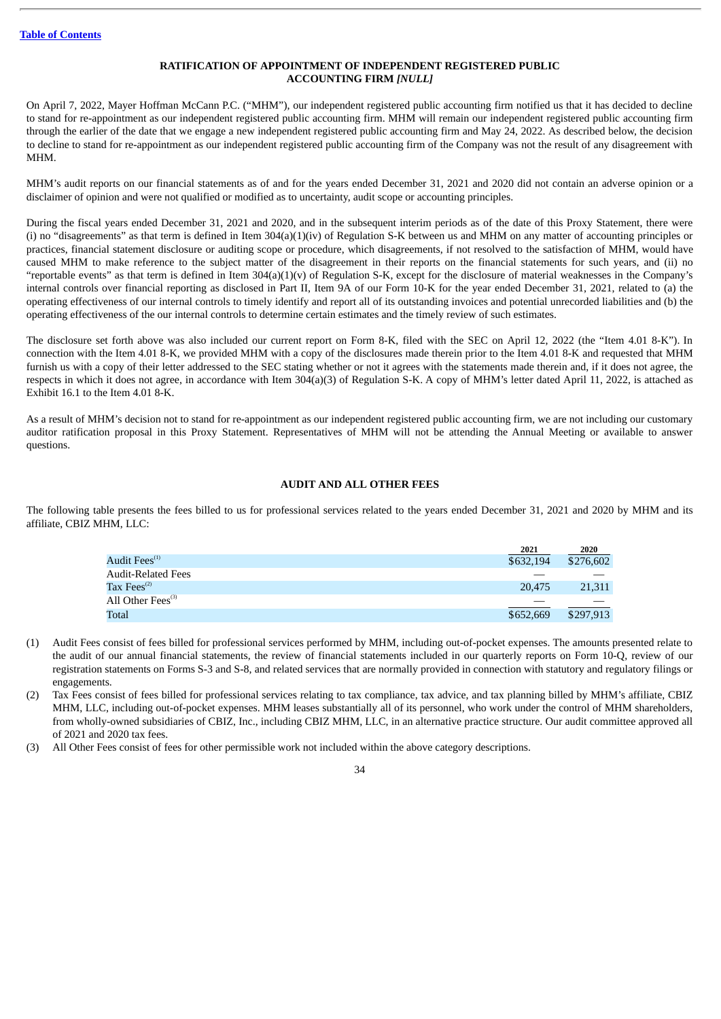# **RATIFICATION OF APPOINTMENT OF INDEPENDENT REGISTERED PUBLIC ACCOUNTING FIRM** *[NULL]*

On April 7, 2022, Mayer Hoffman McCann P.C. ("MHM"), our independent registered public accounting firm notified us that it has decided to decline to stand for re-appointment as our independent registered public accounting firm. MHM will remain our independent registered public accounting firm through the earlier of the date that we engage a new independent registered public accounting firm and May 24, 2022. As described below, the decision to decline to stand for re-appointment as our independent registered public accounting firm of the Company was not the result of any disagreement with MHM.

MHM's audit reports on our financial statements as of and for the years ended December 31, 2021 and 2020 did not contain an adverse opinion or a disclaimer of opinion and were not qualified or modified as to uncertainty, audit scope or accounting principles.

During the fiscal years ended December 31, 2021 and 2020, and in the subsequent interim periods as of the date of this Proxy Statement, there were (i) no "disagreements" as that term is defined in Item 304(a)(1)(iv) of Regulation S-K between us and MHM on any matter of accounting principles or practices, financial statement disclosure or auditing scope or procedure, which disagreements, if not resolved to the satisfaction of MHM, would have caused MHM to make reference to the subject matter of the disagreement in their reports on the financial statements for such years, and (ii) no "reportable events" as that term is defined in Item 304(a)(1)(v) of Regulation S-K, except for the disclosure of material weaknesses in the Company's internal controls over financial reporting as disclosed in Part II, Item 9A of our Form 10-K for the year ended December 31, 2021, related to (a) the operating effectiveness of our internal controls to timely identify and report all of its outstanding invoices and potential unrecorded liabilities and (b) the operating effectiveness of the our internal controls to determine certain estimates and the timely review of such estimates.

The disclosure set forth above was also included our current report on Form 8-K, filed with the SEC on April 12, 2022 (the "Item 4.01 8-K"). In connection with the Item 4.01 8-K, we provided MHM with a copy of the disclosures made therein prior to the Item 4.01 8-K and requested that MHM furnish us with a copy of their letter addressed to the SEC stating whether or not it agrees with the statements made therein and, if it does not agree, the respects in which it does not agree, in accordance with Item 304(a)(3) of Regulation S-K. A copy of MHM's letter dated April 11, 2022, is attached as Exhibit 16.1 to the Item 4.01 8-K.

As a result of MHM's decision not to stand for re-appointment as our independent registered public accounting firm, we are not including our customary auditor ratification proposal in this Proxy Statement. Representatives of MHM will not be attending the Annual Meeting or available to answer questions.

## **AUDIT AND ALL OTHER FEES**

The following table presents the fees billed to us for professional services related to the years ended December 31, 2021 and 2020 by MHM and its affiliate, CBIZ MHM, LLC:

|                                         | 2021      | 2020      |
|-----------------------------------------|-----------|-----------|
| Audit Fees $^{\scriptscriptstyle{(1)}}$ | \$632,194 | \$276,602 |
| Audit-Related Fees                      |           |           |
| $\rm{Tax\,Fees}^{(2)}$                  | 20,475    | 21,311    |
| All Other Fees <sup>(3)</sup>           |           |           |
| Total                                   | \$652,669 | \$297,913 |

- (1) Audit Fees consist of fees billed for professional services performed by MHM, including out-of-pocket expenses. The amounts presented relate to the audit of our annual financial statements, the review of financial statements included in our quarterly reports on Form 10-Q, review of our registration statements on Forms S-3 and S-8, and related services that are normally provided in connection with statutory and regulatory filings or engagements.
- (2) Tax Fees consist of fees billed for professional services relating to tax compliance, tax advice, and tax planning billed by MHM's affiliate, CBIZ MHM, LLC, including out-of-pocket expenses. MHM leases substantially all of its personnel, who work under the control of MHM shareholders, from wholly-owned subsidiaries of CBIZ, Inc., including CBIZ MHM, LLC, in an alternative practice structure. Our audit committee approved all of 2021 and 2020 tax fees.
- (3) All Other Fees consist of fees for other permissible work not included within the above category descriptions.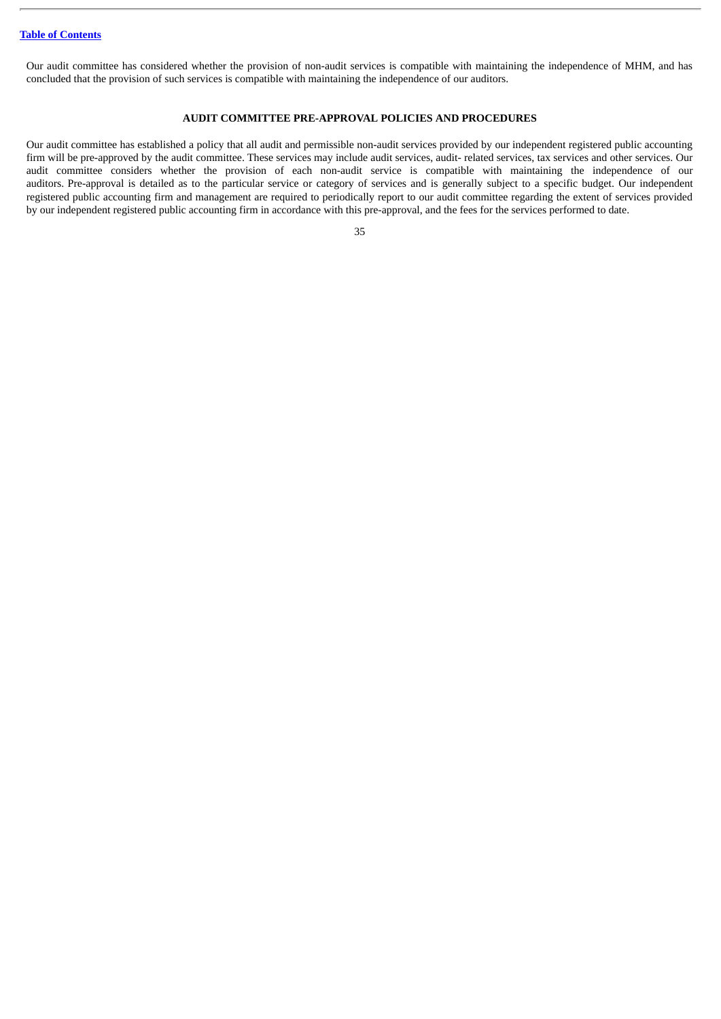Our audit committee has considered whether the provision of non-audit services is compatible with maintaining the independence of MHM, and has concluded that the provision of such services is compatible with maintaining the independence of our auditors.

## **AUDIT COMMITTEE PRE-APPROVAL POLICIES AND PROCEDURES**

Our audit committee has established a policy that all audit and permissible non-audit services provided by our independent registered public accounting firm will be pre-approved by the audit committee. These services may include audit services, audit- related services, tax services and other services. Our audit committee considers whether the provision of each non-audit service is compatible with maintaining the independence of our auditors. Pre-approval is detailed as to the particular service or category of services and is generally subject to a specific budget. Our independent registered public accounting firm and management are required to periodically report to our audit committee regarding the extent of services provided by our independent registered public accounting firm in accordance with this pre-approval, and the fees for the services performed to date.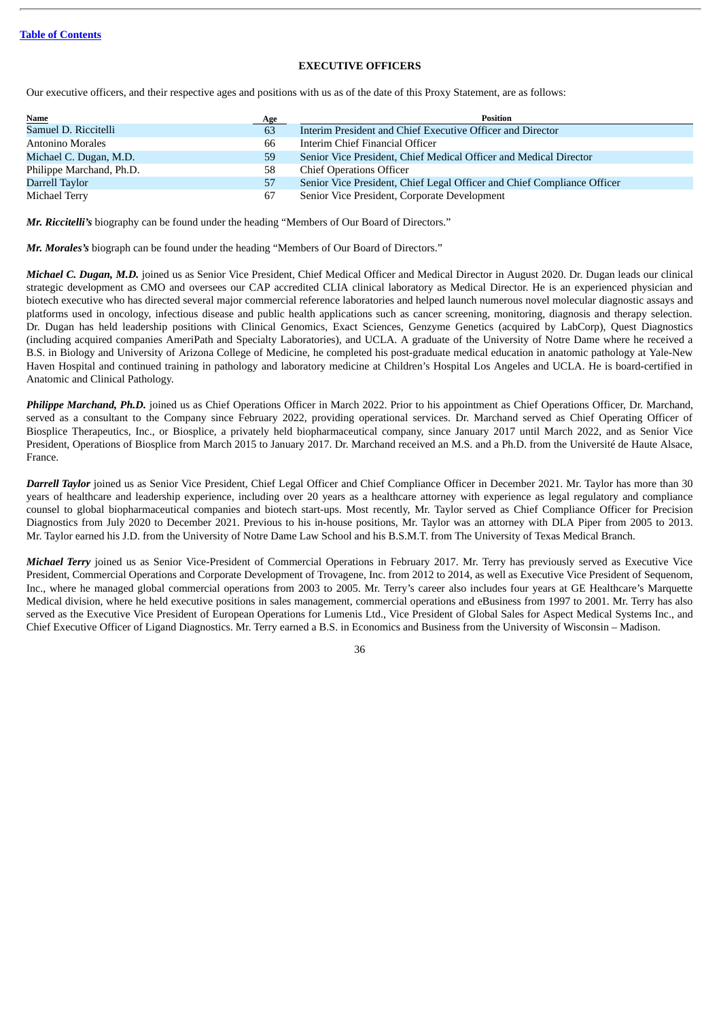## **EXECUTIVE OFFICERS**

Our executive officers, and their respective ages and positions with us as of the date of this Proxy Statement, are as follows:

| <b>Name</b>              | Age | Position                                                                |
|--------------------------|-----|-------------------------------------------------------------------------|
| Samuel D. Riccitelli     | 63  | Interim President and Chief Executive Officer and Director              |
| Antonino Morales         | 66  | Interim Chief Financial Officer                                         |
| Michael C. Dugan, M.D.   | 59  | Senior Vice President, Chief Medical Officer and Medical Director       |
| Philippe Marchand, Ph.D. | 58  | <b>Chief Operations Officer</b>                                         |
| Darrell Taylor           | 57  | Senior Vice President, Chief Legal Officer and Chief Compliance Officer |
| Michael Terry            | 67  | Senior Vice President, Corporate Development                            |

*Mr. Riccitelli's* biography can be found under the heading "Members of Our Board of Directors."

*Mr. Morales's* biograph can be found under the heading "Members of Our Board of Directors."

*Michael C. Dugan, M.D.* joined us as Senior Vice President, Chief Medical Officer and Medical Director in August 2020. Dr. Dugan leads our clinical strategic development as CMO and oversees our CAP accredited CLIA clinical laboratory as Medical Director. He is an experienced physician and biotech executive who has directed several major commercial reference laboratories and helped launch numerous novel molecular diagnostic assays and platforms used in oncology, infectious disease and public health applications such as cancer screening, monitoring, diagnosis and therapy selection. Dr. Dugan has held leadership positions with Clinical Genomics, Exact Sciences, Genzyme Genetics (acquired by LabCorp), Quest Diagnostics (including acquired companies AmeriPath and Specialty Laboratories), and UCLA. A graduate of the University of Notre Dame where he received a B.S. in Biology and University of Arizona College of Medicine, he completed his post-graduate medical education in anatomic pathology at Yale-New Haven Hospital and continued training in pathology and laboratory medicine at Children's Hospital Los Angeles and UCLA. He is board-certified in Anatomic and Clinical Pathology.

*Philippe Marchand, Ph.D.* joined us as Chief Operations Officer in March 2022. Prior to his appointment as Chief Operations Officer, Dr. Marchand, served as a consultant to the Company since February 2022, providing operational services. Dr. Marchand served as Chief Operating Officer of Biosplice Therapeutics, Inc., or Biosplice, a privately held biopharmaceutical company, since January 2017 until March 2022, and as Senior Vice President, Operations of Biosplice from March 2015 to January 2017. Dr. Marchand received an M.S. and a Ph.D. from the Université de Haute Alsace, France.

*Darrell Taylor* joined us as Senior Vice President, Chief Legal Officer and Chief Compliance Officer in December 2021. Mr. Taylor has more than 30 years of healthcare and leadership experience, including over 20 years as a healthcare attorney with experience as legal regulatory and compliance counsel to global biopharmaceutical companies and biotech start-ups. Most recently, Mr. Taylor served as Chief Compliance Officer for Precision Diagnostics from July 2020 to December 2021. Previous to his in-house positions, Mr. Taylor was an attorney with DLA Piper from 2005 to 2013. Mr. Taylor earned his J.D. from the University of Notre Dame Law School and his B.S.M.T. from The University of Texas Medical Branch.

*Michael Terry* joined us as Senior Vice-President of Commercial Operations in February 2017. Mr. Terry has previously served as Executive Vice President, Commercial Operations and Corporate Development of Trovagene, Inc. from 2012 to 2014, as well as Executive Vice President of Sequenom, Inc., where he managed global commercial operations from 2003 to 2005. Mr. Terry's career also includes four years at GE Healthcare's Marquette Medical division, where he held executive positions in sales management, commercial operations and eBusiness from 1997 to 2001. Mr. Terry has also served as the Executive Vice President of European Operations for Lumenis Ltd., Vice President of Global Sales for Aspect Medical Systems Inc., and Chief Executive Officer of Ligand Diagnostics. Mr. Terry earned a B.S. in Economics and Business from the University of Wisconsin – Madison.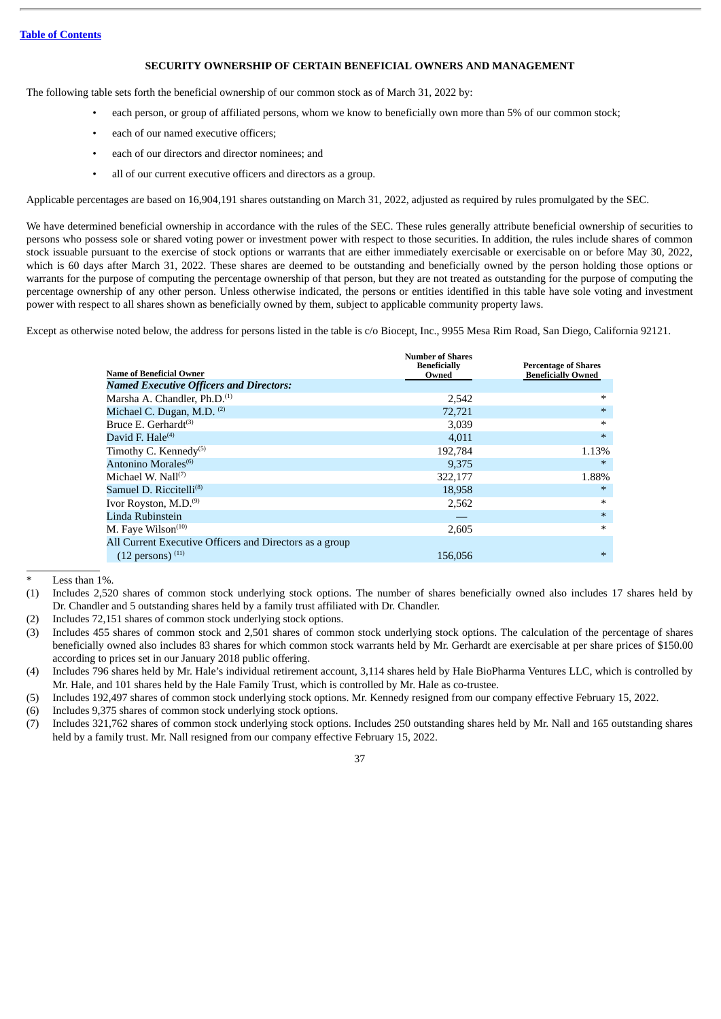## **SECURITY OWNERSHIP OF CERTAIN BENEFICIAL OWNERS AND MANAGEMENT**

The following table sets forth the beneficial ownership of our common stock as of March 31, 2022 by:

- each person, or group of affiliated persons, whom we know to beneficially own more than 5% of our common stock;
- each of our named executive officers:
- each of our directors and director nominees; and
- all of our current executive officers and directors as a group.

Applicable percentages are based on 16,904,191 shares outstanding on March 31, 2022, adjusted as required by rules promulgated by the SEC.

We have determined beneficial ownership in accordance with the rules of the SEC. These rules generally attribute beneficial ownership of securities to persons who possess sole or shared voting power or investment power with respect to those securities. In addition, the rules include shares of common stock issuable pursuant to the exercise of stock options or warrants that are either immediately exercisable or exercisable on or before May 30, 2022, which is 60 days after March 31, 2022. These shares are deemed to be outstanding and beneficially owned by the person holding those options or warrants for the purpose of computing the percentage ownership of that person, but they are not treated as outstanding for the purpose of computing the percentage ownership of any other person. Unless otherwise indicated, the persons or entities identified in this table have sole voting and investment power with respect to all shares shown as beneficially owned by them, subject to applicable community property laws.

Except as otherwise noted below, the address for persons listed in the table is c/o Biocept, Inc., 9955 Mesa Rim Road, San Diego, California 92121.

|                                                         | <b>Number of Shares</b><br><b>Beneficially</b> | <b>Percentage of Shares</b> |  |  |
|---------------------------------------------------------|------------------------------------------------|-----------------------------|--|--|
| <b>Name of Beneficial Owner</b>                         | Owned                                          | <b>Beneficially Owned</b>   |  |  |
| <b>Named Executive Officers and Directors:</b>          |                                                |                             |  |  |
| Marsha A. Chandler, Ph.D. <sup>(1)</sup>                | 2,542                                          | $\ast$                      |  |  |
| Michael C. Dugan, M.D. $(2)$                            | 72,721                                         | $\ast$                      |  |  |
| Bruce E. Gerhardt <sup>(3)</sup>                        | 3,039                                          | $\ast$                      |  |  |
| David F. Hale $(4)$                                     | 4,011                                          | $\ast$                      |  |  |
| Timothy C. Kennedy <sup>(5)</sup>                       | 192,784                                        | 1.13%                       |  |  |
| Antonino Morales <sup>(6)</sup>                         | 9,375                                          | $\ast$                      |  |  |
| Michael W. Nall $(7)$                                   | 322,177                                        | 1.88%                       |  |  |
| Samuel D. Riccitelli <sup>(8)</sup>                     | 18,958                                         | $\ast$                      |  |  |
| Ivor Royston, M.D. <sup>(9)</sup>                       | 2,562                                          | $\ast$                      |  |  |
| Linda Rubinstein                                        |                                                | $\ast$                      |  |  |
| M. Faye Wilson <sup>(10)</sup>                          | 2,605                                          | $\ast$                      |  |  |
| All Current Executive Officers and Directors as a group |                                                |                             |  |  |
| $(12 \text{ persons})$ $(11)$                           | 156,056                                        | $\ast$                      |  |  |

Less than 1%.

- (1) Includes 2,520 shares of common stock underlying stock options. The number of shares beneficially owned also includes 17 shares held by Dr. Chandler and 5 outstanding shares held by a family trust affiliated with Dr. Chandler.
- (2) Includes 72,151 shares of common stock underlying stock options.
- (3) Includes 455 shares of common stock and 2,501 shares of common stock underlying stock options. The calculation of the percentage of shares beneficially owned also includes 83 shares for which common stock warrants held by Mr. Gerhardt are exercisable at per share prices of \$150.00 according to prices set in our January 2018 public offering.
- (4) Includes 796 shares held by Mr. Hale's individual retirement account, 3,114 shares held by Hale BioPharma Ventures LLC, which is controlled by Mr. Hale, and 101 shares held by the Hale Family Trust, which is controlled by Mr. Hale as co-trustee.
- (5) Includes 192,497 shares of common stock underlying stock options. Mr. Kennedy resigned from our company effective February 15, 2022.
- (6) Includes 9,375 shares of common stock underlying stock options.
- (7) Includes 321,762 shares of common stock underlying stock options. Includes 250 outstanding shares held by Mr. Nall and 165 outstanding shares held by a family trust. Mr. Nall resigned from our company effective February 15, 2022.

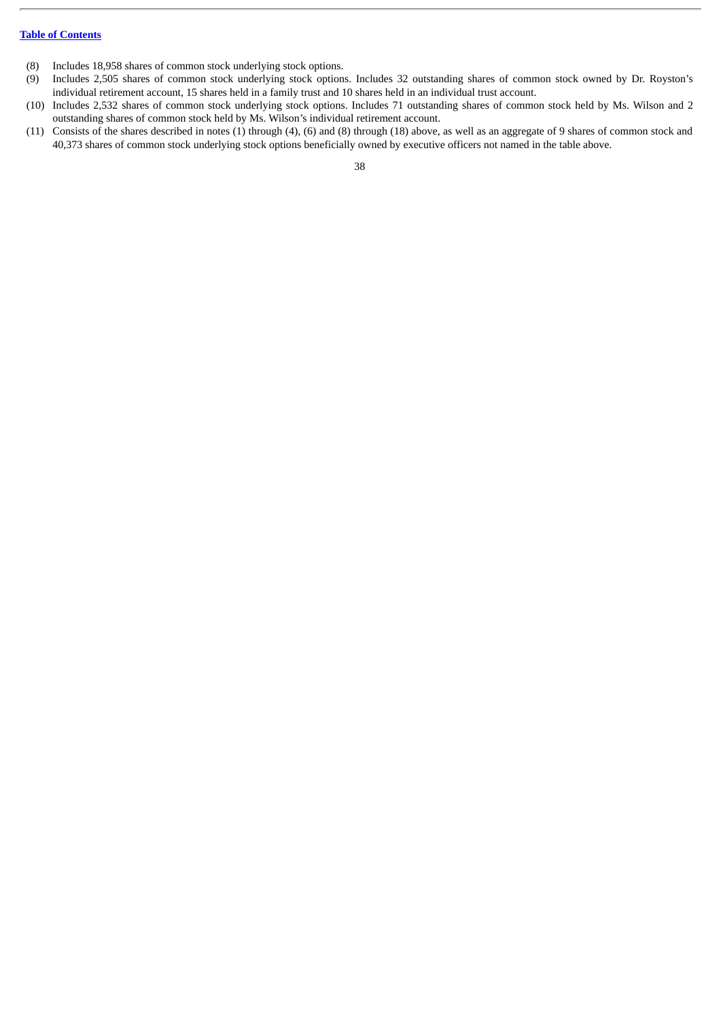- (8) Includes 18,958 shares of common stock underlying stock options.
- (9) Includes 2,505 shares of common stock underlying stock options. Includes 32 outstanding shares of common stock owned by Dr. Royston's individual retirement account, 15 shares held in a family trust and 10 shares held in an individual trust account.
- (10) Includes 2,532 shares of common stock underlying stock options. Includes 71 outstanding shares of common stock held by Ms. Wilson and 2 outstanding shares of common stock held by Ms. Wilson's individual retirement account.
- (11) Consists of the shares described in notes (1) through (4), (6) and (8) through (18) above, as well as an aggregate of 9 shares of common stock and 40,373 shares of common stock underlying stock options beneficially owned by executive officers not named in the table above.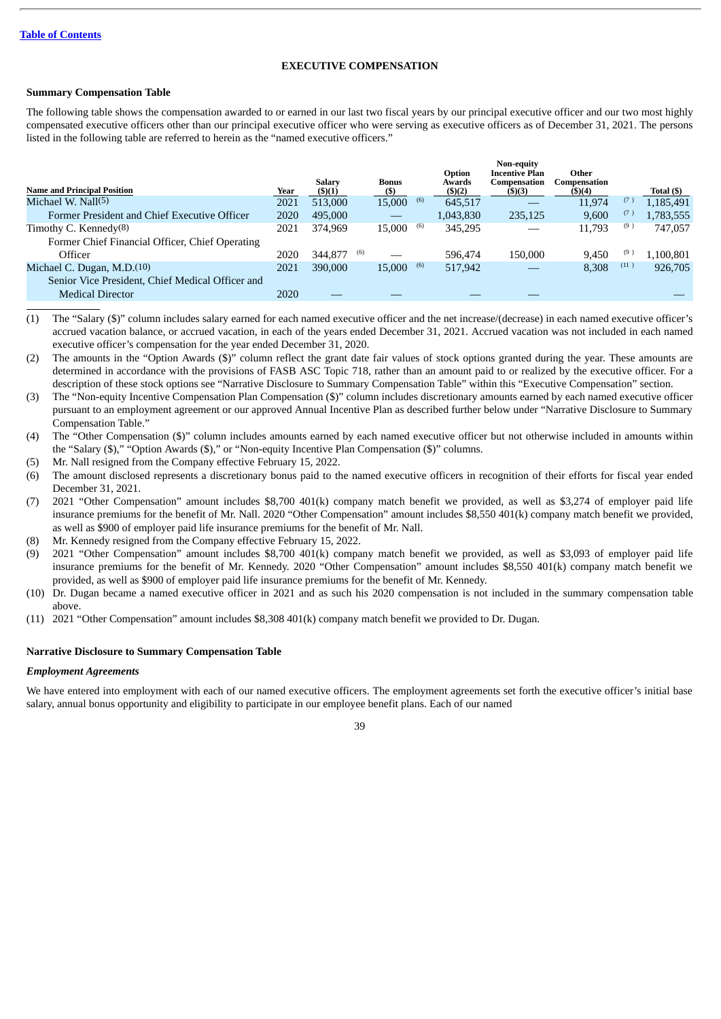## **EXECUTIVE COMPENSATION**

## **Summary Compensation Table**

The following table shows the compensation awarded to or earned in our last two fiscal years by our principal executive officer and our two most highly compensated executive officers other than our principal executive officer who were serving as executive officers as of December 31, 2021. The persons listed in the following table are referred to herein as the "named executive officers."

|                                                  |      |               |     |              |     |                  | <b>Non-equity</b>                     |                       |      |            |
|--------------------------------------------------|------|---------------|-----|--------------|-----|------------------|---------------------------------------|-----------------------|------|------------|
| <b>Name and Principal Position</b>               |      | <b>Salarv</b> |     | <b>Bonus</b> |     | Option<br>Awards | <b>Incentive Plan</b><br>Compensation | Other<br>Compensation |      |            |
|                                                  | Year | $($ \$ $)(1)$ |     | (S)          |     | (5)(2)           | $($ \$ $)(3)$                         | (5)(4)                |      | Total (\$) |
| Michael W. Nall(5)                               | 2021 | 513,000       |     | 15,000       | (6) | 645.517          |                                       | 11,974                | (7)  | 1,185,491  |
| Former President and Chief Executive Officer     | 2020 | 495,000       |     |              |     | 1,043,830        | 235,125                               | 9.600                 | (7)  | 1,783,555  |
| Timothy C. Kennedy $(8)$                         | 2021 | 374.969       |     | 15.000       | (6) | 345.295          |                                       | 11.793                | (9)  | 747,057    |
| Former Chief Financial Officer, Chief Operating  |      |               |     |              |     |                  |                                       |                       |      |            |
| Officer                                          | 2020 | 344,877       | (6) |              |     | 596.474          | 150,000                               | 9.450                 | (9)  | 1,100,801  |
| Michael C. Dugan, M.D. <sup>(10)</sup>           | 2021 | 390,000       |     | 15.000       | (6) | 517,942          |                                       | 8.308                 | (11) | 926,705    |
| Senior Vice President, Chief Medical Officer and |      |               |     |              |     |                  |                                       |                       |      |            |
| <b>Medical Director</b>                          | 2020 |               |     |              |     |                  |                                       |                       |      |            |

(1) The "Salary (\$)" column includes salary earned for each named executive officer and the net increase/(decrease) in each named executive officer's accrued vacation balance, or accrued vacation, in each of the years ended December 31, 2021. Accrued vacation was not included in each named executive officer's compensation for the year ended December 31, 2020.

(2) The amounts in the "Option Awards (\$)" column reflect the grant date fair values of stock options granted during the year. These amounts are determined in accordance with the provisions of FASB ASC Topic 718, rather than an amount paid to or realized by the executive officer. For a description of these stock options see "Narrative Disclosure to Summary Compensation Table" within this "Executive Compensation" section.

- (3) The "Non-equity Incentive Compensation Plan Compensation (\$)" column includes discretionary amounts earned by each named executive officer pursuant to an employment agreement or our approved Annual Incentive Plan as described further below under "Narrative Disclosure to Summary Compensation Table."
- (4) The "Other Compensation (\$)" column includes amounts earned by each named executive officer but not otherwise included in amounts within the "Salary (\$)," "Option Awards (\$)," or "Non-equity Incentive Plan Compensation (\$)" columns.
- (5) Mr. Nall resigned from the Company effective February 15, 2022.
- (6) The amount disclosed represents a discretionary bonus paid to the named executive officers in recognition of their efforts for fiscal year ended December 31, 2021.
- (7) 2021 "Other Compensation" amount includes \$8,700 401(k) company match benefit we provided, as well as \$3,274 of employer paid life insurance premiums for the benefit of Mr. Nall. 2020 "Other Compensation" amount includes \$8,550 401(k) company match benefit we provided, as well as \$900 of employer paid life insurance premiums for the benefit of Mr. Nall.
- (8) Mr. Kennedy resigned from the Company effective February 15, 2022.
- (9) 2021 "Other Compensation" amount includes \$8,700 401(k) company match benefit we provided, as well as \$3,093 of employer paid life insurance premiums for the benefit of Mr. Kennedy. 2020 "Other Compensation" amount includes \$8,550 401(k) company match benefit we provided, as well as \$900 of employer paid life insurance premiums for the benefit of Mr. Kennedy.
- (10) Dr. Dugan became a named executive officer in 2021 and as such his 2020 compensation is not included in the summary compensation table above.
- (11) 2021 "Other Compensation" amount includes \$8,308 401(k) company match benefit we provided to Dr. Dugan.

## **Narrative Disclosure to Summary Compensation Table**

#### *Employment Agreements*

We have entered into employment with each of our named executive officers. The employment agreements set forth the executive officer's initial base salary, annual bonus opportunity and eligibility to participate in our employee benefit plans. Each of our named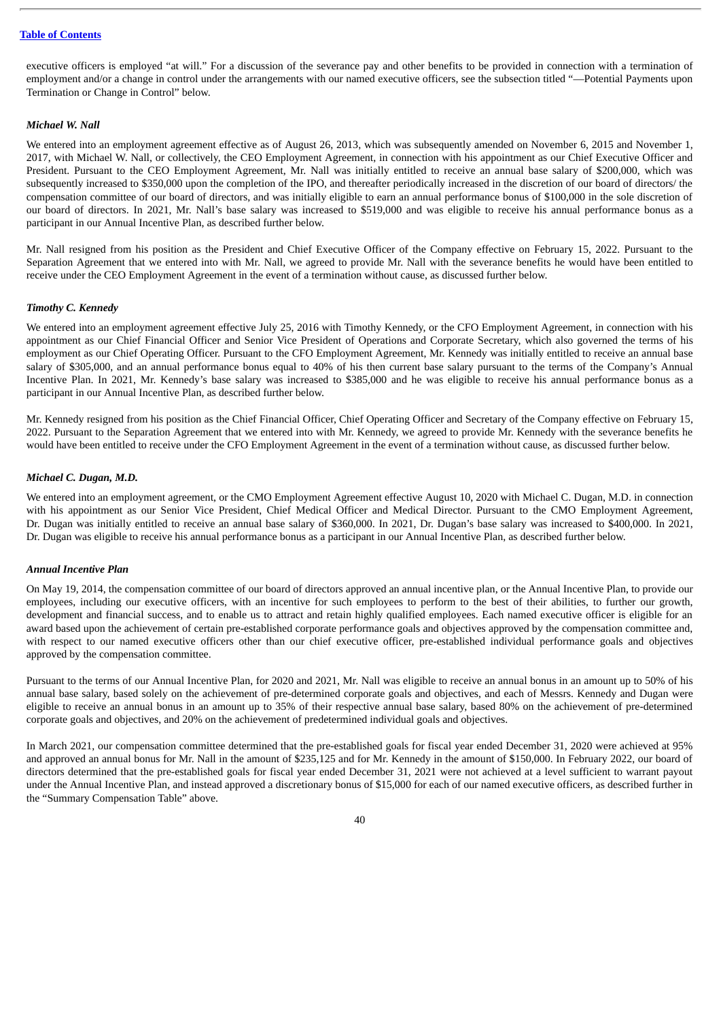executive officers is employed "at will." For a discussion of the severance pay and other benefits to be provided in connection with a termination of employment and/or a change in control under the arrangements with our named executive officers, see the subsection titled "—Potential Payments upon Termination or Change in Control" below.

## *Michael W. Nall*

We entered into an employment agreement effective as of August 26, 2013, which was subsequently amended on November 6, 2015 and November 1, 2017, with Michael W. Nall, or collectively, the CEO Employment Agreement, in connection with his appointment as our Chief Executive Officer and President. Pursuant to the CEO Employment Agreement, Mr. Nall was initially entitled to receive an annual base salary of \$200,000, which was subsequently increased to \$350,000 upon the completion of the IPO, and thereafter periodically increased in the discretion of our board of directors/ the compensation committee of our board of directors, and was initially eligible to earn an annual performance bonus of \$100,000 in the sole discretion of our board of directors. In 2021, Mr. Nall's base salary was increased to \$519,000 and was eligible to receive his annual performance bonus as a participant in our Annual Incentive Plan, as described further below.

Mr. Nall resigned from his position as the President and Chief Executive Officer of the Company effective on February 15, 2022. Pursuant to the Separation Agreement that we entered into with Mr. Nall, we agreed to provide Mr. Nall with the severance benefits he would have been entitled to receive under the CEO Employment Agreement in the event of a termination without cause, as discussed further below.

### *Timothy C. Kennedy*

We entered into an employment agreement effective July 25, 2016 with Timothy Kennedy, or the CFO Employment Agreement, in connection with his appointment as our Chief Financial Officer and Senior Vice President of Operations and Corporate Secretary, which also governed the terms of his employment as our Chief Operating Officer. Pursuant to the CFO Employment Agreement, Mr. Kennedy was initially entitled to receive an annual base salary of \$305,000, and an annual performance bonus equal to 40% of his then current base salary pursuant to the terms of the Company's Annual Incentive Plan. In 2021, Mr. Kennedy's base salary was increased to \$385,000 and he was eligible to receive his annual performance bonus as a participant in our Annual Incentive Plan, as described further below.

Mr. Kennedy resigned from his position as the Chief Financial Officer, Chief Operating Officer and Secretary of the Company effective on February 15, 2022. Pursuant to the Separation Agreement that we entered into with Mr. Kennedy, we agreed to provide Mr. Kennedy with the severance benefits he would have been entitled to receive under the CFO Employment Agreement in the event of a termination without cause, as discussed further below.

### *Michael C. Dugan, M.D.*

We entered into an employment agreement, or the CMO Employment Agreement effective August 10, 2020 with Michael C. Dugan, M.D. in connection with his appointment as our Senior Vice President, Chief Medical Officer and Medical Director. Pursuant to the CMO Employment Agreement, Dr. Dugan was initially entitled to receive an annual base salary of \$360,000. In 2021, Dr. Dugan's base salary was increased to \$400,000. In 2021, Dr. Dugan was eligible to receive his annual performance bonus as a participant in our Annual Incentive Plan, as described further below.

### *Annual Incentive Plan*

On May 19, 2014, the compensation committee of our board of directors approved an annual incentive plan, or the Annual Incentive Plan, to provide our employees, including our executive officers, with an incentive for such employees to perform to the best of their abilities, to further our growth, development and financial success, and to enable us to attract and retain highly qualified employees. Each named executive officer is eligible for an award based upon the achievement of certain pre-established corporate performance goals and objectives approved by the compensation committee and, with respect to our named executive officers other than our chief executive officer, pre-established individual performance goals and objectives approved by the compensation committee.

Pursuant to the terms of our Annual Incentive Plan, for 2020 and 2021, Mr. Nall was eligible to receive an annual bonus in an amount up to 50% of his annual base salary, based solely on the achievement of pre-determined corporate goals and objectives, and each of Messrs. Kennedy and Dugan were eligible to receive an annual bonus in an amount up to 35% of their respective annual base salary, based 80% on the achievement of pre-determined corporate goals and objectives, and 20% on the achievement of predetermined individual goals and objectives.

In March 2021, our compensation committee determined that the pre-established goals for fiscal year ended December 31, 2020 were achieved at 95% and approved an annual bonus for Mr. Nall in the amount of \$235,125 and for Mr. Kennedy in the amount of \$150,000. In February 2022, our board of directors determined that the pre-established goals for fiscal year ended December 31, 2021 were not achieved at a level sufficient to warrant payout under the Annual Incentive Plan, and instead approved a discretionary bonus of \$15,000 for each of our named executive officers, as described further in the "Summary Compensation Table" above.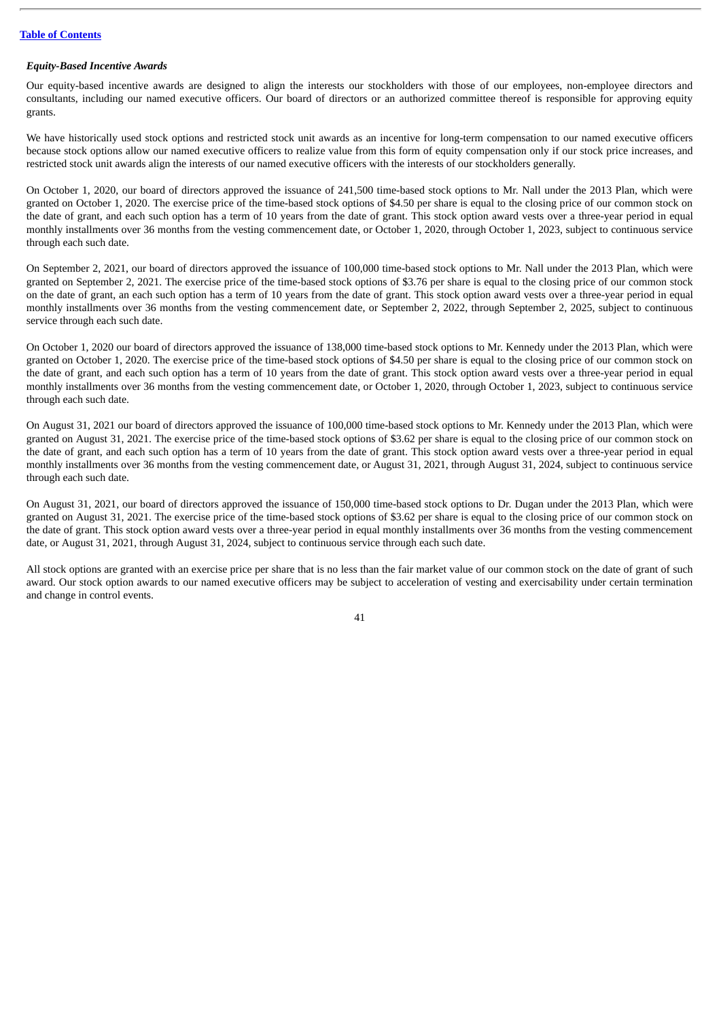### *Equity-Based Incentive Awards*

Our equity-based incentive awards are designed to align the interests our stockholders with those of our employees, non-employee directors and consultants, including our named executive officers. Our board of directors or an authorized committee thereof is responsible for approving equity grants.

We have historically used stock options and restricted stock unit awards as an incentive for long-term compensation to our named executive officers because stock options allow our named executive officers to realize value from this form of equity compensation only if our stock price increases, and restricted stock unit awards align the interests of our named executive officers with the interests of our stockholders generally.

On October 1, 2020, our board of directors approved the issuance of 241,500 time-based stock options to Mr. Nall under the 2013 Plan, which were granted on October 1, 2020. The exercise price of the time-based stock options of \$4.50 per share is equal to the closing price of our common stock on the date of grant, and each such option has a term of 10 years from the date of grant. This stock option award vests over a three-year period in equal monthly installments over 36 months from the vesting commencement date, or October 1, 2020, through October 1, 2023, subject to continuous service through each such date.

On September 2, 2021, our board of directors approved the issuance of 100,000 time-based stock options to Mr. Nall under the 2013 Plan, which were granted on September 2, 2021. The exercise price of the time-based stock options of \$3.76 per share is equal to the closing price of our common stock on the date of grant, an each such option has a term of 10 years from the date of grant. This stock option award vests over a three-year period in equal monthly installments over 36 months from the vesting commencement date, or September 2, 2022, through September 2, 2025, subject to continuous service through each such date.

On October 1, 2020 our board of directors approved the issuance of 138,000 time-based stock options to Mr. Kennedy under the 2013 Plan, which were granted on October 1, 2020. The exercise price of the time-based stock options of \$4.50 per share is equal to the closing price of our common stock on the date of grant, and each such option has a term of 10 years from the date of grant. This stock option award vests over a three-year period in equal monthly installments over 36 months from the vesting commencement date, or October 1, 2020, through October 1, 2023, subject to continuous service through each such date.

On August 31, 2021 our board of directors approved the issuance of 100,000 time-based stock options to Mr. Kennedy under the 2013 Plan, which were granted on August 31, 2021. The exercise price of the time-based stock options of \$3.62 per share is equal to the closing price of our common stock on the date of grant, and each such option has a term of 10 years from the date of grant. This stock option award vests over a three-year period in equal monthly installments over 36 months from the vesting commencement date, or August 31, 2021, through August 31, 2024, subject to continuous service through each such date.

On August 31, 2021, our board of directors approved the issuance of 150,000 time-based stock options to Dr. Dugan under the 2013 Plan, which were granted on August 31, 2021. The exercise price of the time-based stock options of \$3.62 per share is equal to the closing price of our common stock on the date of grant. This stock option award vests over a three-year period in equal monthly installments over 36 months from the vesting commencement date, or August 31, 2021, through August 31, 2024, subject to continuous service through each such date.

All stock options are granted with an exercise price per share that is no less than the fair market value of our common stock on the date of grant of such award. Our stock option awards to our named executive officers may be subject to acceleration of vesting and exercisability under certain termination and change in control events.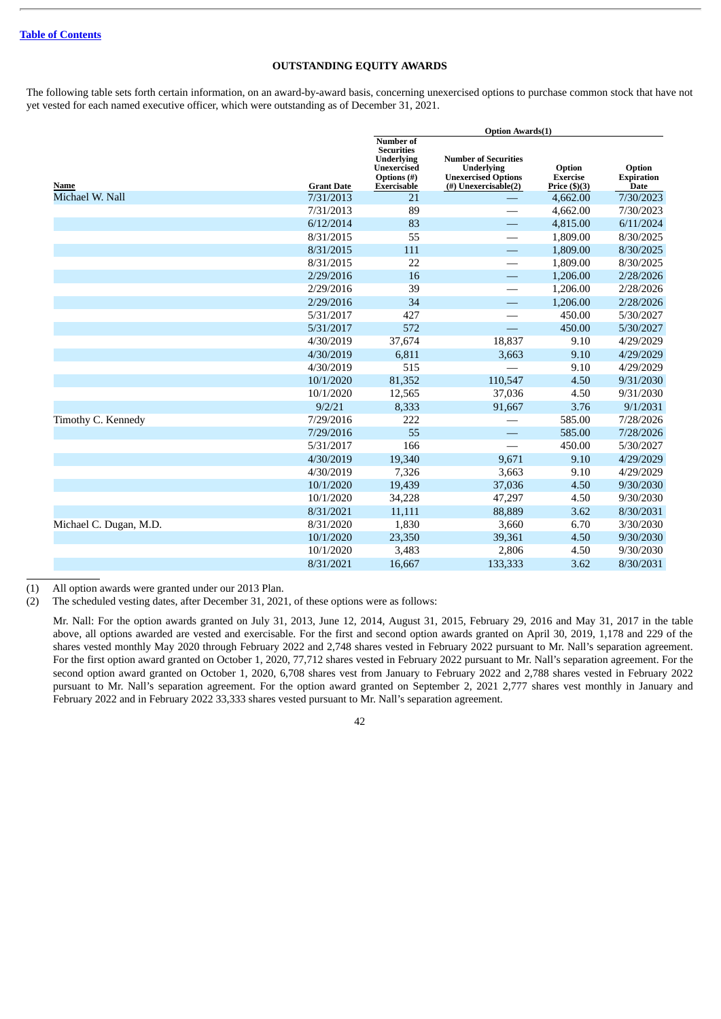## **OUTSTANDING EQUITY AWARDS**

The following table sets forth certain information, on an award-by-award basis, concerning unexercised options to purchase common stock that have not yet vested for each named executive officer, which were outstanding as of December 31, 2021.

|                        |                   | <b>Option Awards(1)</b>                                                                                 |                                                                                                        |                                              |                                            |  |
|------------------------|-------------------|---------------------------------------------------------------------------------------------------------|--------------------------------------------------------------------------------------------------------|----------------------------------------------|--------------------------------------------|--|
| Name                   | <b>Grant Date</b> | Number of<br><b>Securities</b><br><b>Underlying</b><br><b>Unexercised</b><br>Options (#)<br>Exercisable | <b>Number of Securities</b><br><b>Underlying</b><br><b>Unexercised Options</b><br>(#) Unexercisable(2) | Option<br><b>Exercise</b><br>Price $(\$)(3)$ | Option<br><b>Expiration</b><br><b>Date</b> |  |
| Michael W. Nall        | 7/31/2013         | 21                                                                                                      |                                                                                                        | 4,662.00                                     | 7/30/2023                                  |  |
|                        | 7/31/2013         | 89                                                                                                      |                                                                                                        | 4,662.00                                     | 7/30/2023                                  |  |
|                        | 6/12/2014         | 83                                                                                                      | $\overline{\phantom{0}}$                                                                               | 4,815.00                                     | 6/11/2024                                  |  |
|                        | 8/31/2015         | 55                                                                                                      |                                                                                                        | 1,809.00                                     | 8/30/2025                                  |  |
|                        | 8/31/2015         | 111                                                                                                     | $\overline{\phantom{0}}$                                                                               | 1,809.00                                     | 8/30/2025                                  |  |
|                        | 8/31/2015         | 22                                                                                                      |                                                                                                        | 1,809.00                                     | 8/30/2025                                  |  |
|                        | 2/29/2016         | 16                                                                                                      | —                                                                                                      | 1,206.00                                     | 2/28/2026                                  |  |
|                        | 2/29/2016         | 39                                                                                                      |                                                                                                        | 1,206.00                                     | 2/28/2026                                  |  |
|                        | 2/29/2016         | 34                                                                                                      | $\overline{\phantom{0}}$                                                                               | 1,206.00                                     | 2/28/2026                                  |  |
|                        | 5/31/2017         | 427                                                                                                     |                                                                                                        | 450.00                                       | 5/30/2027                                  |  |
|                        | 5/31/2017         | 572                                                                                                     |                                                                                                        | 450.00                                       | 5/30/2027                                  |  |
|                        | 4/30/2019         | 37,674                                                                                                  | 18,837                                                                                                 | 9.10                                         | 4/29/2029                                  |  |
|                        | 4/30/2019         | 6,811                                                                                                   | 3,663                                                                                                  | 9.10                                         | 4/29/2029                                  |  |
|                        | 4/30/2019         | 515                                                                                                     |                                                                                                        | 9.10                                         | 4/29/2029                                  |  |
|                        | 10/1/2020         | 81,352                                                                                                  | 110,547                                                                                                | 4.50                                         | 9/31/2030                                  |  |
|                        | 10/1/2020         | 12,565                                                                                                  | 37,036                                                                                                 | 4.50                                         | 9/31/2030                                  |  |
|                        | 9/2/21            | 8,333                                                                                                   | 91,667                                                                                                 | 3.76                                         | 9/1/2031                                   |  |
| Timothy C. Kennedy     | 7/29/2016         | 222                                                                                                     |                                                                                                        | 585.00                                       | 7/28/2026                                  |  |
|                        | 7/29/2016         | 55                                                                                                      | $\overline{\phantom{0}}$                                                                               | 585.00                                       | 7/28/2026                                  |  |
|                        | 5/31/2017         | 166                                                                                                     |                                                                                                        | 450.00                                       | 5/30/2027                                  |  |
|                        | 4/30/2019         | 19,340                                                                                                  | 9,671                                                                                                  | 9.10                                         | 4/29/2029                                  |  |
|                        | 4/30/2019         | 7,326                                                                                                   | 3,663                                                                                                  | 9.10                                         | 4/29/2029                                  |  |
|                        | 10/1/2020         | 19,439                                                                                                  | 37,036                                                                                                 | 4.50                                         | 9/30/2030                                  |  |
|                        | 10/1/2020         | 34,228                                                                                                  | 47,297                                                                                                 | 4.50                                         | 9/30/2030                                  |  |
|                        | 8/31/2021         | 11,111                                                                                                  | 88,889                                                                                                 | 3.62                                         | 8/30/2031                                  |  |
| Michael C. Dugan, M.D. | 8/31/2020         | 1,830                                                                                                   | 3,660                                                                                                  | 6.70                                         | 3/30/2030                                  |  |
|                        | 10/1/2020         | 23,350                                                                                                  | 39,361                                                                                                 | 4.50                                         | 9/30/2030                                  |  |
|                        | 10/1/2020         | 3,483                                                                                                   | 2,806                                                                                                  | 4.50                                         | 9/30/2030                                  |  |
|                        | 8/31/2021         | 16,667                                                                                                  | 133,333                                                                                                | 3.62                                         | 8/30/2031                                  |  |

(1) All option awards were granted under our 2013 Plan.

(2) The scheduled vesting dates, after December 31, 2021, of these options were as follows:

Mr. Nall: For the option awards granted on July 31, 2013, June 12, 2014, August 31, 2015, February 29, 2016 and May 31, 2017 in the table above, all options awarded are vested and exercisable. For the first and second option awards granted on April 30, 2019, 1,178 and 229 of the shares vested monthly May 2020 through February 2022 and 2,748 shares vested in February 2022 pursuant to Mr. Nall's separation agreement. For the first option award granted on October 1, 2020, 77,712 shares vested in February 2022 pursuant to Mr. Nall's separation agreement. For the second option award granted on October 1, 2020, 6,708 shares vest from January to February 2022 and 2,788 shares vested in February 2022 pursuant to Mr. Nall's separation agreement. For the option award granted on September 2, 2021 2,777 shares vest monthly in January and February 2022 and in February 2022 33,333 shares vested pursuant to Mr. Nall's separation agreement.

<sup>42</sup>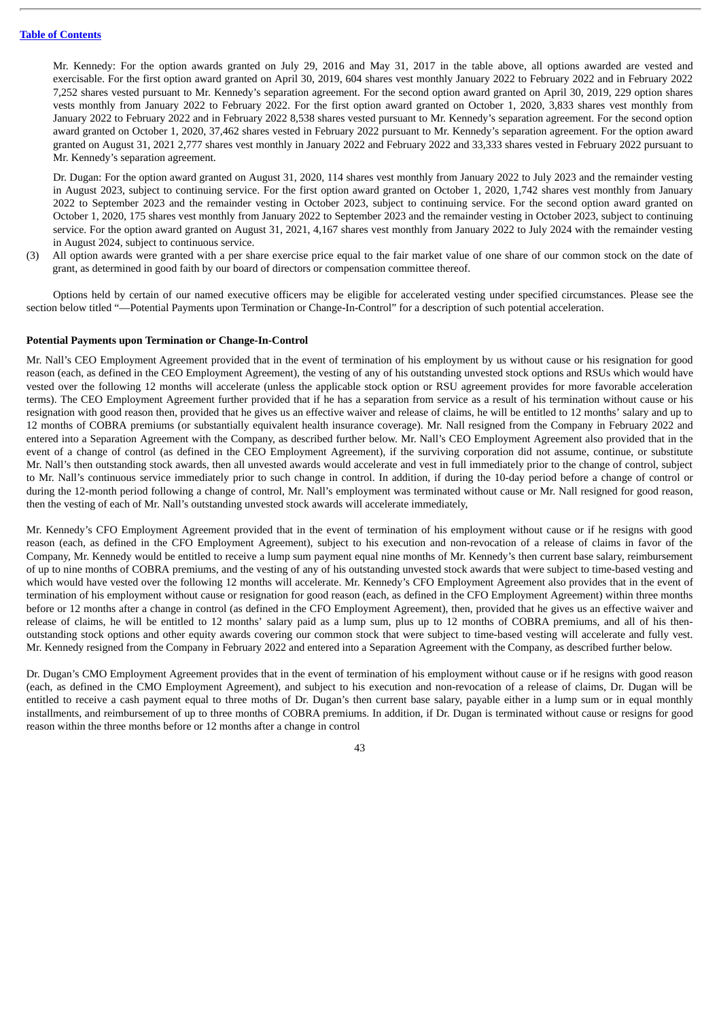Mr. Kennedy: For the option awards granted on July 29, 2016 and May 31, 2017 in the table above, all options awarded are vested and exercisable. For the first option award granted on April 30, 2019, 604 shares vest monthly January 2022 to February 2022 and in February 2022 7,252 shares vested pursuant to Mr. Kennedy's separation agreement. For the second option award granted on April 30, 2019, 229 option shares vests monthly from January 2022 to February 2022. For the first option award granted on October 1, 2020, 3,833 shares vest monthly from January 2022 to February 2022 and in February 2022 8,538 shares vested pursuant to Mr. Kennedy's separation agreement. For the second option award granted on October 1, 2020, 37,462 shares vested in February 2022 pursuant to Mr. Kennedy's separation agreement. For the option award granted on August 31, 2021 2,777 shares vest monthly in January 2022 and February 2022 and 33,333 shares vested in February 2022 pursuant to Mr. Kennedy's separation agreement.

Dr. Dugan: For the option award granted on August 31, 2020, 114 shares vest monthly from January 2022 to July 2023 and the remainder vesting in August 2023, subject to continuing service. For the first option award granted on October 1, 2020, 1,742 shares vest monthly from January 2022 to September 2023 and the remainder vesting in October 2023, subject to continuing service. For the second option award granted on October 1, 2020, 175 shares vest monthly from January 2022 to September 2023 and the remainder vesting in October 2023, subject to continuing service. For the option award granted on August 31, 2021, 4,167 shares vest monthly from January 2022 to July 2024 with the remainder vesting in August 2024, subject to continuous service.

(3) All option awards were granted with a per share exercise price equal to the fair market value of one share of our common stock on the date of grant, as determined in good faith by our board of directors or compensation committee thereof.

Options held by certain of our named executive officers may be eligible for accelerated vesting under specified circumstances. Please see the section below titled "—Potential Payments upon Termination or Change-In-Control" for a description of such potential acceleration.

### **Potential Payments upon Termination or Change-In-Control**

Mr. Nall's CEO Employment Agreement provided that in the event of termination of his employment by us without cause or his resignation for good reason (each, as defined in the CEO Employment Agreement), the vesting of any of his outstanding unvested stock options and RSUs which would have vested over the following 12 months will accelerate (unless the applicable stock option or RSU agreement provides for more favorable acceleration terms). The CEO Employment Agreement further provided that if he has a separation from service as a result of his termination without cause or his resignation with good reason then, provided that he gives us an effective waiver and release of claims, he will be entitled to 12 months' salary and up to 12 months of COBRA premiums (or substantially equivalent health insurance coverage). Mr. Nall resigned from the Company in February 2022 and entered into a Separation Agreement with the Company, as described further below. Mr. Nall's CEO Employment Agreement also provided that in the event of a change of control (as defined in the CEO Employment Agreement), if the surviving corporation did not assume, continue, or substitute Mr. Nall's then outstanding stock awards, then all unvested awards would accelerate and vest in full immediately prior to the change of control, subject to Mr. Nall's continuous service immediately prior to such change in control. In addition, if during the 10-day period before a change of control or during the 12-month period following a change of control, Mr. Nall's employment was terminated without cause or Mr. Nall resigned for good reason, then the vesting of each of Mr. Nall's outstanding unvested stock awards will accelerate immediately,

Mr. Kennedy's CFO Employment Agreement provided that in the event of termination of his employment without cause or if he resigns with good reason (each, as defined in the CFO Employment Agreement), subject to his execution and non-revocation of a release of claims in favor of the Company, Mr. Kennedy would be entitled to receive a lump sum payment equal nine months of Mr. Kennedy's then current base salary, reimbursement of up to nine months of COBRA premiums, and the vesting of any of his outstanding unvested stock awards that were subject to time-based vesting and which would have vested over the following 12 months will accelerate. Mr. Kennedy's CFO Employment Agreement also provides that in the event of termination of his employment without cause or resignation for good reason (each, as defined in the CFO Employment Agreement) within three months before or 12 months after a change in control (as defined in the CFO Employment Agreement), then, provided that he gives us an effective waiver and release of claims, he will be entitled to 12 months' salary paid as a lump sum, plus up to 12 months of COBRA premiums, and all of his thenoutstanding stock options and other equity awards covering our common stock that were subject to time-based vesting will accelerate and fully vest. Mr. Kennedy resigned from the Company in February 2022 and entered into a Separation Agreement with the Company, as described further below.

Dr. Dugan's CMO Employment Agreement provides that in the event of termination of his employment without cause or if he resigns with good reason (each, as defined in the CMO Employment Agreement), and subject to his execution and non-revocation of a release of claims, Dr. Dugan will be entitled to receive a cash payment equal to three moths of Dr. Dugan's then current base salary, payable either in a lump sum or in equal monthly installments, and reimbursement of up to three months of COBRA premiums. In addition, if Dr. Dugan is terminated without cause or resigns for good reason within the three months before or 12 months after a change in control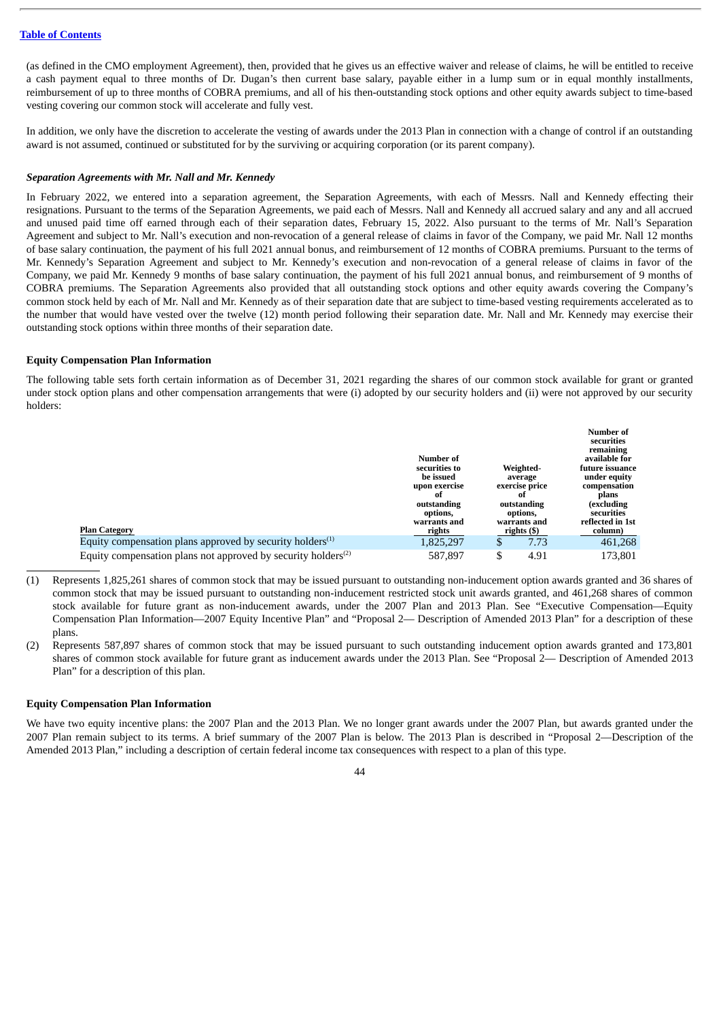(as defined in the CMO employment Agreement), then, provided that he gives us an effective waiver and release of claims, he will be entitled to receive a cash payment equal to three months of Dr. Dugan's then current base salary, payable either in a lump sum or in equal monthly installments, reimbursement of up to three months of COBRA premiums, and all of his then-outstanding stock options and other equity awards subject to time-based vesting covering our common stock will accelerate and fully vest.

In addition, we only have the discretion to accelerate the vesting of awards under the 2013 Plan in connection with a change of control if an outstanding award is not assumed, continued or substituted for by the surviving or acquiring corporation (or its parent company).

### *Separation Agreements with Mr. Nall and Mr. Kennedy*

In February 2022, we entered into a separation agreement, the Separation Agreements, with each of Messrs. Nall and Kennedy effecting their resignations. Pursuant to the terms of the Separation Agreements, we paid each of Messrs. Nall and Kennedy all accrued salary and any and all accrued and unused paid time off earned through each of their separation dates, February 15, 2022. Also pursuant to the terms of Mr. Nall's Separation Agreement and subject to Mr. Nall's execution and non-revocation of a general release of claims in favor of the Company, we paid Mr. Nall 12 months of base salary continuation, the payment of his full 2021 annual bonus, and reimbursement of 12 months of COBRA premiums. Pursuant to the terms of Mr. Kennedy's Separation Agreement and subject to Mr. Kennedy's execution and non-revocation of a general release of claims in favor of the Company, we paid Mr. Kennedy 9 months of base salary continuation, the payment of his full 2021 annual bonus, and reimbursement of 9 months of COBRA premiums. The Separation Agreements also provided that all outstanding stock options and other equity awards covering the Company's common stock held by each of Mr. Nall and Mr. Kennedy as of their separation date that are subject to time-based vesting requirements accelerated as to the number that would have vested over the twelve (12) month period following their separation date. Mr. Nall and Mr. Kennedy may exercise their outstanding stock options within three months of their separation date.

### **Equity Compensation Plan Information**

The following table sets forth certain information as of December 31, 2021 regarding the shares of our common stock available for grant or granted under stock option plans and other compensation arrangements that were (i) adopted by our security holders and (ii) were not approved by our security holders:

| <b>Plan Category</b>                                                                   | Number of<br>securities to<br>be issued<br>upon exercise<br>of<br>outstanding<br>options,<br>warrants and<br>rights |    | Weighted-<br>average<br>exercise price<br>0t<br>outstanding<br>options,<br>warrants and<br>rights (\$) | <b>Number of</b><br>securities<br>remaining<br>available for<br>future issuance<br>under equity<br>compensation<br>plans<br>(excluding<br>securities<br>reflected in 1st<br>column) |
|----------------------------------------------------------------------------------------|---------------------------------------------------------------------------------------------------------------------|----|--------------------------------------------------------------------------------------------------------|-------------------------------------------------------------------------------------------------------------------------------------------------------------------------------------|
| Equity compensation plans approved by security holders $(1)$                           | 1,825,297                                                                                                           | J  | 7.73                                                                                                   | 461,268                                                                                                                                                                             |
| Equity compensation plans not approved by security holders <sup><math>(2)</math></sup> | 587.897                                                                                                             | \$ | 4.91                                                                                                   | 173.801                                                                                                                                                                             |

(1) Represents 1,825,261 shares of common stock that may be issued pursuant to outstanding non-inducement option awards granted and 36 shares of common stock that may be issued pursuant to outstanding non-inducement restricted stock unit awards granted, and 461,268 shares of common stock available for future grant as non-inducement awards, under the 2007 Plan and 2013 Plan. See "Executive Compensation—Equity Compensation Plan Information—2007 Equity Incentive Plan" and "Proposal 2— Description of Amended 2013 Plan" for a description of these plans.

(2) Represents 587,897 shares of common stock that may be issued pursuant to such outstanding inducement option awards granted and 173,801 shares of common stock available for future grant as inducement awards under the 2013 Plan. See "Proposal 2— Description of Amended 2013 Plan" for a description of this plan.

## **Equity Compensation Plan Information**

We have two equity incentive plans: the 2007 Plan and the 2013 Plan. We no longer grant awards under the 2007 Plan, but awards granted under the 2007 Plan remain subject to its terms. A brief summary of the 2007 Plan is below. The 2013 Plan is described in "Proposal 2—Description of the Amended 2013 Plan," including a description of certain federal income tax consequences with respect to a plan of this type.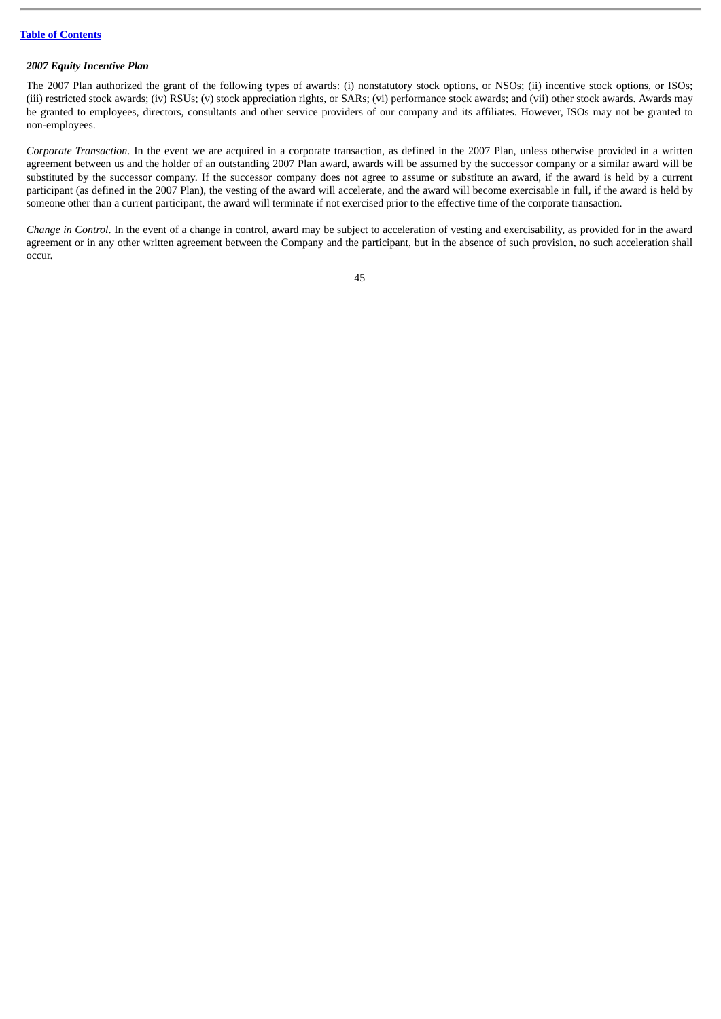## *2007 Equity Incentive Plan*

The 2007 Plan authorized the grant of the following types of awards: (i) nonstatutory stock options, or NSOs; (ii) incentive stock options, or ISOs; (iii) restricted stock awards; (iv) RSUs; (v) stock appreciation rights, or SARs; (vi) performance stock awards; and (vii) other stock awards. Awards may be granted to employees, directors, consultants and other service providers of our company and its affiliates. However, ISOs may not be granted to non-employees.

*Corporate Transaction*. In the event we are acquired in a corporate transaction, as defined in the 2007 Plan, unless otherwise provided in a written agreement between us and the holder of an outstanding 2007 Plan award, awards will be assumed by the successor company or a similar award will be substituted by the successor company. If the successor company does not agree to assume or substitute an award, if the award is held by a current participant (as defined in the 2007 Plan), the vesting of the award will accelerate, and the award will become exercisable in full, if the award is held by someone other than a current participant, the award will terminate if not exercised prior to the effective time of the corporate transaction.

*Change in Control*. In the event of a change in control, award may be subject to acceleration of vesting and exercisability, as provided for in the award agreement or in any other written agreement between the Company and the participant, but in the absence of such provision, no such acceleration shall occur.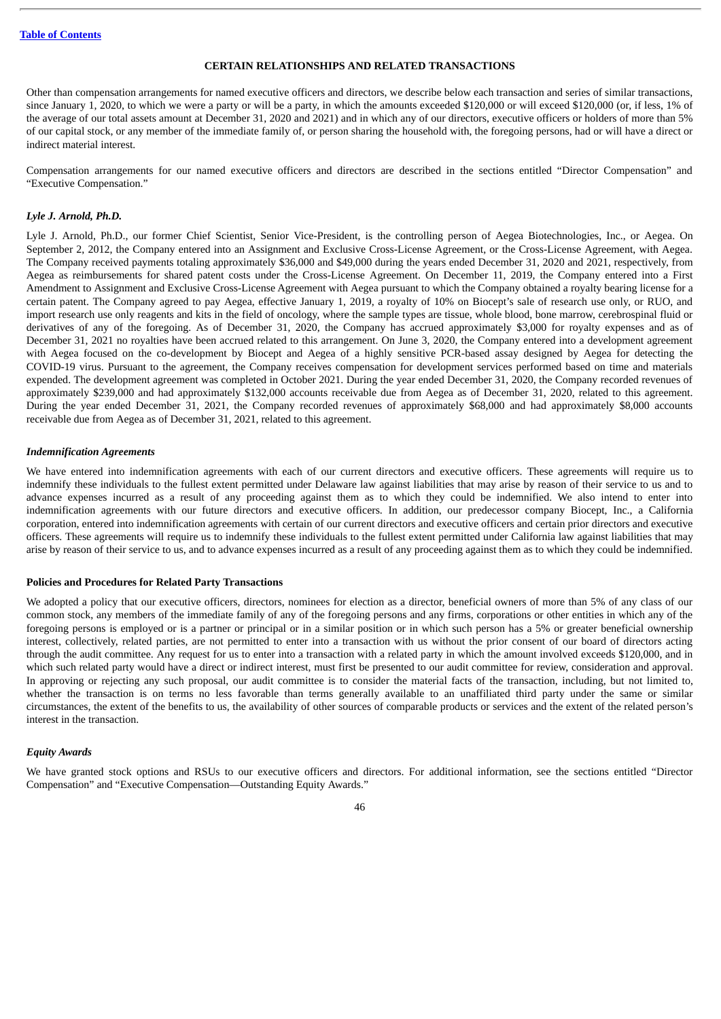## **CERTAIN RELATIONSHIPS AND RELATED TRANSACTIONS**

Other than compensation arrangements for named executive officers and directors, we describe below each transaction and series of similar transactions, since January 1, 2020, to which we were a party or will be a party, in which the amounts exceeded \$120,000 or will exceed \$120,000 (or, if less, 1% of the average of our total assets amount at December 31, 2020 and 2021) and in which any of our directors, executive officers or holders of more than 5% of our capital stock, or any member of the immediate family of, or person sharing the household with, the foregoing persons, had or will have a direct or indirect material interest.

Compensation arrangements for our named executive officers and directors are described in the sections entitled "Director Compensation" and "Executive Compensation."

## *Lyle J. Arnold, Ph.D.*

Lyle J. Arnold, Ph.D., our former Chief Scientist, Senior Vice-President, is the controlling person of Aegea Biotechnologies, Inc., or Aegea. On September 2, 2012, the Company entered into an Assignment and Exclusive Cross-License Agreement, or the Cross-License Agreement, with Aegea. The Company received payments totaling approximately \$36,000 and \$49,000 during the years ended December 31, 2020 and 2021, respectively, from Aegea as reimbursements for shared patent costs under the Cross-License Agreement. On December 11, 2019, the Company entered into a First Amendment to Assignment and Exclusive Cross-License Agreement with Aegea pursuant to which the Company obtained a royalty bearing license for a certain patent. The Company agreed to pay Aegea, effective January 1, 2019, a royalty of 10% on Biocept's sale of research use only, or RUO, and import research use only reagents and kits in the field of oncology, where the sample types are tissue, whole blood, bone marrow, cerebrospinal fluid or derivatives of any of the foregoing. As of December 31, 2020, the Company has accrued approximately \$3,000 for royalty expenses and as of December 31, 2021 no royalties have been accrued related to this arrangement. On June 3, 2020, the Company entered into a development agreement with Aegea focused on the co-development by Biocept and Aegea of a highly sensitive PCR-based assay designed by Aegea for detecting the COVID-19 virus. Pursuant to the agreement, the Company receives compensation for development services performed based on time and materials expended. The development agreement was completed in October 2021. During the year ended December 31, 2020, the Company recorded revenues of approximately \$239,000 and had approximately \$132,000 accounts receivable due from Aegea as of December 31, 2020, related to this agreement. During the year ended December 31, 2021, the Company recorded revenues of approximately \$68,000 and had approximately \$8,000 accounts receivable due from Aegea as of December 31, 2021, related to this agreement.

## *Indemnification Agreements*

We have entered into indemnification agreements with each of our current directors and executive officers. These agreements will require us to indemnify these individuals to the fullest extent permitted under Delaware law against liabilities that may arise by reason of their service to us and to advance expenses incurred as a result of any proceeding against them as to which they could be indemnified. We also intend to enter into indemnification agreements with our future directors and executive officers. In addition, our predecessor company Biocept, Inc., a California corporation, entered into indemnification agreements with certain of our current directors and executive officers and certain prior directors and executive officers. These agreements will require us to indemnify these individuals to the fullest extent permitted under California law against liabilities that may arise by reason of their service to us, and to advance expenses incurred as a result of any proceeding against them as to which they could be indemnified.

### **Policies and Procedures for Related Party Transactions**

We adopted a policy that our executive officers, directors, nominees for election as a director, beneficial owners of more than 5% of any class of our common stock, any members of the immediate family of any of the foregoing persons and any firms, corporations or other entities in which any of the foregoing persons is employed or is a partner or principal or in a similar position or in which such person has a 5% or greater beneficial ownership interest, collectively, related parties, are not permitted to enter into a transaction with us without the prior consent of our board of directors acting through the audit committee. Any request for us to enter into a transaction with a related party in which the amount involved exceeds \$120,000, and in which such related party would have a direct or indirect interest, must first be presented to our audit committee for review, consideration and approval. In approving or rejecting any such proposal, our audit committee is to consider the material facts of the transaction, including, but not limited to, whether the transaction is on terms no less favorable than terms generally available to an unaffiliated third party under the same or similar circumstances, the extent of the benefits to us, the availability of other sources of comparable products or services and the extent of the related person's interest in the transaction.

### *Equity Awards*

We have granted stock options and RSUs to our executive officers and directors. For additional information, see the sections entitled "Director Compensation" and "Executive Compensation—Outstanding Equity Awards."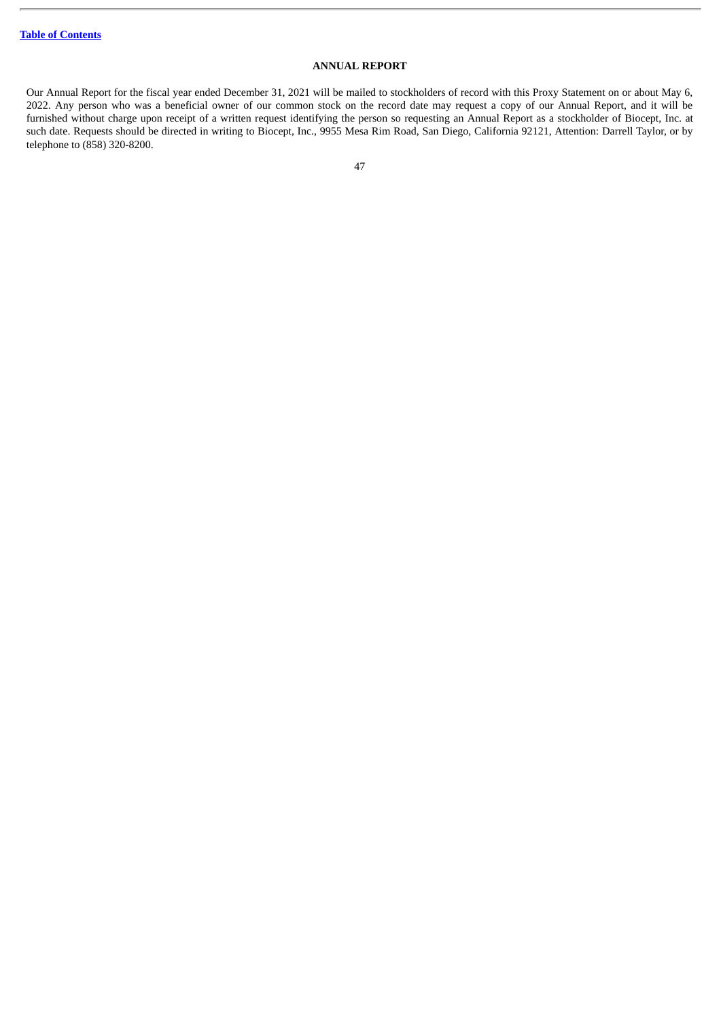# **ANNUAL REPORT**

Our Annual Report for the fiscal year ended December 31, 2021 will be mailed to stockholders of record with this Proxy Statement on or about May 6, 2022. Any person who was a beneficial owner of our common stock on the record date may request a copy of our Annual Report, and it will be furnished without charge upon receipt of a written request identifying the person so requesting an Annual Report as a stockholder of Biocept, Inc. at such date. Requests should be directed in writing to Biocept, Inc., 9955 Mesa Rim Road, San Diego, California 92121, Attention: Darrell Taylor, or by telephone to (858) 320-8200.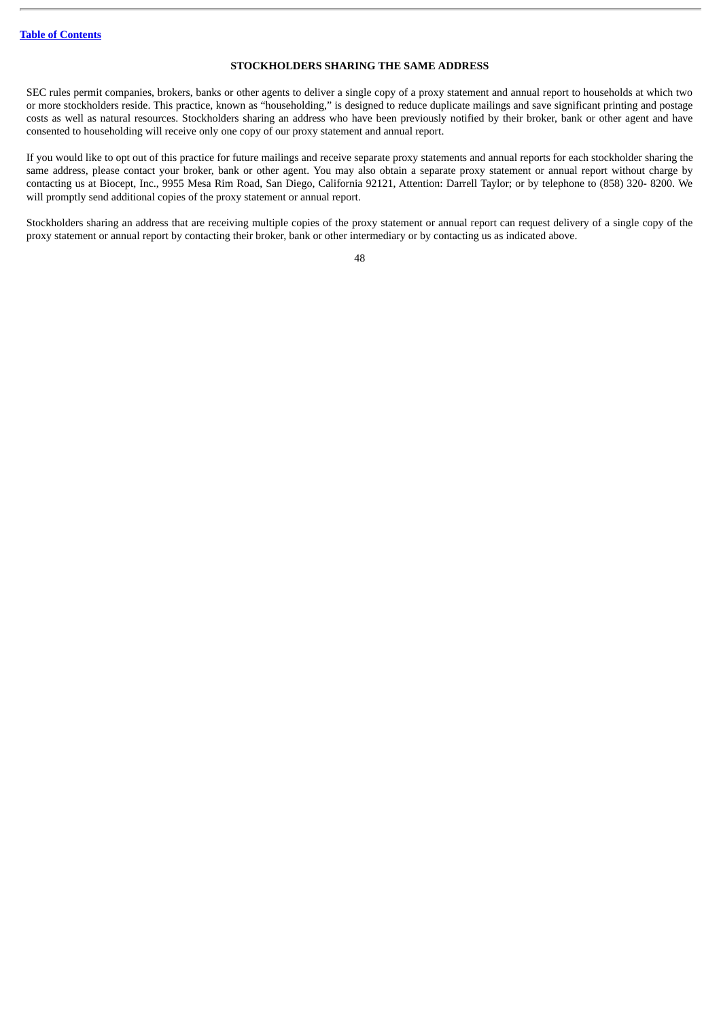## **STOCKHOLDERS SHARING THE SAME ADDRESS**

SEC rules permit companies, brokers, banks or other agents to deliver a single copy of a proxy statement and annual report to households at which two or more stockholders reside. This practice, known as "householding," is designed to reduce duplicate mailings and save significant printing and postage costs as well as natural resources. Stockholders sharing an address who have been previously notified by their broker, bank or other agent and have consented to householding will receive only one copy of our proxy statement and annual report.

If you would like to opt out of this practice for future mailings and receive separate proxy statements and annual reports for each stockholder sharing the same address, please contact your broker, bank or other agent. You may also obtain a separate proxy statement or annual report without charge by contacting us at Biocept, Inc., 9955 Mesa Rim Road, San Diego, California 92121, Attention: Darrell Taylor; or by telephone to (858) 320- 8200. We will promptly send additional copies of the proxy statement or annual report.

Stockholders sharing an address that are receiving multiple copies of the proxy statement or annual report can request delivery of a single copy of the proxy statement or annual report by contacting their broker, bank or other intermediary or by contacting us as indicated above.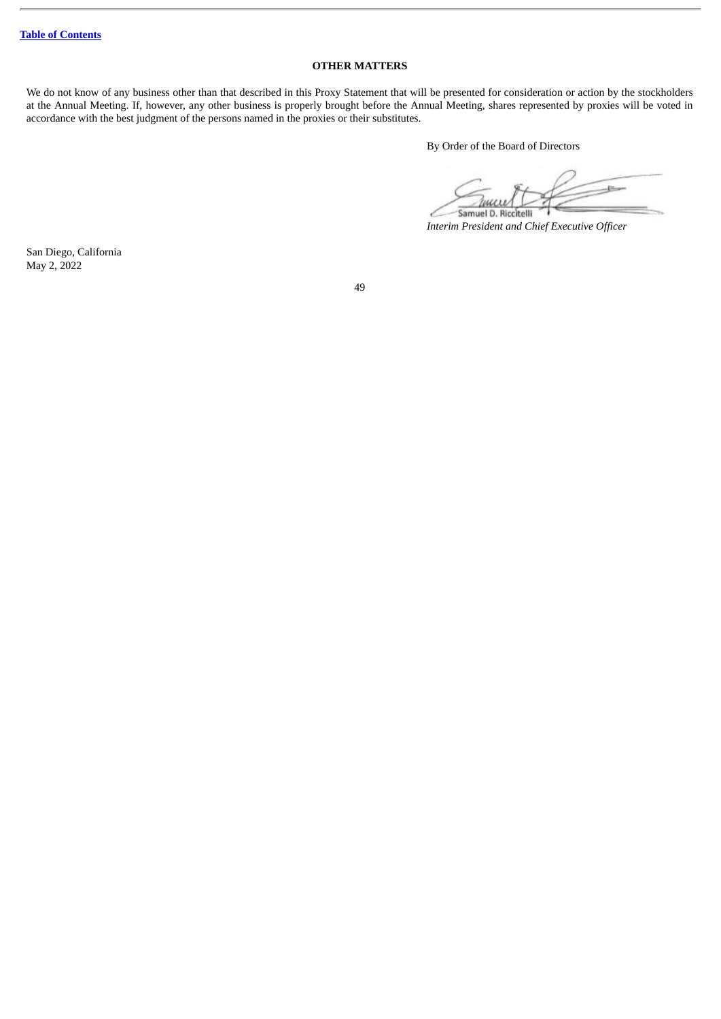# **OTHER MATTERS**

We do not know of any business other than that described in this Proxy Statement that will be presented for consideration or action by the stockholders at the Annual Meeting. If, however, any other business is properly brought before the Annual Meeting, shares represented by proxies will be voted in accordance with the best judgment of the persons named in the proxies or their substitutes.

By Order of the Board of Directors

Samuel D. Riccitelli

*Interim President and Chief Executive Officer*

San Diego, California May 2, 2022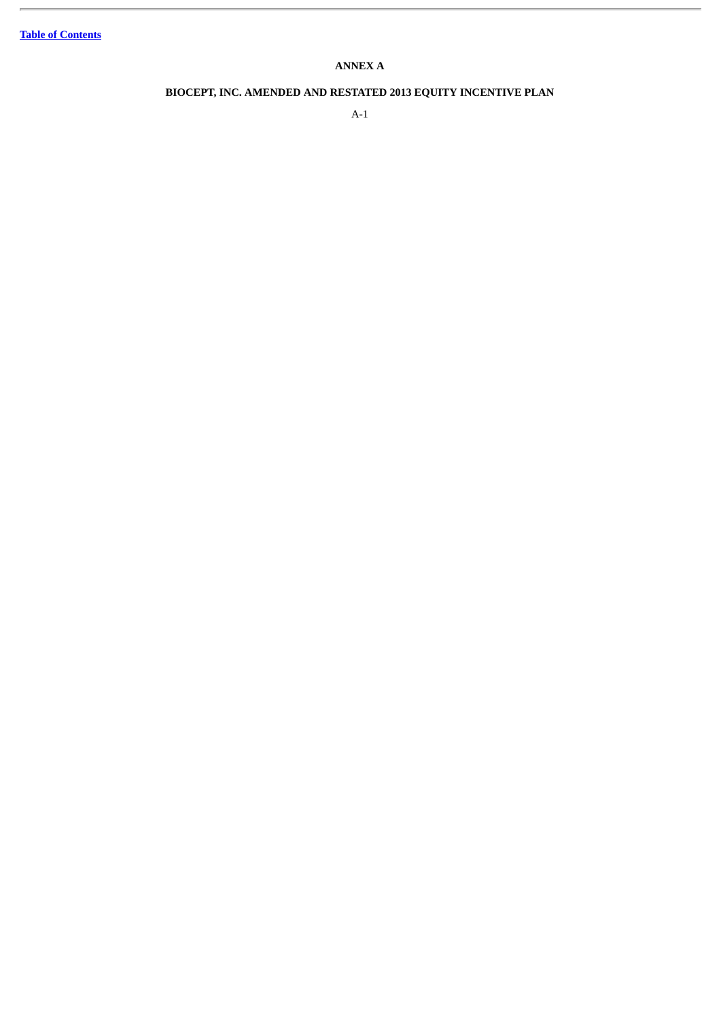ł.

# **ANNEX A**

# **BIOCEPT, INC. AMENDED AND RESTATED 2013 EQUITY INCENTIVE PLAN**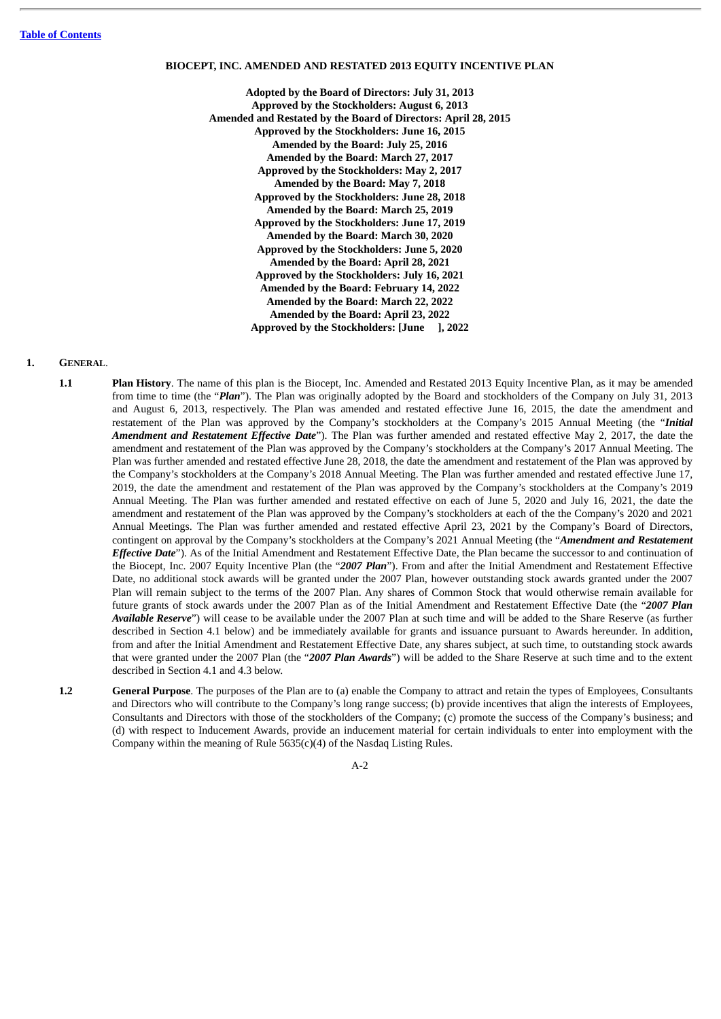### **BIOCEPT, INC. AMENDED AND RESTATED 2013 EQUITY INCENTIVE PLAN**

**Adopted by the Board of Directors: July 31, 2013 Approved by the Stockholders: August 6, 2013 Amended and Restated by the Board of Directors: April 28, 2015 Approved by the Stockholders: June 16, 2015 Amended by the Board: July 25, 2016 Amended by the Board: March 27, 2017 Approved by the Stockholders: May 2, 2017 Amended by the Board: May 7, 2018 Approved by the Stockholders: June 28, 2018 Amended by the Board: March 25, 2019 Approved by the Stockholders: June 17, 2019 Amended by the Board: March 30, 2020 Approved by the Stockholders: June 5, 2020 Amended by the Board: April 28, 2021 Approved by the Stockholders: July 16, 2021 Amended by the Board: February 14, 2022 Amended by the Board: March 22, 2022 Amended by the Board: April 23, 2022 Approved by the Stockholders: [June ], 2022**

### **1. GENERAL**.

- **1.1 Plan History**. The name of this plan is the Biocept, Inc. Amended and Restated 2013 Equity Incentive Plan, as it may be amended from time to time (the "*Plan*"). The Plan was originally adopted by the Board and stockholders of the Company on July 31, 2013 and August 6, 2013, respectively. The Plan was amended and restated effective June 16, 2015, the date the amendment and restatement of the Plan was approved by the Company's stockholders at the Company's 2015 Annual Meeting (the "*Initial Amendment and Restatement Effective Date*"). The Plan was further amended and restated effective May 2, 2017, the date the amendment and restatement of the Plan was approved by the Company's stockholders at the Company's 2017 Annual Meeting. The Plan was further amended and restated effective June 28, 2018, the date the amendment and restatement of the Plan was approved by the Company's stockholders at the Company's 2018 Annual Meeting. The Plan was further amended and restated effective June 17, 2019, the date the amendment and restatement of the Plan was approved by the Company's stockholders at the Company's 2019 Annual Meeting. The Plan was further amended and restated effective on each of June 5, 2020 and July 16, 2021, the date the amendment and restatement of the Plan was approved by the Company's stockholders at each of the the Company's 2020 and 2021 Annual Meetings. The Plan was further amended and restated effective April 23, 2021 by the Company's Board of Directors, contingent on approval by the Company's stockholders at the Company's 2021 Annual Meeting (the "*Amendment and Restatement Effective Date*"). As of the Initial Amendment and Restatement Effective Date, the Plan became the successor to and continuation of the Biocept, Inc. 2007 Equity Incentive Plan (the "*2007 Plan*"). From and after the Initial Amendment and Restatement Effective Date, no additional stock awards will be granted under the 2007 Plan, however outstanding stock awards granted under the 2007 Plan will remain subject to the terms of the 2007 Plan. Any shares of Common Stock that would otherwise remain available for future grants of stock awards under the 2007 Plan as of the Initial Amendment and Restatement Effective Date (the "*2007 Plan Available Reserve*") will cease to be available under the 2007 Plan at such time and will be added to the Share Reserve (as further described in Section 4.1 below) and be immediately available for grants and issuance pursuant to Awards hereunder. In addition, from and after the Initial Amendment and Restatement Effective Date, any shares subject, at such time, to outstanding stock awards that were granted under the 2007 Plan (the "*2007 Plan Awards*") will be added to the Share Reserve at such time and to the extent described in Section 4.1 and 4.3 below.
- **1.2 General Purpose**. The purposes of the Plan are to (a) enable the Company to attract and retain the types of Employees, Consultants and Directors who will contribute to the Company's long range success; (b) provide incentives that align the interests of Employees, Consultants and Directors with those of the stockholders of the Company; (c) promote the success of the Company's business; and (d) with respect to Inducement Awards, provide an inducement material for certain individuals to enter into employment with the Company within the meaning of Rule  $5635(c)(4)$  of the Nasdaq Listing Rules.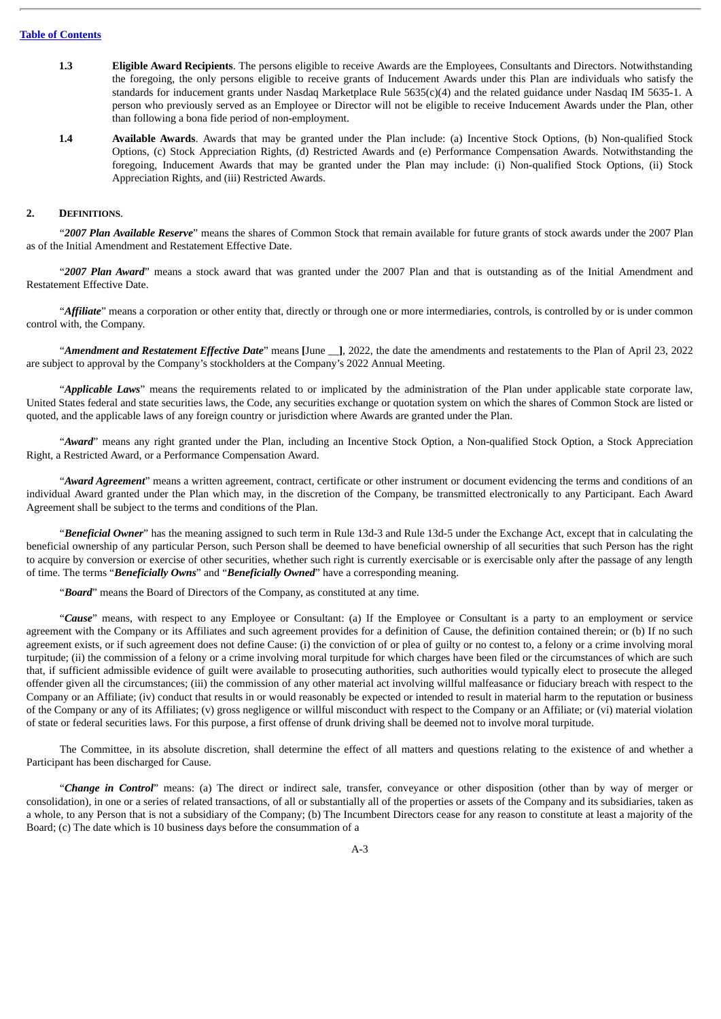- **1.3 Eligible Award Recipients**. The persons eligible to receive Awards are the Employees, Consultants and Directors. Notwithstanding the foregoing, the only persons eligible to receive grants of Inducement Awards under this Plan are individuals who satisfy the standards for inducement grants under Nasdaq Marketplace Rule 5635(c)(4) and the related guidance under Nasdaq IM 5635-1. A person who previously served as an Employee or Director will not be eligible to receive Inducement Awards under the Plan, other than following a bona fide period of non-employment.
- **1.4 Available Awards**. Awards that may be granted under the Plan include: (a) Incentive Stock Options, (b) Non-qualified Stock Options, (c) Stock Appreciation Rights, (d) Restricted Awards and (e) Performance Compensation Awards. Notwithstanding the foregoing, Inducement Awards that may be granted under the Plan may include: (i) Non-qualified Stock Options, (ii) Stock Appreciation Rights, and (iii) Restricted Awards.

### **2. DEFINITIONS**.

"*2007 Plan Available Reserve*" means the shares of Common Stock that remain available for future grants of stock awards under the 2007 Plan as of the Initial Amendment and Restatement Effective Date.

"*2007 Plan Award*" means a stock award that was granted under the 2007 Plan and that is outstanding as of the Initial Amendment and Restatement Effective Date.

"*Affiliate*" means a corporation or other entity that, directly or through one or more intermediaries, controls, is controlled by or is under common control with, the Company.

"*Amendment and Restatement Effective Date*" means **[**June \_\_**]**, 2022, the date the amendments and restatements to the Plan of April 23, 2022 are subject to approval by the Company's stockholders at the Company's 2022 Annual Meeting.

"*Applicable Laws*" means the requirements related to or implicated by the administration of the Plan under applicable state corporate law, United States federal and state securities laws, the Code, any securities exchange or quotation system on which the shares of Common Stock are listed or quoted, and the applicable laws of any foreign country or jurisdiction where Awards are granted under the Plan.

"*Award*" means any right granted under the Plan, including an Incentive Stock Option, a Non-qualified Stock Option, a Stock Appreciation Right, a Restricted Award, or a Performance Compensation Award.

"*Award Agreement*" means a written agreement, contract, certificate or other instrument or document evidencing the terms and conditions of an individual Award granted under the Plan which may, in the discretion of the Company, be transmitted electronically to any Participant. Each Award Agreement shall be subject to the terms and conditions of the Plan.

"*Beneficial Owner*" has the meaning assigned to such term in Rule 13d-3 and Rule 13d-5 under the Exchange Act, except that in calculating the beneficial ownership of any particular Person, such Person shall be deemed to have beneficial ownership of all securities that such Person has the right to acquire by conversion or exercise of other securities, whether such right is currently exercisable or is exercisable only after the passage of any length of time. The terms "*Beneficially Owns*" and "*Beneficially Owned*" have a corresponding meaning.

"*Board*" means the Board of Directors of the Company, as constituted at any time.

"*Cause*" means, with respect to any Employee or Consultant: (a) If the Employee or Consultant is a party to an employment or service agreement with the Company or its Affiliates and such agreement provides for a definition of Cause, the definition contained therein; or (b) If no such agreement exists, or if such agreement does not define Cause: (i) the conviction of or plea of guilty or no contest to, a felony or a crime involving moral turpitude; (ii) the commission of a felony or a crime involving moral turpitude for which charges have been filed or the circumstances of which are such that, if sufficient admissible evidence of guilt were available to prosecuting authorities, such authorities would typically elect to prosecute the alleged offender given all the circumstances; (iii) the commission of any other material act involving willful malfeasance or fiduciary breach with respect to the Company or an Affiliate; (iv) conduct that results in or would reasonably be expected or intended to result in material harm to the reputation or business of the Company or any of its Affiliates; (v) gross negligence or willful misconduct with respect to the Company or an Affiliate; or (vi) material violation of state or federal securities laws. For this purpose, a first offense of drunk driving shall be deemed not to involve moral turpitude.

The Committee, in its absolute discretion, shall determine the effect of all matters and questions relating to the existence of and whether a Participant has been discharged for Cause.

"*Change in Control*" means: (a) The direct or indirect sale, transfer, conveyance or other disposition (other than by way of merger or consolidation), in one or a series of related transactions, of all or substantially all of the properties or assets of the Company and its subsidiaries, taken as a whole, to any Person that is not a subsidiary of the Company; (b) The Incumbent Directors cease for any reason to constitute at least a majority of the Board; (c) The date which is 10 business days before the consummation of a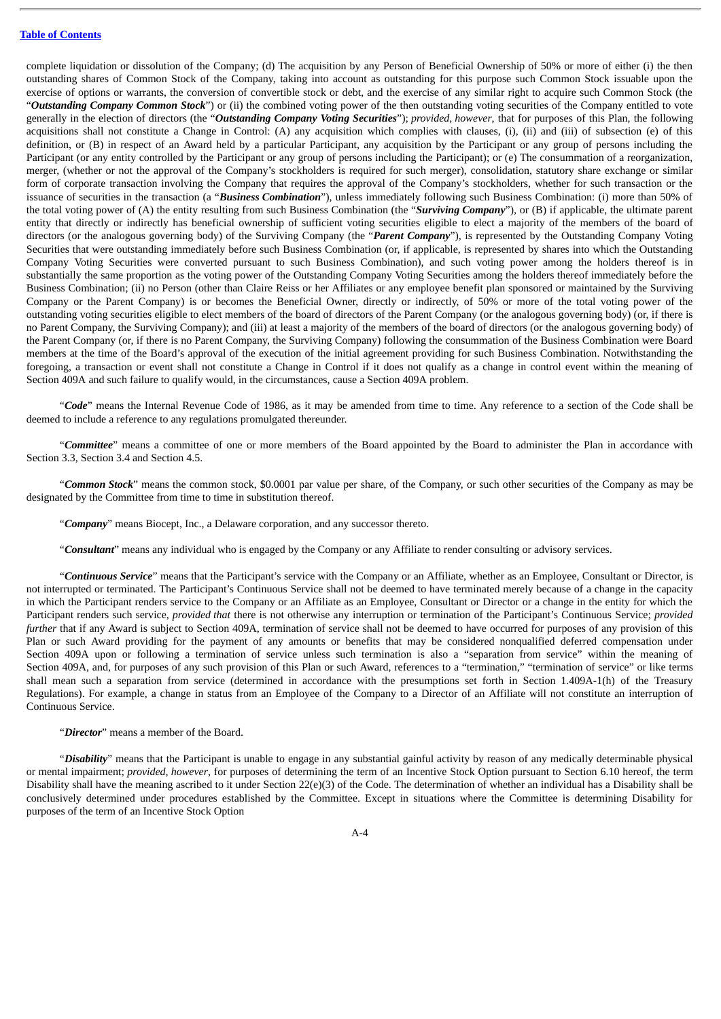complete liquidation or dissolution of the Company; (d) The acquisition by any Person of Beneficial Ownership of 50% or more of either (i) the then outstanding shares of Common Stock of the Company, taking into account as outstanding for this purpose such Common Stock issuable upon the exercise of options or warrants, the conversion of convertible stock or debt, and the exercise of any similar right to acquire such Common Stock (the "*Outstanding Company Common Stock*") or (ii) the combined voting power of the then outstanding voting securities of the Company entitled to vote generally in the election of directors (the "*Outstanding Company Voting Securities*"); *provided, however*, that for purposes of this Plan, the following acquisitions shall not constitute a Change in Control: (A) any acquisition which complies with clauses, (i), (ii) and (iii) of subsection (e) of this definition, or (B) in respect of an Award held by a particular Participant, any acquisition by the Participant or any group of persons including the Participant (or any entity controlled by the Participant or any group of persons including the Participant); or (e) The consummation of a reorganization, merger, (whether or not the approval of the Company's stockholders is required for such merger), consolidation, statutory share exchange or similar form of corporate transaction involving the Company that requires the approval of the Company's stockholders, whether for such transaction or the issuance of securities in the transaction (a "*Business Combination*"), unless immediately following such Business Combination: (i) more than 50% of the total voting power of (A) the entity resulting from such Business Combination (the "*Surviving Company*"), or (B) if applicable, the ultimate parent entity that directly or indirectly has beneficial ownership of sufficient voting securities eligible to elect a majority of the members of the board of directors (or the analogous governing body) of the Surviving Company (the "*Parent Company*"), is represented by the Outstanding Company Voting Securities that were outstanding immediately before such Business Combination (or, if applicable, is represented by shares into which the Outstanding Company Voting Securities were converted pursuant to such Business Combination), and such voting power among the holders thereof is in substantially the same proportion as the voting power of the Outstanding Company Voting Securities among the holders thereof immediately before the Business Combination; (ii) no Person (other than Claire Reiss or her Affiliates or any employee benefit plan sponsored or maintained by the Surviving Company or the Parent Company) is or becomes the Beneficial Owner, directly or indirectly, of 50% or more of the total voting power of the outstanding voting securities eligible to elect members of the board of directors of the Parent Company (or the analogous governing body) (or, if there is no Parent Company, the Surviving Company); and (iii) at least a majority of the members of the board of directors (or the analogous governing body) of the Parent Company (or, if there is no Parent Company, the Surviving Company) following the consummation of the Business Combination were Board members at the time of the Board's approval of the execution of the initial agreement providing for such Business Combination. Notwithstanding the foregoing, a transaction or event shall not constitute a Change in Control if it does not qualify as a change in control event within the meaning of Section 409A and such failure to qualify would, in the circumstances, cause a Section 409A problem.

"*Code*" means the Internal Revenue Code of 1986, as it may be amended from time to time. Any reference to a section of the Code shall be deemed to include a reference to any regulations promulgated thereunder.

"*Committee*" means a committee of one or more members of the Board appointed by the Board to administer the Plan in accordance with Section 3.3, Section 3.4 and Section 4.5.

"*Common Stock*" means the common stock, \$0.0001 par value per share, of the Company, or such other securities of the Company as may be designated by the Committee from time to time in substitution thereof.

"*Company*" means Biocept, Inc., a Delaware corporation, and any successor thereto.

"*Consultant*" means any individual who is engaged by the Company or any Affiliate to render consulting or advisory services.

"*Continuous Service*" means that the Participant's service with the Company or an Affiliate, whether as an Employee, Consultant or Director, is not interrupted or terminated. The Participant's Continuous Service shall not be deemed to have terminated merely because of a change in the capacity in which the Participant renders service to the Company or an Affiliate as an Employee, Consultant or Director or a change in the entity for which the Participant renders such service, *provided that* there is not otherwise any interruption or termination of the Participant's Continuous Service; *provided further* that if any Award is subject to Section 409A, termination of service shall not be deemed to have occurred for purposes of any provision of this Plan or such Award providing for the payment of any amounts or benefits that may be considered nonqualified deferred compensation under Section 409A upon or following a termination of service unless such termination is also a "separation from service" within the meaning of Section 409A, and, for purposes of any such provision of this Plan or such Award, references to a "termination," "termination of service" or like terms shall mean such a separation from service (determined in accordance with the presumptions set forth in Section 1.409A-1(h) of the Treasury Regulations). For example, a change in status from an Employee of the Company to a Director of an Affiliate will not constitute an interruption of Continuous Service.

### "*Director*" means a member of the Board.

"*Disability*" means that the Participant is unable to engage in any substantial gainful activity by reason of any medically determinable physical or mental impairment; *provided, however*, for purposes of determining the term of an Incentive Stock Option pursuant to Section 6.10 hereof, the term Disability shall have the meaning ascribed to it under Section 22(e)(3) of the Code. The determination of whether an individual has a Disability shall be conclusively determined under procedures established by the Committee. Except in situations where the Committee is determining Disability for purposes of the term of an Incentive Stock Option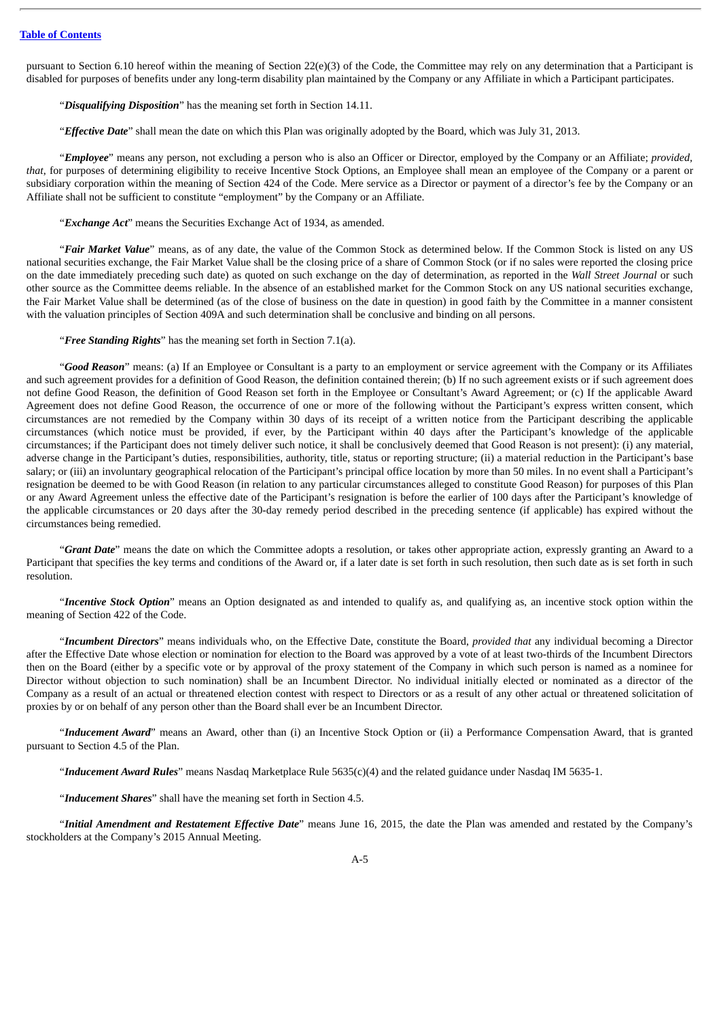pursuant to Section 6.10 hereof within the meaning of Section 22(e)(3) of the Code, the Committee may rely on any determination that a Participant is disabled for purposes of benefits under any long-term disability plan maintained by the Company or any Affiliate in which a Participant participates.

"*Disqualifying Disposition*" has the meaning set forth in Section 14.11.

"*Effective Date*" shall mean the date on which this Plan was originally adopted by the Board, which was July 31, 2013.

"*Employee*" means any person, not excluding a person who is also an Officer or Director, employed by the Company or an Affiliate; *provided, that*, for purposes of determining eligibility to receive Incentive Stock Options, an Employee shall mean an employee of the Company or a parent or subsidiary corporation within the meaning of Section 424 of the Code. Mere service as a Director or payment of a director's fee by the Company or an Affiliate shall not be sufficient to constitute "employment" by the Company or an Affiliate.

"*Exchange Act*" means the Securities Exchange Act of 1934, as amended.

"*Fair Market Value*" means, as of any date, the value of the Common Stock as determined below. If the Common Stock is listed on any US national securities exchange, the Fair Market Value shall be the closing price of a share of Common Stock (or if no sales were reported the closing price on the date immediately preceding such date) as quoted on such exchange on the day of determination, as reported in the *Wall Street Journal* or such other source as the Committee deems reliable. In the absence of an established market for the Common Stock on any US national securities exchange, the Fair Market Value shall be determined (as of the close of business on the date in question) in good faith by the Committee in a manner consistent with the valuation principles of Section 409A and such determination shall be conclusive and binding on all persons.

"*Free Standing Rights*" has the meaning set forth in Section 7.1(a).

"*Good Reason*" means: (a) If an Employee or Consultant is a party to an employment or service agreement with the Company or its Affiliates and such agreement provides for a definition of Good Reason, the definition contained therein; (b) If no such agreement exists or if such agreement does not define Good Reason, the definition of Good Reason set forth in the Employee or Consultant's Award Agreement; or (c) If the applicable Award Agreement does not define Good Reason, the occurrence of one or more of the following without the Participant's express written consent, which circumstances are not remedied by the Company within 30 days of its receipt of a written notice from the Participant describing the applicable circumstances (which notice must be provided, if ever, by the Participant within 40 days after the Participant's knowledge of the applicable circumstances; if the Participant does not timely deliver such notice, it shall be conclusively deemed that Good Reason is not present): (i) any material, adverse change in the Participant's duties, responsibilities, authority, title, status or reporting structure; (ii) a material reduction in the Participant's base salary; or (iii) an involuntary geographical relocation of the Participant's principal office location by more than 50 miles. In no event shall a Participant's resignation be deemed to be with Good Reason (in relation to any particular circumstances alleged to constitute Good Reason) for purposes of this Plan or any Award Agreement unless the effective date of the Participant's resignation is before the earlier of 100 days after the Participant's knowledge of the applicable circumstances or 20 days after the 30-day remedy period described in the preceding sentence (if applicable) has expired without the circumstances being remedied.

"*Grant Date*" means the date on which the Committee adopts a resolution, or takes other appropriate action, expressly granting an Award to a Participant that specifies the key terms and conditions of the Award or, if a later date is set forth in such resolution, then such date as is set forth in such resolution.

"*Incentive Stock Option*" means an Option designated as and intended to qualify as, and qualifying as, an incentive stock option within the meaning of Section 422 of the Code.

"*Incumbent Directors*" means individuals who, on the Effective Date, constitute the Board, *provided that* any individual becoming a Director after the Effective Date whose election or nomination for election to the Board was approved by a vote of at least two-thirds of the Incumbent Directors then on the Board (either by a specific vote or by approval of the proxy statement of the Company in which such person is named as a nominee for Director without objection to such nomination) shall be an Incumbent Director. No individual initially elected or nominated as a director of the Company as a result of an actual or threatened election contest with respect to Directors or as a result of any other actual or threatened solicitation of proxies by or on behalf of any person other than the Board shall ever be an Incumbent Director.

"*Inducement Award*" means an Award, other than (i) an Incentive Stock Option or (ii) a Performance Compensation Award, that is granted pursuant to Section 4.5 of the Plan.

"*Inducement Award Rules*" means Nasdaq Marketplace Rule 5635(c)(4) and the related guidance under Nasdaq IM 5635-1.

"*Inducement Shares*" shall have the meaning set forth in Section 4.5.

"*Initial Amendment and Restatement Effective Date*" means June 16, 2015, the date the Plan was amended and restated by the Company's stockholders at the Company's 2015 Annual Meeting.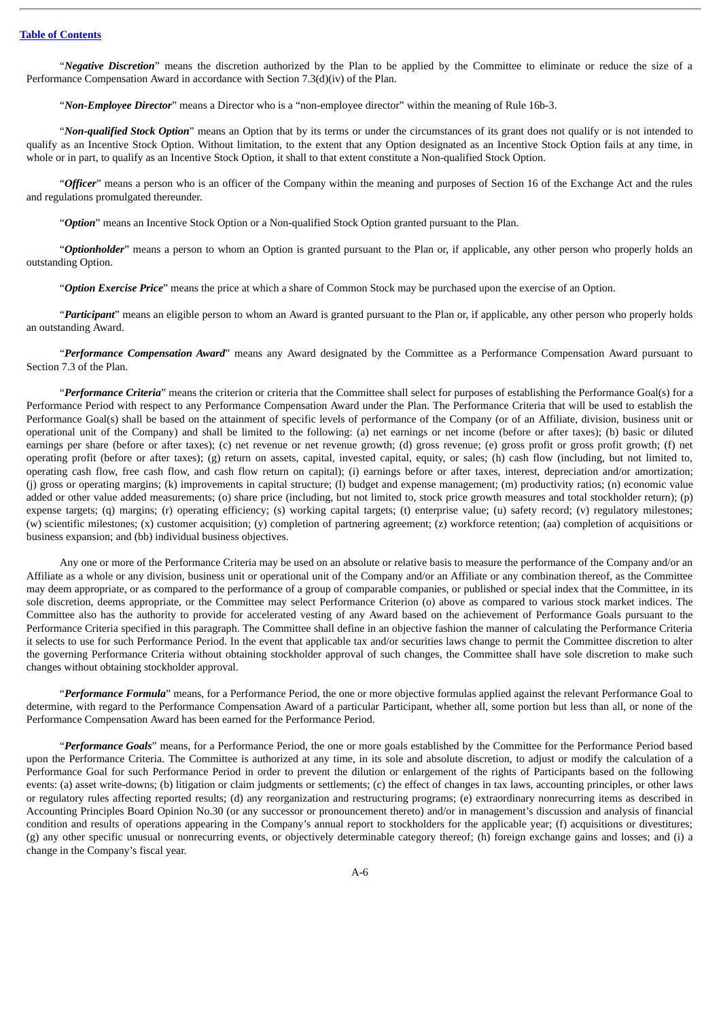"*Negative Discretion*" means the discretion authorized by the Plan to be applied by the Committee to eliminate or reduce the size of a Performance Compensation Award in accordance with Section 7.3(d)(iv) of the Plan.

"*Non-Employee Director*" means a Director who is a "non-employee director" within the meaning of Rule 16b-3.

"*Non-qualified Stock Option*" means an Option that by its terms or under the circumstances of its grant does not qualify or is not intended to qualify as an Incentive Stock Option. Without limitation, to the extent that any Option designated as an Incentive Stock Option fails at any time, in whole or in part, to qualify as an Incentive Stock Option, it shall to that extent constitute a Non-qualified Stock Option.

"*Officer*" means a person who is an officer of the Company within the meaning and purposes of Section 16 of the Exchange Act and the rules and regulations promulgated thereunder.

"*Option*" means an Incentive Stock Option or a Non-qualified Stock Option granted pursuant to the Plan.

"*Optionholder*" means a person to whom an Option is granted pursuant to the Plan or, if applicable, any other person who properly holds an outstanding Option.

"*Option Exercise Price*" means the price at which a share of Common Stock may be purchased upon the exercise of an Option.

"*Participant*" means an eligible person to whom an Award is granted pursuant to the Plan or, if applicable, any other person who properly holds an outstanding Award.

"*Performance Compensation Award*" means any Award designated by the Committee as a Performance Compensation Award pursuant to Section 7.3 of the Plan.

"*Performance Criteria*" means the criterion or criteria that the Committee shall select for purposes of establishing the Performance Goal(s) for a Performance Period with respect to any Performance Compensation Award under the Plan. The Performance Criteria that will be used to establish the Performance Goal(s) shall be based on the attainment of specific levels of performance of the Company (or of an Affiliate, division, business unit or operational unit of the Company) and shall be limited to the following: (a) net earnings or net income (before or after taxes); (b) basic or diluted earnings per share (before or after taxes); (c) net revenue or net revenue growth; (d) gross revenue; (e) gross profit or gross profit growth; (f) net operating profit (before or after taxes); (g) return on assets, capital, invested capital, equity, or sales; (h) cash flow (including, but not limited to, operating cash flow, free cash flow, and cash flow return on capital); (i) earnings before or after taxes, interest, depreciation and/or amortization; (j) gross or operating margins; (k) improvements in capital structure; (l) budget and expense management; (m) productivity ratios; (n) economic value added or other value added measurements; (o) share price (including, but not limited to, stock price growth measures and total stockholder return); (p) expense targets; (q) margins; (r) operating efficiency; (s) working capital targets; (t) enterprise value; (u) safety record; (v) regulatory milestones; (w) scientific milestones; (x) customer acquisition; (y) completion of partnering agreement; (z) workforce retention; (aa) completion of acquisitions or business expansion; and (bb) individual business objectives.

Any one or more of the Performance Criteria may be used on an absolute or relative basis to measure the performance of the Company and/or an Affiliate as a whole or any division, business unit or operational unit of the Company and/or an Affiliate or any combination thereof, as the Committee may deem appropriate, or as compared to the performance of a group of comparable companies, or published or special index that the Committee, in its sole discretion, deems appropriate, or the Committee may select Performance Criterion (o) above as compared to various stock market indices. The Committee also has the authority to provide for accelerated vesting of any Award based on the achievement of Performance Goals pursuant to the Performance Criteria specified in this paragraph. The Committee shall define in an objective fashion the manner of calculating the Performance Criteria it selects to use for such Performance Period. In the event that applicable tax and/or securities laws change to permit the Committee discretion to alter the governing Performance Criteria without obtaining stockholder approval of such changes, the Committee shall have sole discretion to make such changes without obtaining stockholder approval.

"*Performance Formula*" means, for a Performance Period, the one or more objective formulas applied against the relevant Performance Goal to determine, with regard to the Performance Compensation Award of a particular Participant, whether all, some portion but less than all, or none of the Performance Compensation Award has been earned for the Performance Period.

"*Performance Goals*" means, for a Performance Period, the one or more goals established by the Committee for the Performance Period based upon the Performance Criteria. The Committee is authorized at any time, in its sole and absolute discretion, to adjust or modify the calculation of a Performance Goal for such Performance Period in order to prevent the dilution or enlargement of the rights of Participants based on the following events: (a) asset write-downs; (b) litigation or claim judgments or settlements; (c) the effect of changes in tax laws, accounting principles, or other laws or regulatory rules affecting reported results; (d) any reorganization and restructuring programs; (e) extraordinary nonrecurring items as described in Accounting Principles Board Opinion No.30 (or any successor or pronouncement thereto) and/or in management's discussion and analysis of financial condition and results of operations appearing in the Company's annual report to stockholders for the applicable year; (f) acquisitions or divestitures; (g) any other specific unusual or nonrecurring events, or objectively determinable category thereof; (h) foreign exchange gains and losses; and (i) a change in the Company's fiscal year.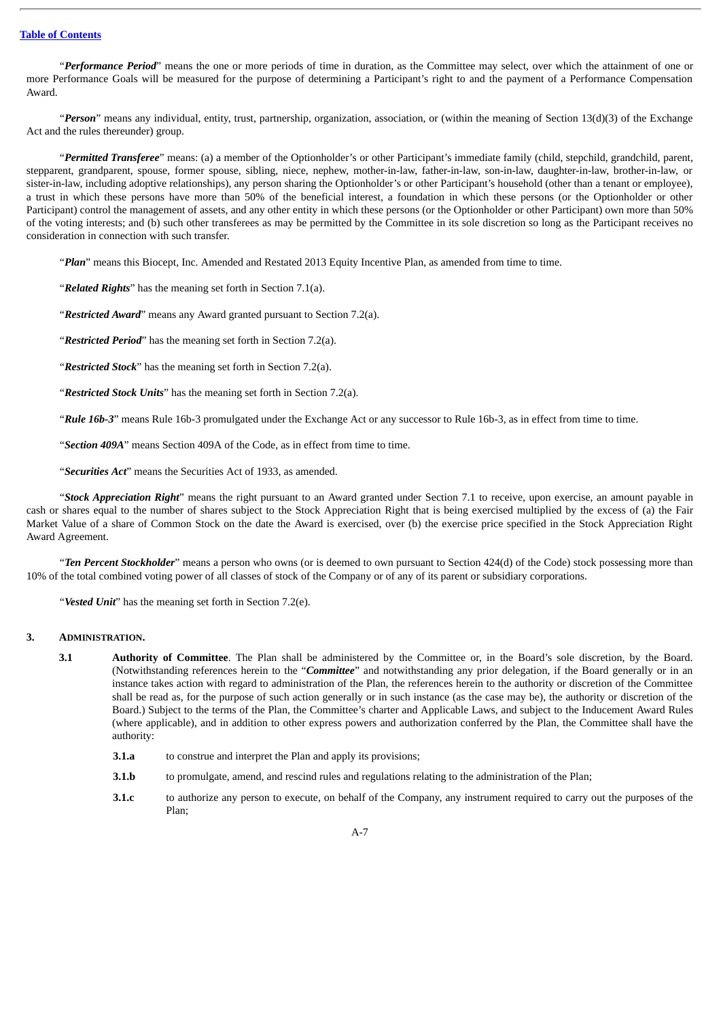"*Performance Period*" means the one or more periods of time in duration, as the Committee may select, over which the attainment of one or more Performance Goals will be measured for the purpose of determining a Participant's right to and the payment of a Performance Compensation Award.

"*Person*" means any individual, entity, trust, partnership, organization, association, or (within the meaning of Section 13(d)(3) of the Exchange Act and the rules thereunder) group.

"*Permitted Transferee*" means: (a) a member of the Optionholder's or other Participant's immediate family (child, stepchild, grandchild, parent, stepparent, grandparent, spouse, former spouse, sibling, niece, nephew, mother-in-law, father-in-law, son-in-law, daughter-in-law, brother-in-law, or sister-in-law, including adoptive relationships), any person sharing the Optionholder's or other Participant's household (other than a tenant or employee), a trust in which these persons have more than 50% of the beneficial interest, a foundation in which these persons (or the Optionholder or other Participant) control the management of assets, and any other entity in which these persons (or the Optionholder or other Participant) own more than 50% of the voting interests; and (b) such other transferees as may be permitted by the Committee in its sole discretion so long as the Participant receives no consideration in connection with such transfer.

"*Plan*" means this Biocept, Inc. Amended and Restated 2013 Equity Incentive Plan, as amended from time to time.

"*Related Rights*" has the meaning set forth in Section 7.1(a).

"*Restricted Award*" means any Award granted pursuant to Section 7.2(a).

"*Restricted Period*" has the meaning set forth in Section 7.2(a).

"*Restricted Stock*" has the meaning set forth in Section 7.2(a).

"*Restricted Stock Units*" has the meaning set forth in Section 7.2(a).

"*Rule 16b-3*" means Rule 16b-3 promulgated under the Exchange Act or any successor to Rule 16b-3, as in effect from time to time.

"*Section 409A*" means Section 409A of the Code, as in effect from time to time.

"*Securities Act*" means the Securities Act of 1933, as amended.

"*Stock Appreciation Right*" means the right pursuant to an Award granted under Section 7.1 to receive, upon exercise, an amount payable in cash or shares equal to the number of shares subject to the Stock Appreciation Right that is being exercised multiplied by the excess of (a) the Fair Market Value of a share of Common Stock on the date the Award is exercised, over (b) the exercise price specified in the Stock Appreciation Right Award Agreement.

"*Ten Percent Stockholder*" means a person who owns (or is deemed to own pursuant to Section 424(d) of the Code) stock possessing more than 10% of the total combined voting power of all classes of stock of the Company or of any of its parent or subsidiary corporations.

"*Vested Unit*" has the meaning set forth in Section 7.2(e).

### **3. ADMINISTRATION.**

- **3.1 Authority of Committee**. The Plan shall be administered by the Committee or, in the Board's sole discretion, by the Board. (Notwithstanding references herein to the "*Committee*" and notwithstanding any prior delegation, if the Board generally or in an instance takes action with regard to administration of the Plan, the references herein to the authority or discretion of the Committee shall be read as, for the purpose of such action generally or in such instance (as the case may be), the authority or discretion of the Board.) Subject to the terms of the Plan, the Committee's charter and Applicable Laws, and subject to the Inducement Award Rules (where applicable), and in addition to other express powers and authorization conferred by the Plan, the Committee shall have the authority:
	- **3.1.a** to construe and interpret the Plan and apply its provisions;
	- **3.1.b** to promulgate, amend, and rescind rules and regulations relating to the administration of the Plan;
	- **3.1.c** to authorize any person to execute, on behalf of the Company, any instrument required to carry out the purposes of the Plan;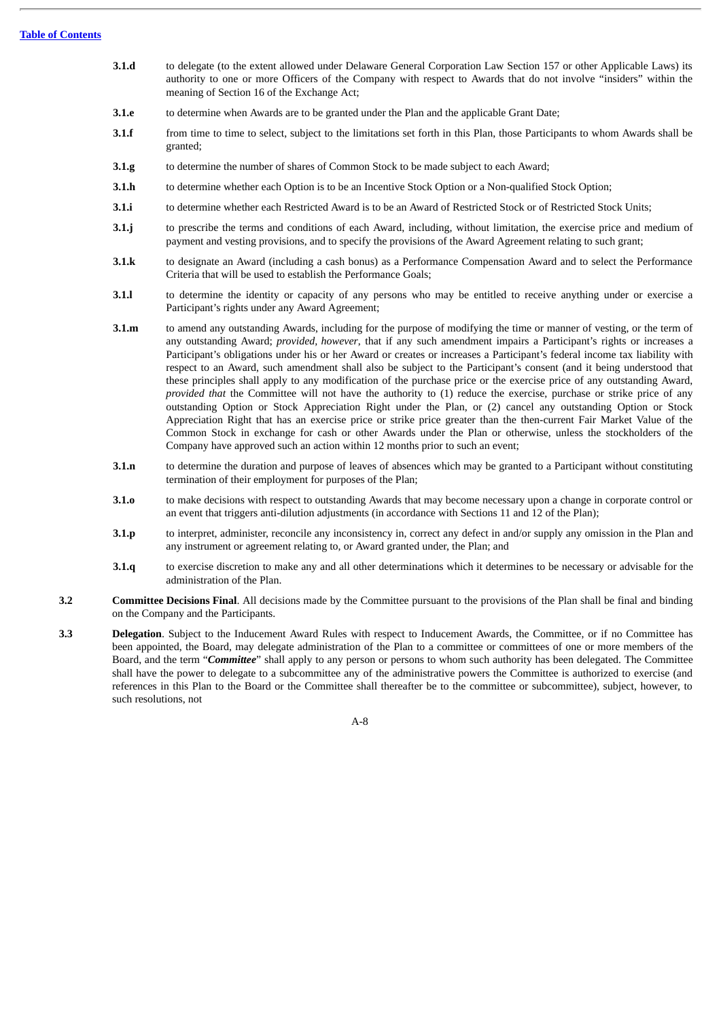- **3.1.d** to delegate (to the extent allowed under Delaware General Corporation Law Section 157 or other Applicable Laws) its authority to one or more Officers of the Company with respect to Awards that do not involve "insiders" within the meaning of Section 16 of the Exchange Act;
- **3.1.e** to determine when Awards are to be granted under the Plan and the applicable Grant Date;
- **3.1.f** from time to time to select, subject to the limitations set forth in this Plan, those Participants to whom Awards shall be granted;
- **3.1.g** to determine the number of shares of Common Stock to be made subject to each Award;
- **3.1.h** to determine whether each Option is to be an Incentive Stock Option or a Non-qualified Stock Option;
- **3.1.i** to determine whether each Restricted Award is to be an Award of Restricted Stock or of Restricted Stock Units;
- **3.1.j** to prescribe the terms and conditions of each Award, including, without limitation, the exercise price and medium of payment and vesting provisions, and to specify the provisions of the Award Agreement relating to such grant;
- **3.1.k** to designate an Award (including a cash bonus) as a Performance Compensation Award and to select the Performance Criteria that will be used to establish the Performance Goals;
- **3.1.l** to determine the identity or capacity of any persons who may be entitled to receive anything under or exercise a Participant's rights under any Award Agreement;
- **3.1.m** to amend any outstanding Awards, including for the purpose of modifying the time or manner of vesting, or the term of any outstanding Award; *provided, however*, that if any such amendment impairs a Participant's rights or increases a Participant's obligations under his or her Award or creates or increases a Participant's federal income tax liability with respect to an Award, such amendment shall also be subject to the Participant's consent (and it being understood that these principles shall apply to any modification of the purchase price or the exercise price of any outstanding Award, *provided that* the Committee will not have the authority to (1) reduce the exercise, purchase or strike price of any outstanding Option or Stock Appreciation Right under the Plan, or (2) cancel any outstanding Option or Stock Appreciation Right that has an exercise price or strike price greater than the then-current Fair Market Value of the Common Stock in exchange for cash or other Awards under the Plan or otherwise, unless the stockholders of the Company have approved such an action within 12 months prior to such an event;
- **3.1.n** to determine the duration and purpose of leaves of absences which may be granted to a Participant without constituting termination of their employment for purposes of the Plan;
- **3.1.o** to make decisions with respect to outstanding Awards that may become necessary upon a change in corporate control or an event that triggers anti-dilution adjustments (in accordance with Sections 11 and 12 of the Plan);
- **3.1.p** to interpret, administer, reconcile any inconsistency in, correct any defect in and/or supply any omission in the Plan and any instrument or agreement relating to, or Award granted under, the Plan; and
- **3.1.q** to exercise discretion to make any and all other determinations which it determines to be necessary or advisable for the administration of the Plan.
- **3.2 Committee Decisions Final**. All decisions made by the Committee pursuant to the provisions of the Plan shall be final and binding on the Company and the Participants.
- **3.3 Delegation**. Subject to the Inducement Award Rules with respect to Inducement Awards, the Committee, or if no Committee has been appointed, the Board, may delegate administration of the Plan to a committee or committees of one or more members of the Board, and the term "*Committee*" shall apply to any person or persons to whom such authority has been delegated. The Committee shall have the power to delegate to a subcommittee any of the administrative powers the Committee is authorized to exercise (and references in this Plan to the Board or the Committee shall thereafter be to the committee or subcommittee), subject, however, to such resolutions, not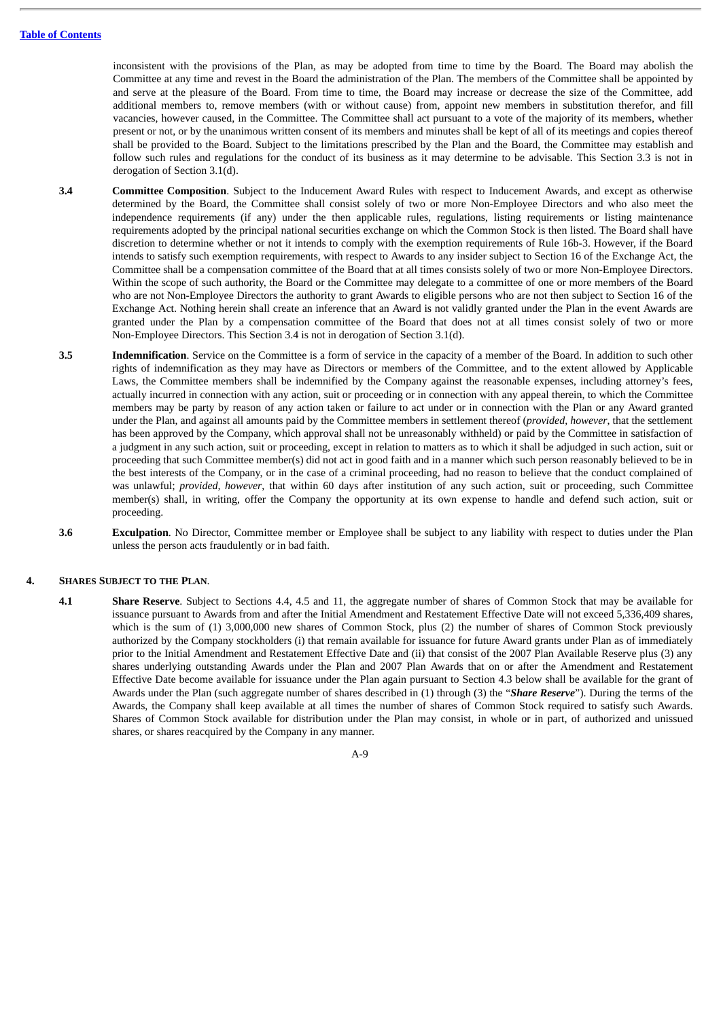inconsistent with the provisions of the Plan, as may be adopted from time to time by the Board. The Board may abolish the Committee at any time and revest in the Board the administration of the Plan. The members of the Committee shall be appointed by and serve at the pleasure of the Board. From time to time, the Board may increase or decrease the size of the Committee, add additional members to, remove members (with or without cause) from, appoint new members in substitution therefor, and fill vacancies, however caused, in the Committee. The Committee shall act pursuant to a vote of the majority of its members, whether present or not, or by the unanimous written consent of its members and minutes shall be kept of all of its meetings and copies thereof shall be provided to the Board. Subject to the limitations prescribed by the Plan and the Board, the Committee may establish and follow such rules and regulations for the conduct of its business as it may determine to be advisable. This Section 3.3 is not in derogation of Section 3.1(d).

- **3.4 Committee Composition**. Subject to the Inducement Award Rules with respect to Inducement Awards, and except as otherwise determined by the Board, the Committee shall consist solely of two or more Non-Employee Directors and who also meet the independence requirements (if any) under the then applicable rules, regulations, listing requirements or listing maintenance requirements adopted by the principal national securities exchange on which the Common Stock is then listed. The Board shall have discretion to determine whether or not it intends to comply with the exemption requirements of Rule 16b-3. However, if the Board intends to satisfy such exemption requirements, with respect to Awards to any insider subject to Section 16 of the Exchange Act, the Committee shall be a compensation committee of the Board that at all times consists solely of two or more Non-Employee Directors. Within the scope of such authority, the Board or the Committee may delegate to a committee of one or more members of the Board who are not Non-Employee Directors the authority to grant Awards to eligible persons who are not then subject to Section 16 of the Exchange Act. Nothing herein shall create an inference that an Award is not validly granted under the Plan in the event Awards are granted under the Plan by a compensation committee of the Board that does not at all times consist solely of two or more Non-Employee Directors. This Section 3.4 is not in derogation of Section 3.1(d).
- **3.5 Indemnification**. Service on the Committee is a form of service in the capacity of a member of the Board. In addition to such other rights of indemnification as they may have as Directors or members of the Committee, and to the extent allowed by Applicable Laws, the Committee members shall be indemnified by the Company against the reasonable expenses, including attorney's fees, actually incurred in connection with any action, suit or proceeding or in connection with any appeal therein, to which the Committee members may be party by reason of any action taken or failure to act under or in connection with the Plan or any Award granted under the Plan, and against all amounts paid by the Committee members in settlement thereof (*provided, however*, that the settlement has been approved by the Company, which approval shall not be unreasonably withheld) or paid by the Committee in satisfaction of a judgment in any such action, suit or proceeding, except in relation to matters as to which it shall be adjudged in such action, suit or proceeding that such Committee member(s) did not act in good faith and in a manner which such person reasonably believed to be in the best interests of the Company, or in the case of a criminal proceeding, had no reason to believe that the conduct complained of was unlawful; *provided, however*, that within 60 days after institution of any such action, suit or proceeding, such Committee member(s) shall, in writing, offer the Company the opportunity at its own expense to handle and defend such action, suit or proceeding.
- **3.6 Exculpation**. No Director, Committee member or Employee shall be subject to any liability with respect to duties under the Plan unless the person acts fraudulently or in bad faith.

## **4. SHARES SUBJECT TO THE PLAN**.

**4.1 Share Reserve**. Subject to Sections 4.4, 4.5 and 11, the aggregate number of shares of Common Stock that may be available for issuance pursuant to Awards from and after the Initial Amendment and Restatement Effective Date will not exceed 5,336,409 shares, which is the sum of (1) 3,000,000 new shares of Common Stock, plus (2) the number of shares of Common Stock previously authorized by the Company stockholders (i) that remain available for issuance for future Award grants under Plan as of immediately prior to the Initial Amendment and Restatement Effective Date and (ii) that consist of the 2007 Plan Available Reserve plus (3) any shares underlying outstanding Awards under the Plan and 2007 Plan Awards that on or after the Amendment and Restatement Effective Date become available for issuance under the Plan again pursuant to Section 4.3 below shall be available for the grant of Awards under the Plan (such aggregate number of shares described in (1) through (3) the "*Share Reserve*"). During the terms of the Awards, the Company shall keep available at all times the number of shares of Common Stock required to satisfy such Awards. Shares of Common Stock available for distribution under the Plan may consist, in whole or in part, of authorized and unissued shares, or shares reacquired by the Company in any manner.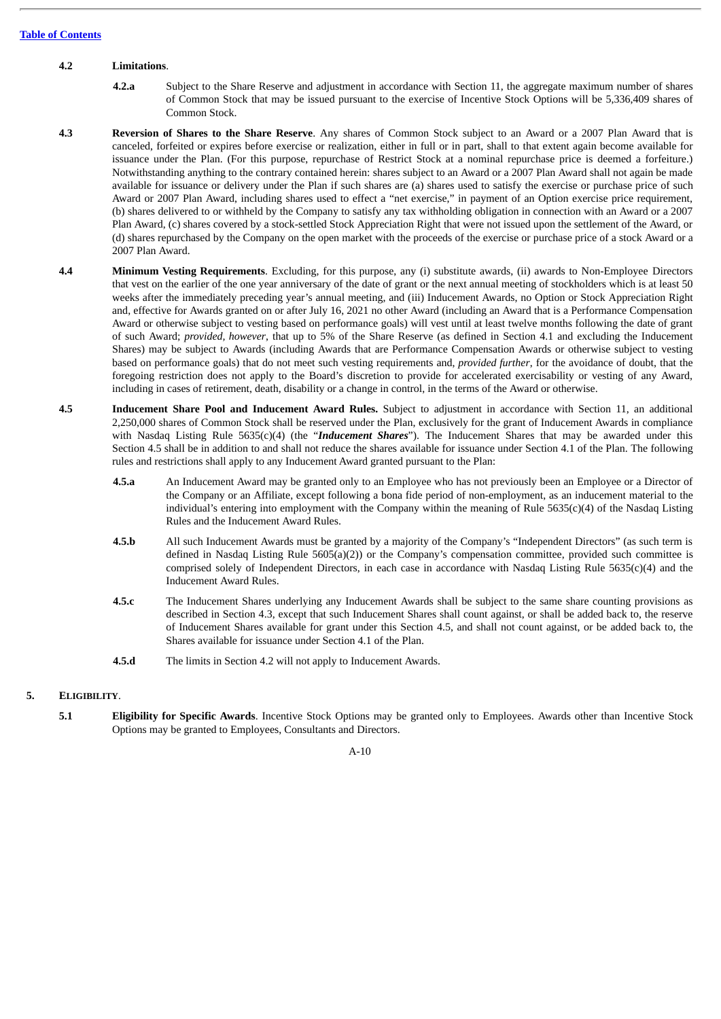## **4.2 Limitations**.

- **4.2.a** Subject to the Share Reserve and adjustment in accordance with Section 11, the aggregate maximum number of shares of Common Stock that may be issued pursuant to the exercise of Incentive Stock Options will be 5,336,409 shares of Common Stock.
- **4.3 Reversion of Shares to the Share Reserve**. Any shares of Common Stock subject to an Award or a 2007 Plan Award that is canceled, forfeited or expires before exercise or realization, either in full or in part, shall to that extent again become available for issuance under the Plan. (For this purpose, repurchase of Restrict Stock at a nominal repurchase price is deemed a forfeiture.) Notwithstanding anything to the contrary contained herein: shares subject to an Award or a 2007 Plan Award shall not again be made available for issuance or delivery under the Plan if such shares are (a) shares used to satisfy the exercise or purchase price of such Award or 2007 Plan Award, including shares used to effect a "net exercise," in payment of an Option exercise price requirement, (b) shares delivered to or withheld by the Company to satisfy any tax withholding obligation in connection with an Award or a 2007 Plan Award, (c) shares covered by a stock-settled Stock Appreciation Right that were not issued upon the settlement of the Award, or (d) shares repurchased by the Company on the open market with the proceeds of the exercise or purchase price of a stock Award or a 2007 Plan Award.
- **4.4 Minimum Vesting Requirements**. Excluding, for this purpose, any (i) substitute awards, (ii) awards to Non-Employee Directors that vest on the earlier of the one year anniversary of the date of grant or the next annual meeting of stockholders which is at least 50 weeks after the immediately preceding year's annual meeting, and (iii) Inducement Awards, no Option or Stock Appreciation Right and, effective for Awards granted on or after July 16, 2021 no other Award (including an Award that is a Performance Compensation Award or otherwise subject to vesting based on performance goals) will vest until at least twelve months following the date of grant of such Award; *provided, however*, that up to 5% of the Share Reserve (as defined in Section 4.1 and excluding the Inducement Shares) may be subject to Awards (including Awards that are Performance Compensation Awards or otherwise subject to vesting based on performance goals) that do not meet such vesting requirements and, *provided further*, for the avoidance of doubt, that the foregoing restriction does not apply to the Board's discretion to provide for accelerated exercisability or vesting of any Award, including in cases of retirement, death, disability or a change in control, in the terms of the Award or otherwise.
- **4.5 Inducement Share Pool and Inducement Award Rules.** Subject to adjustment in accordance with Section 11, an additional 2,250,000 shares of Common Stock shall be reserved under the Plan, exclusively for the grant of Inducement Awards in compliance with Nasdaq Listing Rule 5635(c)(4) (the "*Inducement Shares*"). The Inducement Shares that may be awarded under this Section 4.5 shall be in addition to and shall not reduce the shares available for issuance under Section 4.1 of the Plan. The following rules and restrictions shall apply to any Inducement Award granted pursuant to the Plan:
	- **4.5.a** An Inducement Award may be granted only to an Employee who has not previously been an Employee or a Director of the Company or an Affiliate, except following a bona fide period of non-employment, as an inducement material to the individual's entering into employment with the Company within the meaning of Rule 5635(c)(4) of the Nasdaq Listing Rules and the Inducement Award Rules.
	- **4.5.b** All such Inducement Awards must be granted by a majority of the Company's "Independent Directors" (as such term is defined in Nasdaq Listing Rule 5605(a)(2)) or the Company's compensation committee, provided such committee is comprised solely of Independent Directors, in each case in accordance with Nasdaq Listing Rule 5635(c)(4) and the Inducement Award Rules.
	- **4.5.c** The Inducement Shares underlying any Inducement Awards shall be subject to the same share counting provisions as described in Section 4.3, except that such Inducement Shares shall count against, or shall be added back to, the reserve of Inducement Shares available for grant under this Section 4.5, and shall not count against, or be added back to, the Shares available for issuance under Section 4.1 of the Plan.
	- **4.5.d** The limits in Section 4.2 will not apply to Inducement Awards.

## **5. ELIGIBILITY**.

**5.1 Eligibility for Specific Awards**. Incentive Stock Options may be granted only to Employees. Awards other than Incentive Stock Options may be granted to Employees, Consultants and Directors.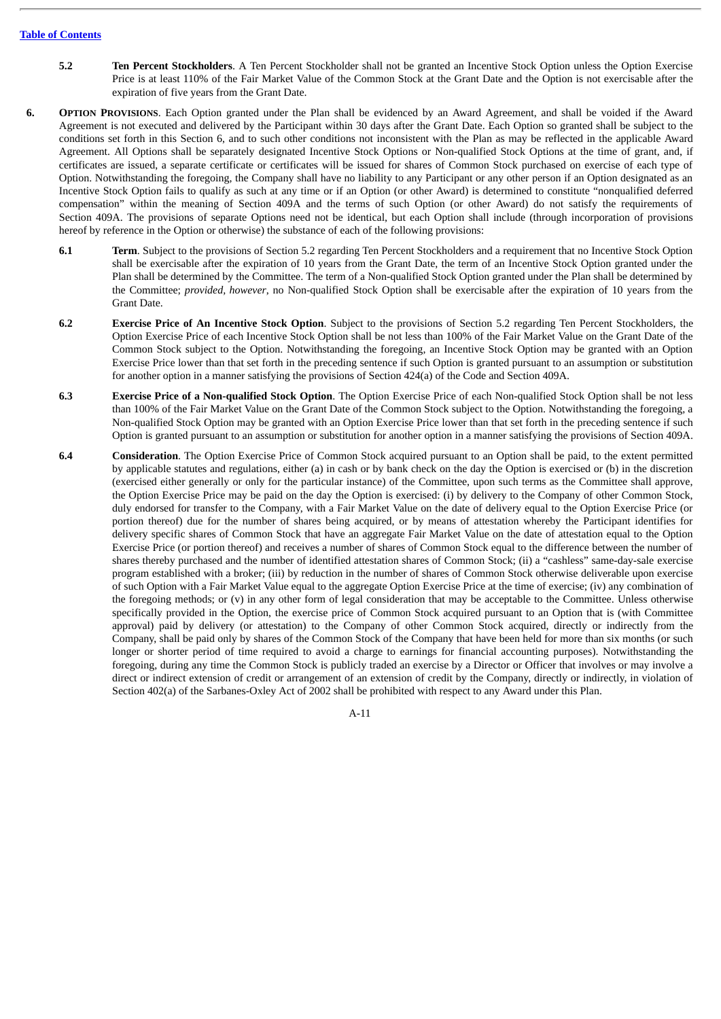- **5.2 Ten Percent Stockholders**. A Ten Percent Stockholder shall not be granted an Incentive Stock Option unless the Option Exercise Price is at least 110% of the Fair Market Value of the Common Stock at the Grant Date and the Option is not exercisable after the expiration of five years from the Grant Date.
- **6. OPTION PROVISIONS**. Each Option granted under the Plan shall be evidenced by an Award Agreement, and shall be voided if the Award Agreement is not executed and delivered by the Participant within 30 days after the Grant Date. Each Option so granted shall be subject to the conditions set forth in this Section 6, and to such other conditions not inconsistent with the Plan as may be reflected in the applicable Award Agreement. All Options shall be separately designated Incentive Stock Options or Non-qualified Stock Options at the time of grant, and, if certificates are issued, a separate certificate or certificates will be issued for shares of Common Stock purchased on exercise of each type of Option. Notwithstanding the foregoing, the Company shall have no liability to any Participant or any other person if an Option designated as an Incentive Stock Option fails to qualify as such at any time or if an Option (or other Award) is determined to constitute "nonqualified deferred compensation" within the meaning of Section 409A and the terms of such Option (or other Award) do not satisfy the requirements of Section 409A. The provisions of separate Options need not be identical, but each Option shall include (through incorporation of provisions hereof by reference in the Option or otherwise) the substance of each of the following provisions:
	- **6.1 Term**. Subject to the provisions of Section 5.2 regarding Ten Percent Stockholders and a requirement that no Incentive Stock Option shall be exercisable after the expiration of 10 years from the Grant Date, the term of an Incentive Stock Option granted under the Plan shall be determined by the Committee. The term of a Non-qualified Stock Option granted under the Plan shall be determined by the Committee; *provided, however*, no Non-qualified Stock Option shall be exercisable after the expiration of 10 years from the Grant Date.
	- **6.2 Exercise Price of An Incentive Stock Option**. Subject to the provisions of Section 5.2 regarding Ten Percent Stockholders, the Option Exercise Price of each Incentive Stock Option shall be not less than 100% of the Fair Market Value on the Grant Date of the Common Stock subject to the Option. Notwithstanding the foregoing, an Incentive Stock Option may be granted with an Option Exercise Price lower than that set forth in the preceding sentence if such Option is granted pursuant to an assumption or substitution for another option in a manner satisfying the provisions of Section 424(a) of the Code and Section 409A.
	- **6.3 Exercise Price of a Non-qualified Stock Option**. The Option Exercise Price of each Non-qualified Stock Option shall be not less than 100% of the Fair Market Value on the Grant Date of the Common Stock subject to the Option. Notwithstanding the foregoing, a Non-qualified Stock Option may be granted with an Option Exercise Price lower than that set forth in the preceding sentence if such Option is granted pursuant to an assumption or substitution for another option in a manner satisfying the provisions of Section 409A.
	- **6.4 Consideration**. The Option Exercise Price of Common Stock acquired pursuant to an Option shall be paid, to the extent permitted by applicable statutes and regulations, either (a) in cash or by bank check on the day the Option is exercised or (b) in the discretion (exercised either generally or only for the particular instance) of the Committee, upon such terms as the Committee shall approve, the Option Exercise Price may be paid on the day the Option is exercised: (i) by delivery to the Company of other Common Stock, duly endorsed for transfer to the Company, with a Fair Market Value on the date of delivery equal to the Option Exercise Price (or portion thereof) due for the number of shares being acquired, or by means of attestation whereby the Participant identifies for delivery specific shares of Common Stock that have an aggregate Fair Market Value on the date of attestation equal to the Option Exercise Price (or portion thereof) and receives a number of shares of Common Stock equal to the difference between the number of shares thereby purchased and the number of identified attestation shares of Common Stock; (ii) a "cashless" same-day-sale exercise program established with a broker; (iii) by reduction in the number of shares of Common Stock otherwise deliverable upon exercise of such Option with a Fair Market Value equal to the aggregate Option Exercise Price at the time of exercise; (iv) any combination of the foregoing methods; or (v) in any other form of legal consideration that may be acceptable to the Committee. Unless otherwise specifically provided in the Option, the exercise price of Common Stock acquired pursuant to an Option that is (with Committee approval) paid by delivery (or attestation) to the Company of other Common Stock acquired, directly or indirectly from the Company, shall be paid only by shares of the Common Stock of the Company that have been held for more than six months (or such longer or shorter period of time required to avoid a charge to earnings for financial accounting purposes). Notwithstanding the foregoing, during any time the Common Stock is publicly traded an exercise by a Director or Officer that involves or may involve a direct or indirect extension of credit or arrangement of an extension of credit by the Company, directly or indirectly, in violation of Section 402(a) of the Sarbanes-Oxley Act of 2002 shall be prohibited with respect to any Award under this Plan.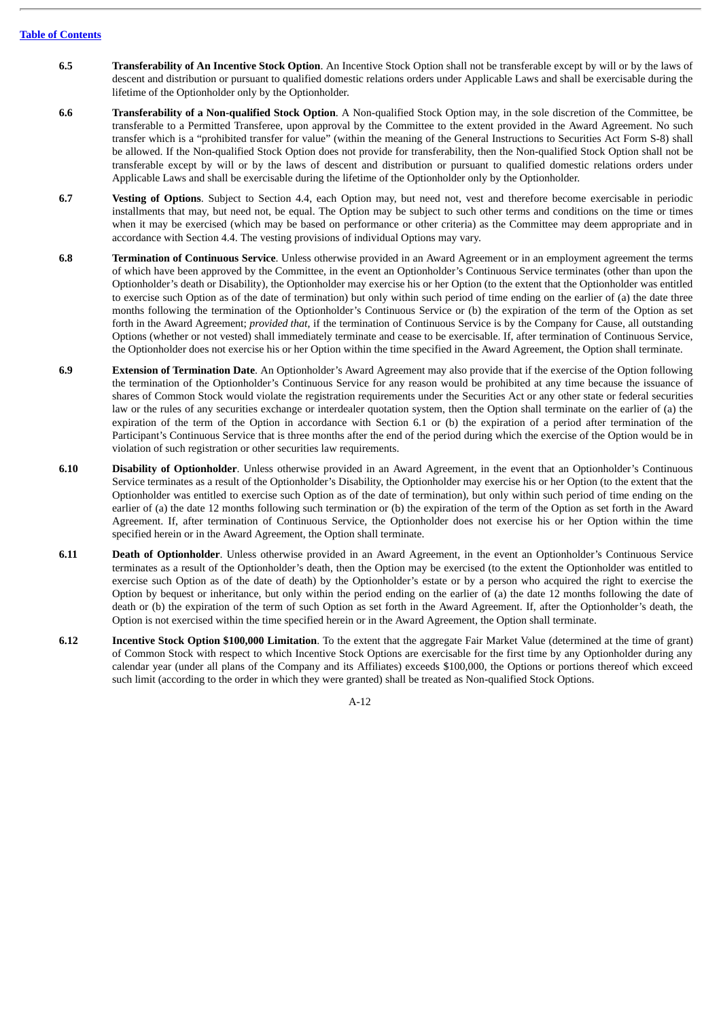- **6.5 Transferability of An Incentive Stock Option**. An Incentive Stock Option shall not be transferable except by will or by the laws of descent and distribution or pursuant to qualified domestic relations orders under Applicable Laws and shall be exercisable during the lifetime of the Optionholder only by the Optionholder.
- **6.6 Transferability of a Non-qualified Stock Option**. A Non-qualified Stock Option may, in the sole discretion of the Committee, be transferable to a Permitted Transferee, upon approval by the Committee to the extent provided in the Award Agreement. No such transfer which is a "prohibited transfer for value" (within the meaning of the General Instructions to Securities Act Form S-8) shall be allowed. If the Non-qualified Stock Option does not provide for transferability, then the Non-qualified Stock Option shall not be transferable except by will or by the laws of descent and distribution or pursuant to qualified domestic relations orders under Applicable Laws and shall be exercisable during the lifetime of the Optionholder only by the Optionholder.
- **6.7 Vesting of Options**. Subject to Section 4.4, each Option may, but need not, vest and therefore become exercisable in periodic installments that may, but need not, be equal. The Option may be subject to such other terms and conditions on the time or times when it may be exercised (which may be based on performance or other criteria) as the Committee may deem appropriate and in accordance with Section 4.4. The vesting provisions of individual Options may vary.
- **6.8 Termination of Continuous Service**. Unless otherwise provided in an Award Agreement or in an employment agreement the terms of which have been approved by the Committee, in the event an Optionholder's Continuous Service terminates (other than upon the Optionholder's death or Disability), the Optionholder may exercise his or her Option (to the extent that the Optionholder was entitled to exercise such Option as of the date of termination) but only within such period of time ending on the earlier of (a) the date three months following the termination of the Optionholder's Continuous Service or (b) the expiration of the term of the Option as set forth in the Award Agreement; *provided that*, if the termination of Continuous Service is by the Company for Cause, all outstanding Options (whether or not vested) shall immediately terminate and cease to be exercisable. If, after termination of Continuous Service, the Optionholder does not exercise his or her Option within the time specified in the Award Agreement, the Option shall terminate.
- **6.9 Extension of Termination Date**. An Optionholder's Award Agreement may also provide that if the exercise of the Option following the termination of the Optionholder's Continuous Service for any reason would be prohibited at any time because the issuance of shares of Common Stock would violate the registration requirements under the Securities Act or any other state or federal securities law or the rules of any securities exchange or interdealer quotation system, then the Option shall terminate on the earlier of (a) the expiration of the term of the Option in accordance with Section 6.1 or (b) the expiration of a period after termination of the Participant's Continuous Service that is three months after the end of the period during which the exercise of the Option would be in violation of such registration or other securities law requirements.
- **6.10 Disability of Optionholder**. Unless otherwise provided in an Award Agreement, in the event that an Optionholder's Continuous Service terminates as a result of the Optionholder's Disability, the Optionholder may exercise his or her Option (to the extent that the Optionholder was entitled to exercise such Option as of the date of termination), but only within such period of time ending on the earlier of (a) the date 12 months following such termination or (b) the expiration of the term of the Option as set forth in the Award Agreement. If, after termination of Continuous Service, the Optionholder does not exercise his or her Option within the time specified herein or in the Award Agreement, the Option shall terminate.
- **6.11 Death of Optionholder**. Unless otherwise provided in an Award Agreement, in the event an Optionholder's Continuous Service terminates as a result of the Optionholder's death, then the Option may be exercised (to the extent the Optionholder was entitled to exercise such Option as of the date of death) by the Optionholder's estate or by a person who acquired the right to exercise the Option by bequest or inheritance, but only within the period ending on the earlier of (a) the date 12 months following the date of death or (b) the expiration of the term of such Option as set forth in the Award Agreement. If, after the Optionholder's death, the Option is not exercised within the time specified herein or in the Award Agreement, the Option shall terminate.
- **6.12 Incentive Stock Option \$100,000 Limitation**. To the extent that the aggregate Fair Market Value (determined at the time of grant) of Common Stock with respect to which Incentive Stock Options are exercisable for the first time by any Optionholder during any calendar year (under all plans of the Company and its Affiliates) exceeds \$100,000, the Options or portions thereof which exceed such limit (according to the order in which they were granted) shall be treated as Non-qualified Stock Options.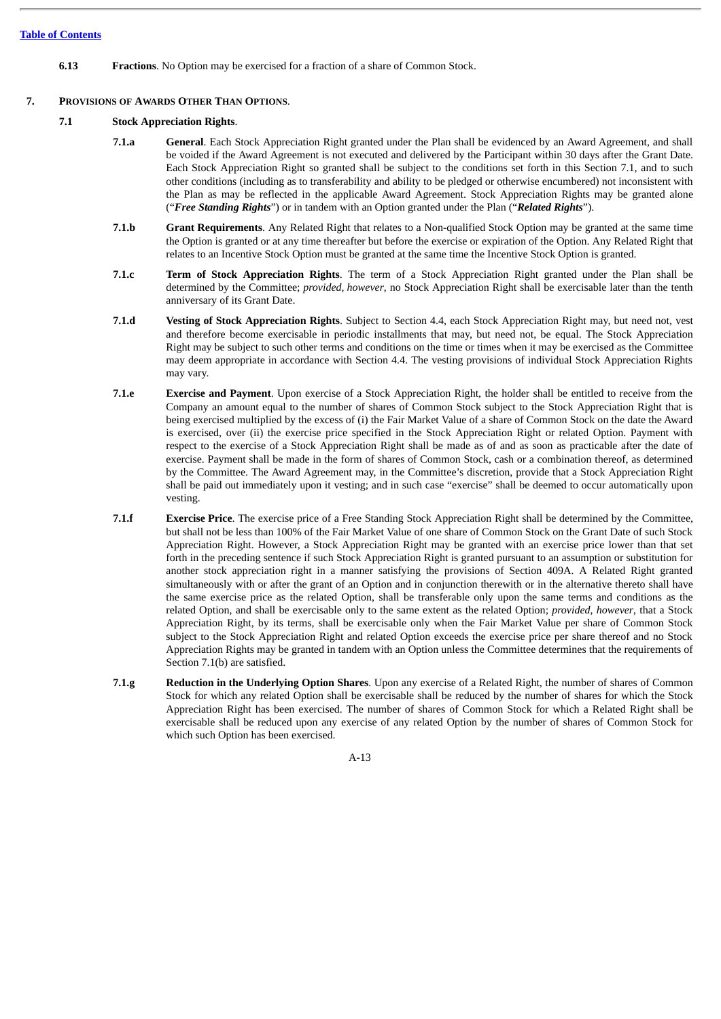**6.13 Fractions**. No Option may be exercised for a fraction of a share of Common Stock.

# **7. PROVISIONS OF AWARDS OTHER THAN OPTIONS**.

# **7.1 Stock Appreciation Rights**.

- **7.1.a General**. Each Stock Appreciation Right granted under the Plan shall be evidenced by an Award Agreement, and shall be voided if the Award Agreement is not executed and delivered by the Participant within 30 days after the Grant Date. Each Stock Appreciation Right so granted shall be subject to the conditions set forth in this Section 7.1, and to such other conditions (including as to transferability and ability to be pledged or otherwise encumbered) not inconsistent with the Plan as may be reflected in the applicable Award Agreement. Stock Appreciation Rights may be granted alone ("*Free Standing Rights*") or in tandem with an Option granted under the Plan ("*Related Rights*").
- **7.1.b Grant Requirements**. Any Related Right that relates to a Non-qualified Stock Option may be granted at the same time the Option is granted or at any time thereafter but before the exercise or expiration of the Option. Any Related Right that relates to an Incentive Stock Option must be granted at the same time the Incentive Stock Option is granted.
- **7.1.c Term of Stock Appreciation Rights**. The term of a Stock Appreciation Right granted under the Plan shall be determined by the Committee; *provided, however*, no Stock Appreciation Right shall be exercisable later than the tenth anniversary of its Grant Date.
- **7.1.d Vesting of Stock Appreciation Rights**. Subject to Section 4.4, each Stock Appreciation Right may, but need not, vest and therefore become exercisable in periodic installments that may, but need not, be equal. The Stock Appreciation Right may be subject to such other terms and conditions on the time or times when it may be exercised as the Committee may deem appropriate in accordance with Section 4.4. The vesting provisions of individual Stock Appreciation Rights may vary.
- **7.1.e Exercise and Payment**. Upon exercise of a Stock Appreciation Right, the holder shall be entitled to receive from the Company an amount equal to the number of shares of Common Stock subject to the Stock Appreciation Right that is being exercised multiplied by the excess of (i) the Fair Market Value of a share of Common Stock on the date the Award is exercised, over (ii) the exercise price specified in the Stock Appreciation Right or related Option. Payment with respect to the exercise of a Stock Appreciation Right shall be made as of and as soon as practicable after the date of exercise. Payment shall be made in the form of shares of Common Stock, cash or a combination thereof, as determined by the Committee. The Award Agreement may, in the Committee's discretion, provide that a Stock Appreciation Right shall be paid out immediately upon it vesting; and in such case "exercise" shall be deemed to occur automatically upon vesting.
- **7.1.f Exercise Price**. The exercise price of a Free Standing Stock Appreciation Right shall be determined by the Committee, but shall not be less than 100% of the Fair Market Value of one share of Common Stock on the Grant Date of such Stock Appreciation Right. However, a Stock Appreciation Right may be granted with an exercise price lower than that set forth in the preceding sentence if such Stock Appreciation Right is granted pursuant to an assumption or substitution for another stock appreciation right in a manner satisfying the provisions of Section 409A. A Related Right granted simultaneously with or after the grant of an Option and in conjunction therewith or in the alternative thereto shall have the same exercise price as the related Option, shall be transferable only upon the same terms and conditions as the related Option, and shall be exercisable only to the same extent as the related Option; *provided, however*, that a Stock Appreciation Right, by its terms, shall be exercisable only when the Fair Market Value per share of Common Stock subject to the Stock Appreciation Right and related Option exceeds the exercise price per share thereof and no Stock Appreciation Rights may be granted in tandem with an Option unless the Committee determines that the requirements of Section 7.1(b) are satisfied.
- **7.1.g Reduction in the Underlying Option Shares**. Upon any exercise of a Related Right, the number of shares of Common Stock for which any related Option shall be exercisable shall be reduced by the number of shares for which the Stock Appreciation Right has been exercised. The number of shares of Common Stock for which a Related Right shall be exercisable shall be reduced upon any exercise of any related Option by the number of shares of Common Stock for which such Option has been exercised.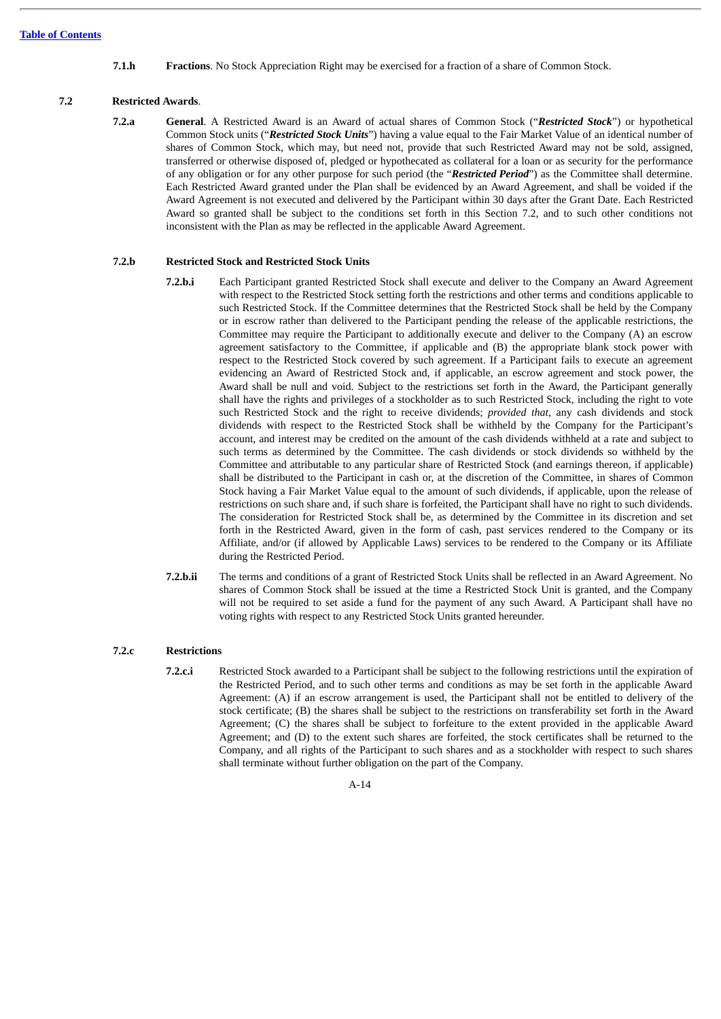**7.1.h Fractions**. No Stock Appreciation Right may be exercised for a fraction of a share of Common Stock.

# **7.2 Restricted Awards**.

**7.2.a General**. A Restricted Award is an Award of actual shares of Common Stock ("*Restricted Stock*") or hypothetical Common Stock units ("*Restricted Stock Units*") having a value equal to the Fair Market Value of an identical number of shares of Common Stock, which may, but need not, provide that such Restricted Award may not be sold, assigned, transferred or otherwise disposed of, pledged or hypothecated as collateral for a loan or as security for the performance of any obligation or for any other purpose for such period (the "*Restricted Period*") as the Committee shall determine. Each Restricted Award granted under the Plan shall be evidenced by an Award Agreement, and shall be voided if the Award Agreement is not executed and delivered by the Participant within 30 days after the Grant Date. Each Restricted Award so granted shall be subject to the conditions set forth in this Section 7.2, and to such other conditions not inconsistent with the Plan as may be reflected in the applicable Award Agreement.

## **7.2.b Restricted Stock and Restricted Stock Units**

- **7.2.b.i** Each Participant granted Restricted Stock shall execute and deliver to the Company an Award Agreement with respect to the Restricted Stock setting forth the restrictions and other terms and conditions applicable to such Restricted Stock. If the Committee determines that the Restricted Stock shall be held by the Company or in escrow rather than delivered to the Participant pending the release of the applicable restrictions, the Committee may require the Participant to additionally execute and deliver to the Company (A) an escrow agreement satisfactory to the Committee, if applicable and (B) the appropriate blank stock power with respect to the Restricted Stock covered by such agreement. If a Participant fails to execute an agreement evidencing an Award of Restricted Stock and, if applicable, an escrow agreement and stock power, the Award shall be null and void. Subject to the restrictions set forth in the Award, the Participant generally shall have the rights and privileges of a stockholder as to such Restricted Stock, including the right to vote such Restricted Stock and the right to receive dividends; *provided that*, any cash dividends and stock dividends with respect to the Restricted Stock shall be withheld by the Company for the Participant's account, and interest may be credited on the amount of the cash dividends withheld at a rate and subject to such terms as determined by the Committee. The cash dividends or stock dividends so withheld by the Committee and attributable to any particular share of Restricted Stock (and earnings thereon, if applicable) shall be distributed to the Participant in cash or, at the discretion of the Committee, in shares of Common Stock having a Fair Market Value equal to the amount of such dividends, if applicable, upon the release of restrictions on such share and, if such share is forfeited, the Participant shall have no right to such dividends. The consideration for Restricted Stock shall be, as determined by the Committee in its discretion and set forth in the Restricted Award, given in the form of cash, past services rendered to the Company or its Affiliate, and/or (if allowed by Applicable Laws) services to be rendered to the Company or its Affiliate during the Restricted Period.
- **7.2.b.ii** The terms and conditions of a grant of Restricted Stock Units shall be reflected in an Award Agreement. No shares of Common Stock shall be issued at the time a Restricted Stock Unit is granted, and the Company will not be required to set aside a fund for the payment of any such Award. A Participant shall have no voting rights with respect to any Restricted Stock Units granted hereunder.

## **7.2.c Restrictions**

**7.2.c.i** Restricted Stock awarded to a Participant shall be subject to the following restrictions until the expiration of the Restricted Period, and to such other terms and conditions as may be set forth in the applicable Award Agreement: (A) if an escrow arrangement is used, the Participant shall not be entitled to delivery of the stock certificate; (B) the shares shall be subject to the restrictions on transferability set forth in the Award Agreement; (C) the shares shall be subject to forfeiture to the extent provided in the applicable Award Agreement; and (D) to the extent such shares are forfeited, the stock certificates shall be returned to the Company, and all rights of the Participant to such shares and as a stockholder with respect to such shares shall terminate without further obligation on the part of the Company.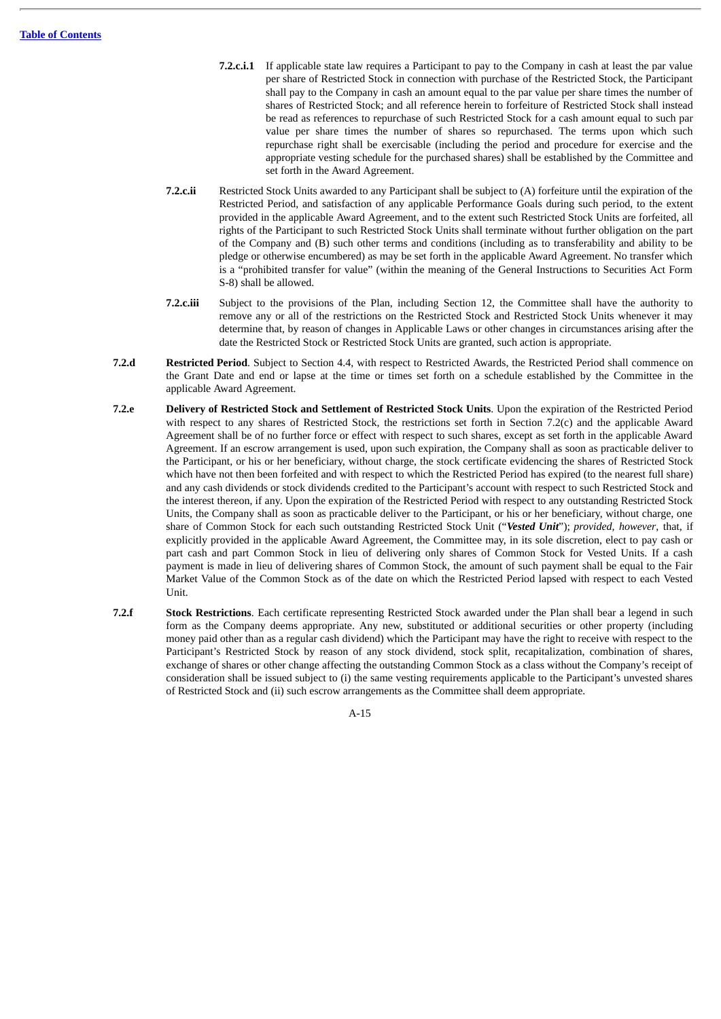- **7.2.c.i.1** If applicable state law requires a Participant to pay to the Company in cash at least the par value per share of Restricted Stock in connection with purchase of the Restricted Stock, the Participant shall pay to the Company in cash an amount equal to the par value per share times the number of shares of Restricted Stock; and all reference herein to forfeiture of Restricted Stock shall instead be read as references to repurchase of such Restricted Stock for a cash amount equal to such par value per share times the number of shares so repurchased. The terms upon which such repurchase right shall be exercisable (including the period and procedure for exercise and the appropriate vesting schedule for the purchased shares) shall be established by the Committee and set forth in the Award Agreement.
- **7.2.c.ii** Restricted Stock Units awarded to any Participant shall be subject to (A) forfeiture until the expiration of the Restricted Period, and satisfaction of any applicable Performance Goals during such period, to the extent provided in the applicable Award Agreement, and to the extent such Restricted Stock Units are forfeited, all rights of the Participant to such Restricted Stock Units shall terminate without further obligation on the part of the Company and (B) such other terms and conditions (including as to transferability and ability to be pledge or otherwise encumbered) as may be set forth in the applicable Award Agreement. No transfer which is a "prohibited transfer for value" (within the meaning of the General Instructions to Securities Act Form S-8) shall be allowed.
- **7.2.c.iii** Subject to the provisions of the Plan, including Section 12, the Committee shall have the authority to remove any or all of the restrictions on the Restricted Stock and Restricted Stock Units whenever it may determine that, by reason of changes in Applicable Laws or other changes in circumstances arising after the date the Restricted Stock or Restricted Stock Units are granted, such action is appropriate.
- **7.2.d Restricted Period**. Subject to Section 4.4, with respect to Restricted Awards, the Restricted Period shall commence on the Grant Date and end or lapse at the time or times set forth on a schedule established by the Committee in the applicable Award Agreement.
- **7.2.e Delivery of Restricted Stock and Settlement of Restricted Stock Units**. Upon the expiration of the Restricted Period with respect to any shares of Restricted Stock, the restrictions set forth in Section 7.2(c) and the applicable Award Agreement shall be of no further force or effect with respect to such shares, except as set forth in the applicable Award Agreement. If an escrow arrangement is used, upon such expiration, the Company shall as soon as practicable deliver to the Participant, or his or her beneficiary, without charge, the stock certificate evidencing the shares of Restricted Stock which have not then been forfeited and with respect to which the Restricted Period has expired (to the nearest full share) and any cash dividends or stock dividends credited to the Participant's account with respect to such Restricted Stock and the interest thereon, if any. Upon the expiration of the Restricted Period with respect to any outstanding Restricted Stock Units, the Company shall as soon as practicable deliver to the Participant, or his or her beneficiary, without charge, one share of Common Stock for each such outstanding Restricted Stock Unit ("*Vested Unit*"); *provided, however*, that, if explicitly provided in the applicable Award Agreement, the Committee may, in its sole discretion, elect to pay cash or part cash and part Common Stock in lieu of delivering only shares of Common Stock for Vested Units. If a cash payment is made in lieu of delivering shares of Common Stock, the amount of such payment shall be equal to the Fair Market Value of the Common Stock as of the date on which the Restricted Period lapsed with respect to each Vested Unit.
- **7.2.f Stock Restrictions**. Each certificate representing Restricted Stock awarded under the Plan shall bear a legend in such form as the Company deems appropriate. Any new, substituted or additional securities or other property (including money paid other than as a regular cash dividend) which the Participant may have the right to receive with respect to the Participant's Restricted Stock by reason of any stock dividend, stock split, recapitalization, combination of shares, exchange of shares or other change affecting the outstanding Common Stock as a class without the Company's receipt of consideration shall be issued subject to (i) the same vesting requirements applicable to the Participant's unvested shares of Restricted Stock and (ii) such escrow arrangements as the Committee shall deem appropriate.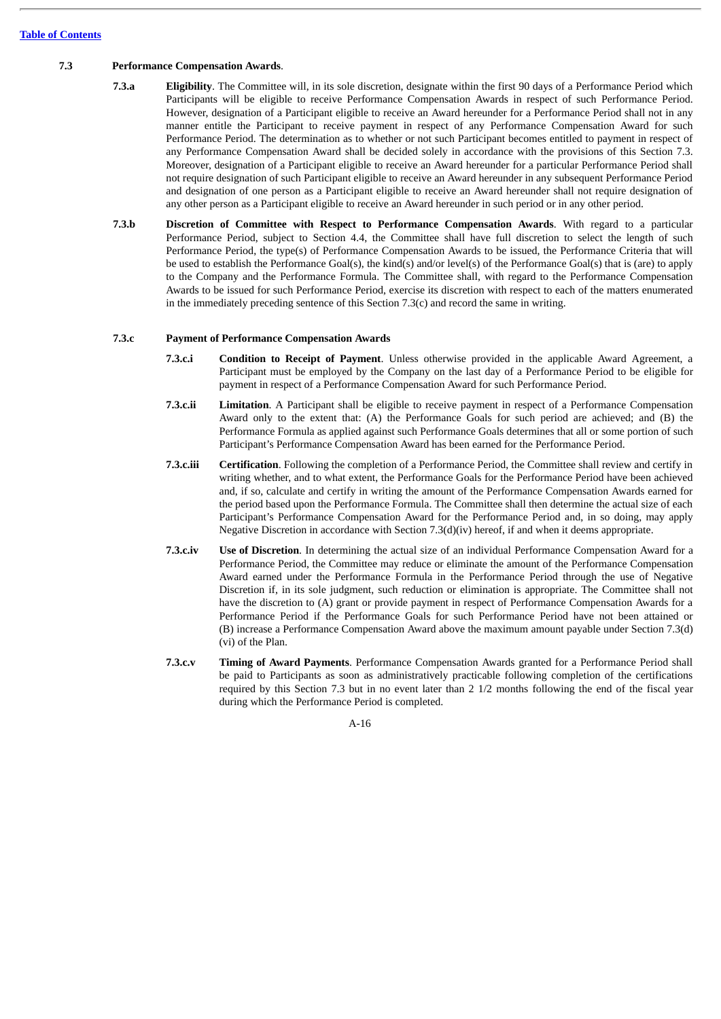## **7.3 Performance Compensation Awards**.

- **7.3.a Eligibility**. The Committee will, in its sole discretion, designate within the first 90 days of a Performance Period which Participants will be eligible to receive Performance Compensation Awards in respect of such Performance Period. However, designation of a Participant eligible to receive an Award hereunder for a Performance Period shall not in any manner entitle the Participant to receive payment in respect of any Performance Compensation Award for such Performance Period. The determination as to whether or not such Participant becomes entitled to payment in respect of any Performance Compensation Award shall be decided solely in accordance with the provisions of this Section 7.3. Moreover, designation of a Participant eligible to receive an Award hereunder for a particular Performance Period shall not require designation of such Participant eligible to receive an Award hereunder in any subsequent Performance Period and designation of one person as a Participant eligible to receive an Award hereunder shall not require designation of any other person as a Participant eligible to receive an Award hereunder in such period or in any other period.
- **7.3.b Discretion of Committee with Respect to Performance Compensation Awards**. With regard to a particular Performance Period, subject to Section 4.4, the Committee shall have full discretion to select the length of such Performance Period, the type(s) of Performance Compensation Awards to be issued, the Performance Criteria that will be used to establish the Performance Goal(s), the kind(s) and/or level(s) of the Performance Goal(s) that is (are) to apply to the Company and the Performance Formula. The Committee shall, with regard to the Performance Compensation Awards to be issued for such Performance Period, exercise its discretion with respect to each of the matters enumerated in the immediately preceding sentence of this Section  $7.3(c)$  and record the same in writing.

# **7.3.c Payment of Performance Compensation Awards**

- **7.3.c.i Condition to Receipt of Payment**. Unless otherwise provided in the applicable Award Agreement, a Participant must be employed by the Company on the last day of a Performance Period to be eligible for payment in respect of a Performance Compensation Award for such Performance Period.
- **7.3.c.ii Limitation**. A Participant shall be eligible to receive payment in respect of a Performance Compensation Award only to the extent that: (A) the Performance Goals for such period are achieved; and (B) the Performance Formula as applied against such Performance Goals determines that all or some portion of such Participant's Performance Compensation Award has been earned for the Performance Period.
- **7.3.c.iii Certification**. Following the completion of a Performance Period, the Committee shall review and certify in writing whether, and to what extent, the Performance Goals for the Performance Period have been achieved and, if so, calculate and certify in writing the amount of the Performance Compensation Awards earned for the period based upon the Performance Formula. The Committee shall then determine the actual size of each Participant's Performance Compensation Award for the Performance Period and, in so doing, may apply Negative Discretion in accordance with Section 7.3(d)(iv) hereof, if and when it deems appropriate.
- **7.3.c.iv Use of Discretion**. In determining the actual size of an individual Performance Compensation Award for a Performance Period, the Committee may reduce or eliminate the amount of the Performance Compensation Award earned under the Performance Formula in the Performance Period through the use of Negative Discretion if, in its sole judgment, such reduction or elimination is appropriate. The Committee shall not have the discretion to (A) grant or provide payment in respect of Performance Compensation Awards for a Performance Period if the Performance Goals for such Performance Period have not been attained or (B) increase a Performance Compensation Award above the maximum amount payable under Section 7.3(d) (vi) of the Plan.
- **7.3.c.v Timing of Award Payments**. Performance Compensation Awards granted for a Performance Period shall be paid to Participants as soon as administratively practicable following completion of the certifications required by this Section 7.3 but in no event later than 2 1/2 months following the end of the fiscal year during which the Performance Period is completed.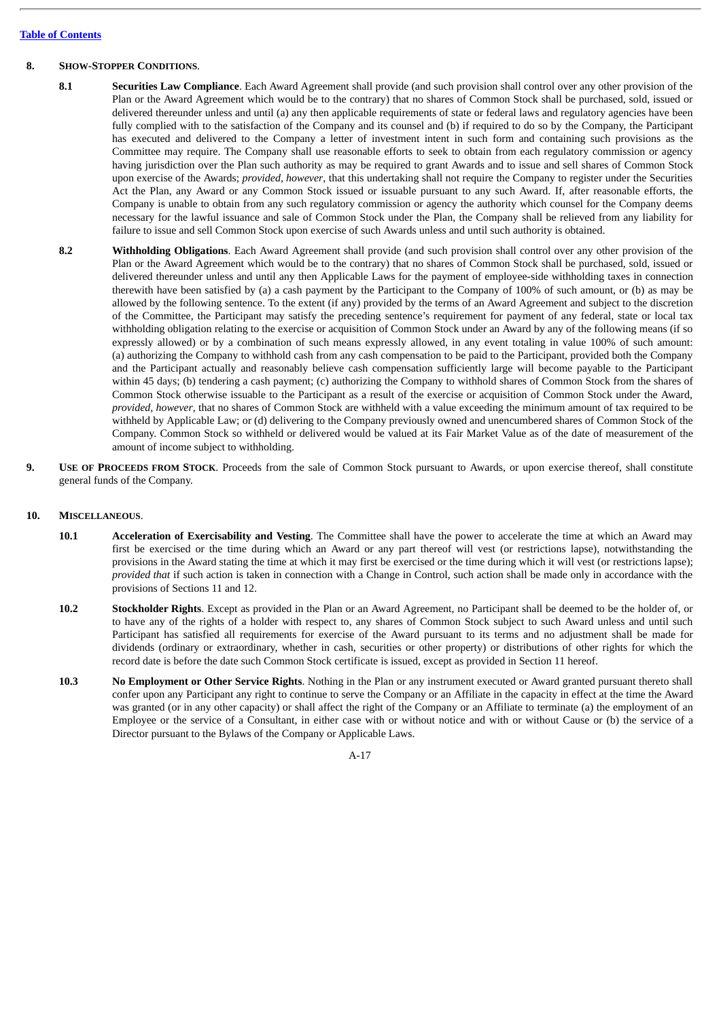## **8. SHOW-STOPPER CONDITIONS**.

- **8.1 Securities Law Compliance**. Each Award Agreement shall provide (and such provision shall control over any other provision of the Plan or the Award Agreement which would be to the contrary) that no shares of Common Stock shall be purchased, sold, issued or delivered thereunder unless and until (a) any then applicable requirements of state or federal laws and regulatory agencies have been fully complied with to the satisfaction of the Company and its counsel and (b) if required to do so by the Company, the Participant has executed and delivered to the Company a letter of investment intent in such form and containing such provisions as the Committee may require. The Company shall use reasonable efforts to seek to obtain from each regulatory commission or agency having jurisdiction over the Plan such authority as may be required to grant Awards and to issue and sell shares of Common Stock upon exercise of the Awards; *provided, however*, that this undertaking shall not require the Company to register under the Securities Act the Plan, any Award or any Common Stock issued or issuable pursuant to any such Award. If, after reasonable efforts, the Company is unable to obtain from any such regulatory commission or agency the authority which counsel for the Company deems necessary for the lawful issuance and sale of Common Stock under the Plan, the Company shall be relieved from any liability for failure to issue and sell Common Stock upon exercise of such Awards unless and until such authority is obtained.
- **8.2 Withholding Obligations**. Each Award Agreement shall provide (and such provision shall control over any other provision of the Plan or the Award Agreement which would be to the contrary) that no shares of Common Stock shall be purchased, sold, issued or delivered thereunder unless and until any then Applicable Laws for the payment of employee-side withholding taxes in connection therewith have been satisfied by (a) a cash payment by the Participant to the Company of 100% of such amount, or (b) as may be allowed by the following sentence. To the extent (if any) provided by the terms of an Award Agreement and subject to the discretion of the Committee, the Participant may satisfy the preceding sentence's requirement for payment of any federal, state or local tax withholding obligation relating to the exercise or acquisition of Common Stock under an Award by any of the following means (if so expressly allowed) or by a combination of such means expressly allowed, in any event totaling in value 100% of such amount: (a) authorizing the Company to withhold cash from any cash compensation to be paid to the Participant, provided both the Company and the Participant actually and reasonably believe cash compensation sufficiently large will become payable to the Participant within 45 days; (b) tendering a cash payment; (c) authorizing the Company to withhold shares of Common Stock from the shares of Common Stock otherwise issuable to the Participant as a result of the exercise or acquisition of Common Stock under the Award, *provided, however*, that no shares of Common Stock are withheld with a value exceeding the minimum amount of tax required to be withheld by Applicable Law; or (d) delivering to the Company previously owned and unencumbered shares of Common Stock of the Company. Common Stock so withheld or delivered would be valued at its Fair Market Value as of the date of measurement of the amount of income subject to withholding.
- **9. USE OF PROCEEDS FROM STOCK**. Proceeds from the sale of Common Stock pursuant to Awards, or upon exercise thereof, shall constitute general funds of the Company.

## **10. MISCELLANEOUS**.

- **10.1 Acceleration of Exercisability and Vesting**. The Committee shall have the power to accelerate the time at which an Award may first be exercised or the time during which an Award or any part thereof will vest (or restrictions lapse), notwithstanding the provisions in the Award stating the time at which it may first be exercised or the time during which it will vest (or restrictions lapse); *provided that* if such action is taken in connection with a Change in Control, such action shall be made only in accordance with the provisions of Sections 11 and 12.
- **10.2 Stockholder Rights**. Except as provided in the Plan or an Award Agreement, no Participant shall be deemed to be the holder of, or to have any of the rights of a holder with respect to, any shares of Common Stock subject to such Award unless and until such Participant has satisfied all requirements for exercise of the Award pursuant to its terms and no adjustment shall be made for dividends (ordinary or extraordinary, whether in cash, securities or other property) or distributions of other rights for which the record date is before the date such Common Stock certificate is issued, except as provided in Section 11 hereof.
- **10.3 No Employment or Other Service Rights**. Nothing in the Plan or any instrument executed or Award granted pursuant thereto shall confer upon any Participant any right to continue to serve the Company or an Affiliate in the capacity in effect at the time the Award was granted (or in any other capacity) or shall affect the right of the Company or an Affiliate to terminate (a) the employment of an Employee or the service of a Consultant, in either case with or without notice and with or without Cause or (b) the service of a Director pursuant to the Bylaws of the Company or Applicable Laws.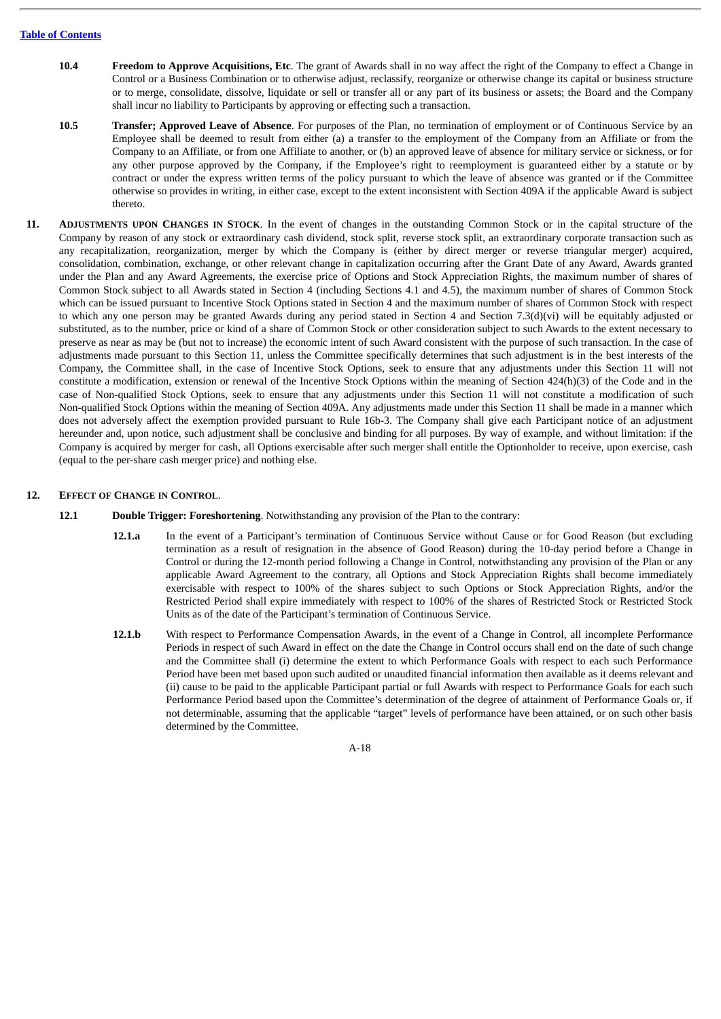- **10.4 Freedom to Approve Acquisitions, Etc**. The grant of Awards shall in no way affect the right of the Company to effect a Change in Control or a Business Combination or to otherwise adjust, reclassify, reorganize or otherwise change its capital or business structure or to merge, consolidate, dissolve, liquidate or sell or transfer all or any part of its business or assets; the Board and the Company shall incur no liability to Participants by approving or effecting such a transaction.
- **10.5 Transfer; Approved Leave of Absence**. For purposes of the Plan, no termination of employment or of Continuous Service by an Employee shall be deemed to result from either (a) a transfer to the employment of the Company from an Affiliate or from the Company to an Affiliate, or from one Affiliate to another, or (b) an approved leave of absence for military service or sickness, or for any other purpose approved by the Company, if the Employee's right to reemployment is guaranteed either by a statute or by contract or under the express written terms of the policy pursuant to which the leave of absence was granted or if the Committee otherwise so provides in writing, in either case, except to the extent inconsistent with Section 409A if the applicable Award is subject thereto.
- **11. ADJUSTMENTS UPON CHANGES IN STOCK**. In the event of changes in the outstanding Common Stock or in the capital structure of the Company by reason of any stock or extraordinary cash dividend, stock split, reverse stock split, an extraordinary corporate transaction such as any recapitalization, reorganization, merger by which the Company is (either by direct merger or reverse triangular merger) acquired, consolidation, combination, exchange, or other relevant change in capitalization occurring after the Grant Date of any Award, Awards granted under the Plan and any Award Agreements, the exercise price of Options and Stock Appreciation Rights, the maximum number of shares of Common Stock subject to all Awards stated in Section 4 (including Sections 4.1 and 4.5), the maximum number of shares of Common Stock which can be issued pursuant to Incentive Stock Options stated in Section 4 and the maximum number of shares of Common Stock with respect to which any one person may be granted Awards during any period stated in Section 4 and Section 7.3(d)(vi) will be equitably adjusted or substituted, as to the number, price or kind of a share of Common Stock or other consideration subject to such Awards to the extent necessary to preserve as near as may be (but not to increase) the economic intent of such Award consistent with the purpose of such transaction. In the case of adjustments made pursuant to this Section 11, unless the Committee specifically determines that such adjustment is in the best interests of the Company, the Committee shall, in the case of Incentive Stock Options, seek to ensure that any adjustments under this Section 11 will not constitute a modification, extension or renewal of the Incentive Stock Options within the meaning of Section 424(h)(3) of the Code and in the case of Non-qualified Stock Options, seek to ensure that any adjustments under this Section 11 will not constitute a modification of such Non-qualified Stock Options within the meaning of Section 409A. Any adjustments made under this Section 11 shall be made in a manner which does not adversely affect the exemption provided pursuant to Rule 16b-3. The Company shall give each Participant notice of an adjustment hereunder and, upon notice, such adjustment shall be conclusive and binding for all purposes. By way of example, and without limitation: if the Company is acquired by merger for cash, all Options exercisable after such merger shall entitle the Optionholder to receive, upon exercise, cash (equal to the per-share cash merger price) and nothing else.

## **12. EFFECT OF CHANGE IN CONTROL**.

- **12.1 Double Trigger: Foreshortening**. Notwithstanding any provision of the Plan to the contrary:
	- **12.1.a** In the event of a Participant's termination of Continuous Service without Cause or for Good Reason (but excluding termination as a result of resignation in the absence of Good Reason) during the 10-day period before a Change in Control or during the 12-month period following a Change in Control, notwithstanding any provision of the Plan or any applicable Award Agreement to the contrary, all Options and Stock Appreciation Rights shall become immediately exercisable with respect to 100% of the shares subject to such Options or Stock Appreciation Rights, and/or the Restricted Period shall expire immediately with respect to 100% of the shares of Restricted Stock or Restricted Stock Units as of the date of the Participant's termination of Continuous Service.
	- **12.1.b** With respect to Performance Compensation Awards, in the event of a Change in Control, all incomplete Performance Periods in respect of such Award in effect on the date the Change in Control occurs shall end on the date of such change and the Committee shall (i) determine the extent to which Performance Goals with respect to each such Performance Period have been met based upon such audited or unaudited financial information then available as it deems relevant and (ii) cause to be paid to the applicable Participant partial or full Awards with respect to Performance Goals for each such Performance Period based upon the Committee's determination of the degree of attainment of Performance Goals or, if not determinable, assuming that the applicable "target" levels of performance have been attained, or on such other basis determined by the Committee.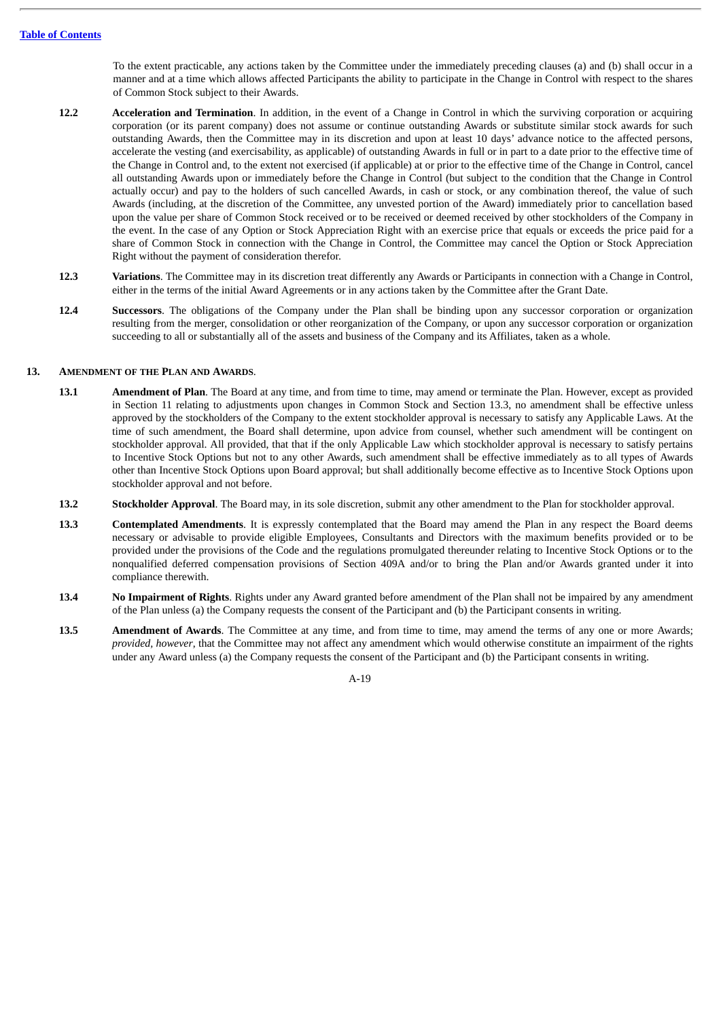To the extent practicable, any actions taken by the Committee under the immediately preceding clauses (a) and (b) shall occur in a manner and at a time which allows affected Participants the ability to participate in the Change in Control with respect to the shares of Common Stock subject to their Awards.

- **12.2 Acceleration and Termination**. In addition, in the event of a Change in Control in which the surviving corporation or acquiring corporation (or its parent company) does not assume or continue outstanding Awards or substitute similar stock awards for such outstanding Awards, then the Committee may in its discretion and upon at least 10 days' advance notice to the affected persons, accelerate the vesting (and exercisability, as applicable) of outstanding Awards in full or in part to a date prior to the effective time of the Change in Control and, to the extent not exercised (if applicable) at or prior to the effective time of the Change in Control, cancel all outstanding Awards upon or immediately before the Change in Control (but subject to the condition that the Change in Control actually occur) and pay to the holders of such cancelled Awards, in cash or stock, or any combination thereof, the value of such Awards (including, at the discretion of the Committee, any unvested portion of the Award) immediately prior to cancellation based upon the value per share of Common Stock received or to be received or deemed received by other stockholders of the Company in the event. In the case of any Option or Stock Appreciation Right with an exercise price that equals or exceeds the price paid for a share of Common Stock in connection with the Change in Control, the Committee may cancel the Option or Stock Appreciation Right without the payment of consideration therefor.
- **12.3 Variations**. The Committee may in its discretion treat differently any Awards or Participants in connection with a Change in Control, either in the terms of the initial Award Agreements or in any actions taken by the Committee after the Grant Date.
- **12.4 Successors**. The obligations of the Company under the Plan shall be binding upon any successor corporation or organization resulting from the merger, consolidation or other reorganization of the Company, or upon any successor corporation or organization succeeding to all or substantially all of the assets and business of the Company and its Affiliates, taken as a whole.

### **13. AMENDMENT OF THE PLAN AND AWARDS**.

- **13.1 Amendment of Plan**. The Board at any time, and from time to time, may amend or terminate the Plan. However, except as provided in Section 11 relating to adjustments upon changes in Common Stock and Section 13.3, no amendment shall be effective unless approved by the stockholders of the Company to the extent stockholder approval is necessary to satisfy any Applicable Laws. At the time of such amendment, the Board shall determine, upon advice from counsel, whether such amendment will be contingent on stockholder approval. All provided, that that if the only Applicable Law which stockholder approval is necessary to satisfy pertains to Incentive Stock Options but not to any other Awards, such amendment shall be effective immediately as to all types of Awards other than Incentive Stock Options upon Board approval; but shall additionally become effective as to Incentive Stock Options upon stockholder approval and not before.
- **13.2 Stockholder Approval**. The Board may, in its sole discretion, submit any other amendment to the Plan for stockholder approval.
- **13.3 Contemplated Amendments**. It is expressly contemplated that the Board may amend the Plan in any respect the Board deems necessary or advisable to provide eligible Employees, Consultants and Directors with the maximum benefits provided or to be provided under the provisions of the Code and the regulations promulgated thereunder relating to Incentive Stock Options or to the nonqualified deferred compensation provisions of Section 409A and/or to bring the Plan and/or Awards granted under it into compliance therewith.
- **13.4 No Impairment of Rights**. Rights under any Award granted before amendment of the Plan shall not be impaired by any amendment of the Plan unless (a) the Company requests the consent of the Participant and (b) the Participant consents in writing.
- **13.5 Amendment of Awards**. The Committee at any time, and from time to time, may amend the terms of any one or more Awards; *provided, however*, that the Committee may not affect any amendment which would otherwise constitute an impairment of the rights under any Award unless (a) the Company requests the consent of the Participant and (b) the Participant consents in writing.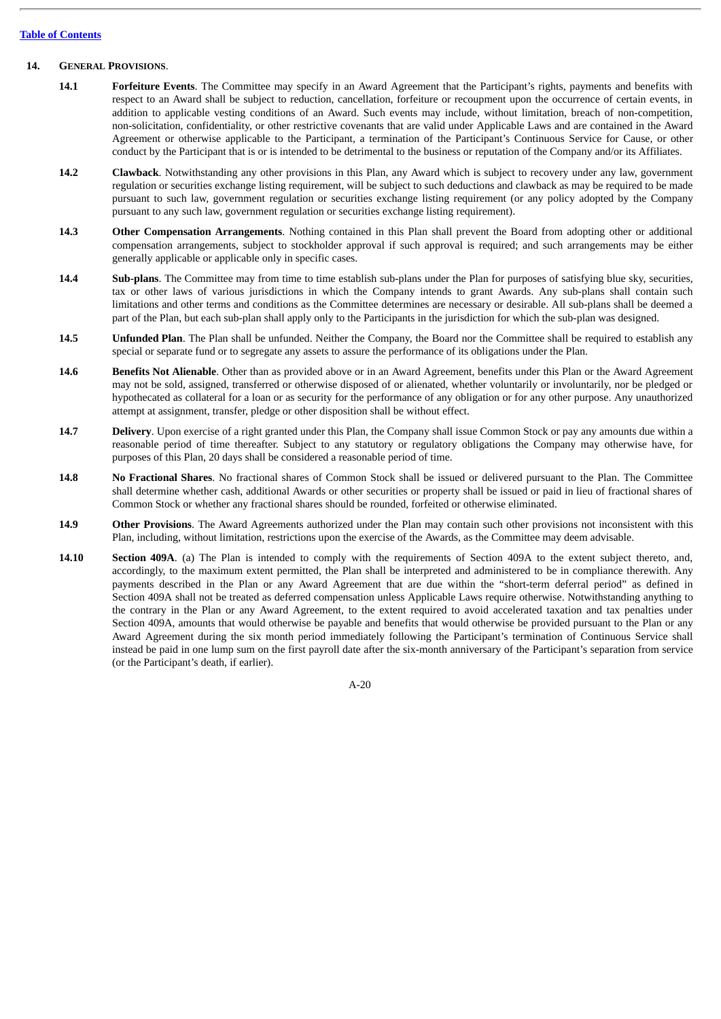#### **Table of [Contents](#page-3-0)**

## **14. GENERAL PROVISIONS**.

- **14.1 Forfeiture Events**. The Committee may specify in an Award Agreement that the Participant's rights, payments and benefits with respect to an Award shall be subject to reduction, cancellation, forfeiture or recoupment upon the occurrence of certain events, in addition to applicable vesting conditions of an Award. Such events may include, without limitation, breach of non-competition, non-solicitation, confidentiality, or other restrictive covenants that are valid under Applicable Laws and are contained in the Award Agreement or otherwise applicable to the Participant, a termination of the Participant's Continuous Service for Cause, or other conduct by the Participant that is or is intended to be detrimental to the business or reputation of the Company and/or its Affiliates.
- **14.2 Clawback**. Notwithstanding any other provisions in this Plan, any Award which is subject to recovery under any law, government regulation or securities exchange listing requirement, will be subject to such deductions and clawback as may be required to be made pursuant to such law, government regulation or securities exchange listing requirement (or any policy adopted by the Company pursuant to any such law, government regulation or securities exchange listing requirement).
- **14.3 Other Compensation Arrangements**. Nothing contained in this Plan shall prevent the Board from adopting other or additional compensation arrangements, subject to stockholder approval if such approval is required; and such arrangements may be either generally applicable or applicable only in specific cases.
- **14.4 Sub-plans**. The Committee may from time to time establish sub-plans under the Plan for purposes of satisfying blue sky, securities, tax or other laws of various jurisdictions in which the Company intends to grant Awards. Any sub-plans shall contain such limitations and other terms and conditions as the Committee determines are necessary or desirable. All sub-plans shall be deemed a part of the Plan, but each sub-plan shall apply only to the Participants in the jurisdiction for which the sub-plan was designed.
- **14.5 Unfunded Plan**. The Plan shall be unfunded. Neither the Company, the Board nor the Committee shall be required to establish any special or separate fund or to segregate any assets to assure the performance of its obligations under the Plan.
- **14.6 Benefits Not Alienable**. Other than as provided above or in an Award Agreement, benefits under this Plan or the Award Agreement may not be sold, assigned, transferred or otherwise disposed of or alienated, whether voluntarily or involuntarily, nor be pledged or hypothecated as collateral for a loan or as security for the performance of any obligation or for any other purpose. Any unauthorized attempt at assignment, transfer, pledge or other disposition shall be without effect.
- **14.7 Delivery**. Upon exercise of a right granted under this Plan, the Company shall issue Common Stock or pay any amounts due within a reasonable period of time thereafter. Subject to any statutory or regulatory obligations the Company may otherwise have, for purposes of this Plan, 20 days shall be considered a reasonable period of time.
- **14.8 No Fractional Shares**. No fractional shares of Common Stock shall be issued or delivered pursuant to the Plan. The Committee shall determine whether cash, additional Awards or other securities or property shall be issued or paid in lieu of fractional shares of Common Stock or whether any fractional shares should be rounded, forfeited or otherwise eliminated.
- **14.9 Other Provisions**. The Award Agreements authorized under the Plan may contain such other provisions not inconsistent with this Plan, including, without limitation, restrictions upon the exercise of the Awards, as the Committee may deem advisable.
- **14.10 Section 409A**. (a) The Plan is intended to comply with the requirements of Section 409A to the extent subject thereto, and, accordingly, to the maximum extent permitted, the Plan shall be interpreted and administered to be in compliance therewith. Any payments described in the Plan or any Award Agreement that are due within the "short-term deferral period" as defined in Section 409A shall not be treated as deferred compensation unless Applicable Laws require otherwise. Notwithstanding anything to the contrary in the Plan or any Award Agreement, to the extent required to avoid accelerated taxation and tax penalties under Section 409A, amounts that would otherwise be payable and benefits that would otherwise be provided pursuant to the Plan or any Award Agreement during the six month period immediately following the Participant's termination of Continuous Service shall instead be paid in one lump sum on the first payroll date after the six-month anniversary of the Participant's separation from service (or the Participant's death, if earlier).

A-20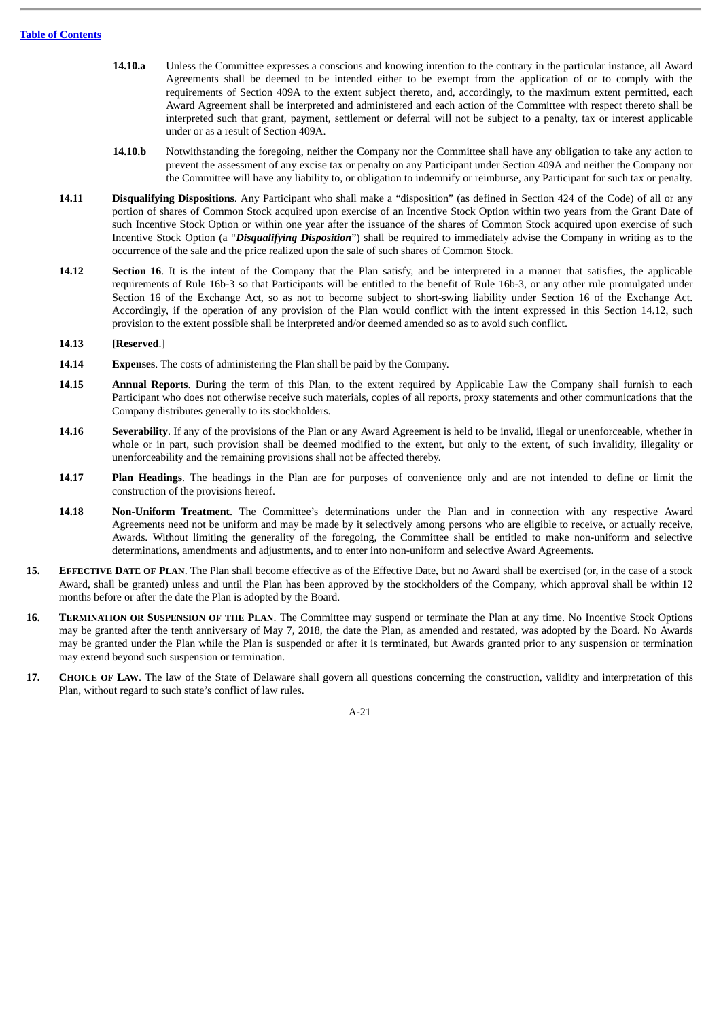- **14.10.a** Unless the Committee expresses a conscious and knowing intention to the contrary in the particular instance, all Award Agreements shall be deemed to be intended either to be exempt from the application of or to comply with the requirements of Section 409A to the extent subject thereto, and, accordingly, to the maximum extent permitted, each Award Agreement shall be interpreted and administered and each action of the Committee with respect thereto shall be interpreted such that grant, payment, settlement or deferral will not be subject to a penalty, tax or interest applicable under or as a result of Section 409A.
- **14.10.b** Notwithstanding the foregoing, neither the Company nor the Committee shall have any obligation to take any action to prevent the assessment of any excise tax or penalty on any Participant under Section 409A and neither the Company nor the Committee will have any liability to, or obligation to indemnify or reimburse, any Participant for such tax or penalty.
- **14.11 Disqualifying Dispositions**. Any Participant who shall make a "disposition" (as defined in Section 424 of the Code) of all or any portion of shares of Common Stock acquired upon exercise of an Incentive Stock Option within two years from the Grant Date of such Incentive Stock Option or within one year after the issuance of the shares of Common Stock acquired upon exercise of such Incentive Stock Option (a "*Disqualifying Disposition*") shall be required to immediately advise the Company in writing as to the occurrence of the sale and the price realized upon the sale of such shares of Common Stock.
- **14.12 Section 16**. It is the intent of the Company that the Plan satisfy, and be interpreted in a manner that satisfies, the applicable requirements of Rule 16b-3 so that Participants will be entitled to the benefit of Rule 16b-3, or any other rule promulgated under Section 16 of the Exchange Act, so as not to become subject to short-swing liability under Section 16 of the Exchange Act. Accordingly, if the operation of any provision of the Plan would conflict with the intent expressed in this Section 14.12, such provision to the extent possible shall be interpreted and/or deemed amended so as to avoid such conflict.

#### **14.13 [Reserved**.]

- **14.14 Expenses**. The costs of administering the Plan shall be paid by the Company.
- **14.15 Annual Reports**. During the term of this Plan, to the extent required by Applicable Law the Company shall furnish to each Participant who does not otherwise receive such materials, copies of all reports, proxy statements and other communications that the Company distributes generally to its stockholders.
- **14.16 Severability**. If any of the provisions of the Plan or any Award Agreement is held to be invalid, illegal or unenforceable, whether in whole or in part, such provision shall be deemed modified to the extent, but only to the extent, of such invalidity, illegality or unenforceability and the remaining provisions shall not be affected thereby.
- **14.17 Plan Headings**. The headings in the Plan are for purposes of convenience only and are not intended to define or limit the construction of the provisions hereof.
- **14.18 Non-Uniform Treatment**. The Committee's determinations under the Plan and in connection with any respective Award Agreements need not be uniform and may be made by it selectively among persons who are eligible to receive, or actually receive, Awards. Without limiting the generality of the foregoing, the Committee shall be entitled to make non-uniform and selective determinations, amendments and adjustments, and to enter into non-uniform and selective Award Agreements.
- **15. EFFECTIVE DATE OF PLAN**. The Plan shall become effective as of the Effective Date, but no Award shall be exercised (or, in the case of a stock Award, shall be granted) unless and until the Plan has been approved by the stockholders of the Company, which approval shall be within 12 months before or after the date the Plan is adopted by the Board.
- **16. TERMINATION OR SUSPENSION OF THE PLAN**. The Committee may suspend or terminate the Plan at any time. No Incentive Stock Options may be granted after the tenth anniversary of May 7, 2018, the date the Plan, as amended and restated, was adopted by the Board. No Awards may be granted under the Plan while the Plan is suspended or after it is terminated, but Awards granted prior to any suspension or termination may extend beyond such suspension or termination.
- **17. CHOICE OF LAW**. The law of the State of Delaware shall govern all questions concerning the construction, validity and interpretation of this Plan, without regard to such state's conflict of law rules.

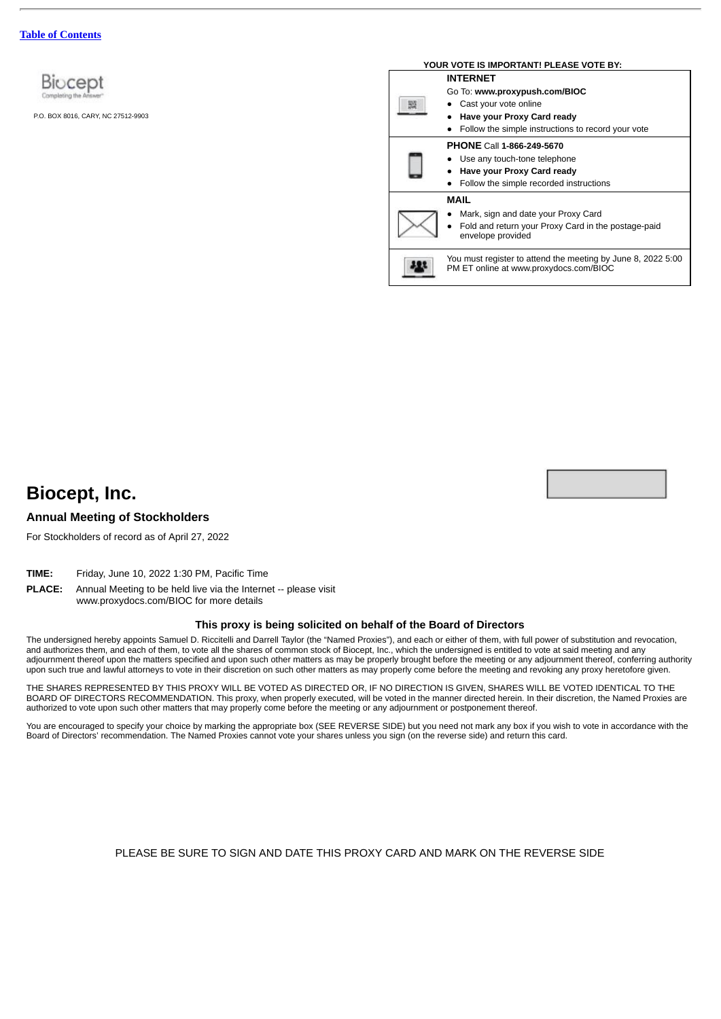

P.O. BOX 8016, CARY, NC 27512-9903

| YOUR VOTE IS IMPORTANT! PLEASE VOTE BY:                                                                                                                       |
|---------------------------------------------------------------------------------------------------------------------------------------------------------------|
| <b>INTERNET</b><br>Go To: www.proxypush.com/BIOC<br>Cast your vote online<br>Have your Proxy Card ready<br>Follow the simple instructions to record your vote |
| <b>PHONE Call 1-866-249-5670</b><br>Use any touch-tone telephone<br>Have your Proxy Card ready<br>Follow the simple recorded instructions                     |
| MAIL<br>Mark, sign and date your Proxy Card<br>Fold and return your Proxy Card in the postage-paid<br>envelope provided                                       |
| You must register to attend the meeting by June 8, 2022 5:00<br>PM ET online at www.proxydocs.com/BIOC                                                        |



## **Annual Meeting of Stockholders**

For Stockholders of record as of April 27, 2022

- **TIME:** Friday, June 10, 2022 1:30 PM, Pacific Time
- **PLACE:** Annual Meeting to be held live via the Internet -- please visit

www.proxydocs.com/BIOC for more details

#### **This proxy is being solicited on behalf of the Board of Directors**

The undersigned hereby appoints Samuel D. Riccitelli and Darrell Taylor (the "Named Proxies"), and each or either of them, with full power of substitution and revocation, and authorizes them, and each of them, to vote all the shares of common stock of Biocept, Inc., which the undersigned is entitled to vote at said meeting and any adjournment thereof upon the matters specified and upon such other matters as may be properly brought before the meeting or any adjournment thereof, conferring authority upon such true and lawful attorneys to vote in their discretion on such other matters as may properly come before the meeting and revoking any proxy heretofore given.

THE SHARES REPRESENTED BY THIS PROXY WILL BE VOTED AS DIRECTED OR, IF NO DIRECTION IS GIVEN, SHARES WILL BE VOTED IDENTICAL TO THE BOARD OF DIRECTORS RECOMMENDATION. This proxy, when properly executed, will be voted in the manner directed herein. In their discretion, the Named Proxies are authorized to vote upon such other matters that may properly come before the meeting or any adjournment or postponement thereof.

You are encouraged to specify your choice by marking the appropriate box (SEE REVERSE SIDE) but you need not mark any box if you wish to vote in accordance with the Board of Directors' recommendation. The Named Proxies cannot vote your shares unless you sign (on the reverse side) and return this card.

PLEASE BE SURE TO SIGN AND DATE THIS PROXY CARD AND MARK ON THE REVERSE SIDE